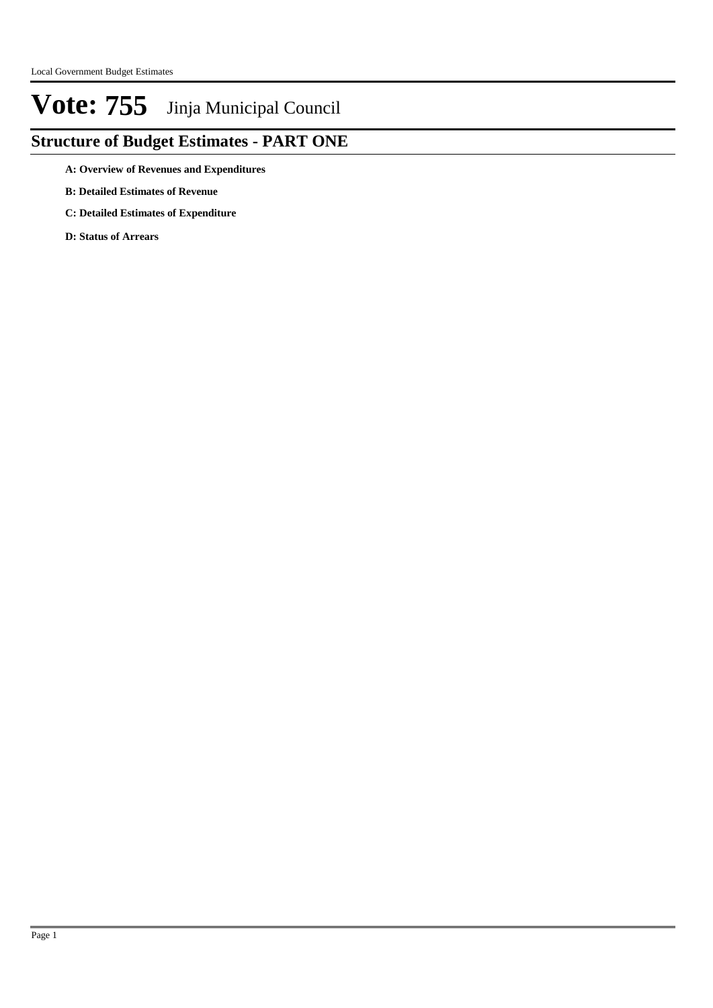### **Structure of Budget Estimates - PART ONE**

**A: Overview of Revenues and Expenditures**

- **B: Detailed Estimates of Revenue**
- **C: Detailed Estimates of Expenditure**

**D: Status of Arrears**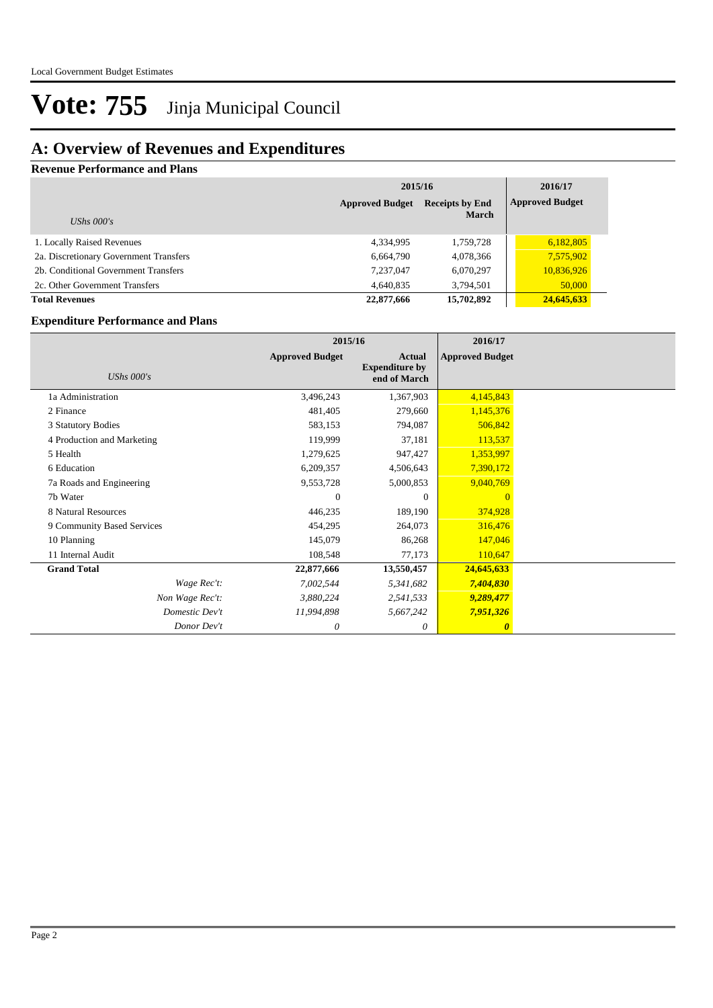### **A: Overview of Revenues and Expenditures**

**Revenue Performance and Plans**

|                                        |                        | 2015/16                                |            |  |  |  |
|----------------------------------------|------------------------|----------------------------------------|------------|--|--|--|
| UShs $000's$                           | <b>Approved Budget</b> | <b>Receipts by End</b><br><b>March</b> |            |  |  |  |
| 1. Locally Raised Revenues             | 4,334,995              | 1,759,728                              | 6,182,805  |  |  |  |
| 2a. Discretionary Government Transfers | 6,664,790              | 4,078,366                              | 7,575,902  |  |  |  |
| 2b. Conditional Government Transfers   | 7,237,047              | 6,070,297                              | 10,836,926 |  |  |  |
| 2c. Other Government Transfers         | 4,640,835              | 3,794,501                              | 50,000     |  |  |  |
| <b>Total Revenues</b>                  | 22,877,666             | 15,702,892                             | 24,645,633 |  |  |  |

#### **Expenditure Performance and Plans**

|                            |                        | 2015/16                                                |                        |  |
|----------------------------|------------------------|--------------------------------------------------------|------------------------|--|
| UShs $000's$               | <b>Approved Budget</b> | <b>Actual</b><br><b>Expenditure by</b><br>end of March | <b>Approved Budget</b> |  |
| 1a Administration          | 3,496,243              | 1,367,903                                              | 4,145,843              |  |
| 2 Finance                  | 481,405                | 279,660                                                | 1,145,376              |  |
| 3 Statutory Bodies         | 583,153                | 794,087                                                | 506,842                |  |
| 4 Production and Marketing | 119,999                | 37,181                                                 | 113,537                |  |
| 5 Health                   | 1,279,625              | 947,427                                                | 1,353,997              |  |
| 6 Education                | 6,209,357              | 4,506,643                                              | 7,390,172              |  |
| 7a Roads and Engineering   | 9,553,728              | 5,000,853                                              | 9,040,769              |  |
| 7b Water                   | $\Omega$               | $\Omega$                                               | $\Omega$               |  |
| 8 Natural Resources        | 446,235                | 189,190                                                | 374,928                |  |
| 9 Community Based Services | 454,295                | 264,073                                                | 316,476                |  |
| 10 Planning                | 145,079                | 86,268                                                 | 147,046                |  |
| 11 Internal Audit          | 108,548                | 77,173                                                 | 110,647                |  |
| <b>Grand Total</b>         | 22,877,666             | 13,550,457                                             | 24,645,633             |  |
| Wage Rec't:                | 7,002,544              | 5,341,682                                              | 7,404,830              |  |
| Non Wage Rec't:            | 3,880,224              | 2,541,533                                              | 9,289,477              |  |
| Domestic Dev't             | 11,994,898             | 5,667,242                                              | 7,951,326              |  |
| Donor Dev't                | 0                      | 0                                                      | $\boldsymbol{\theta}$  |  |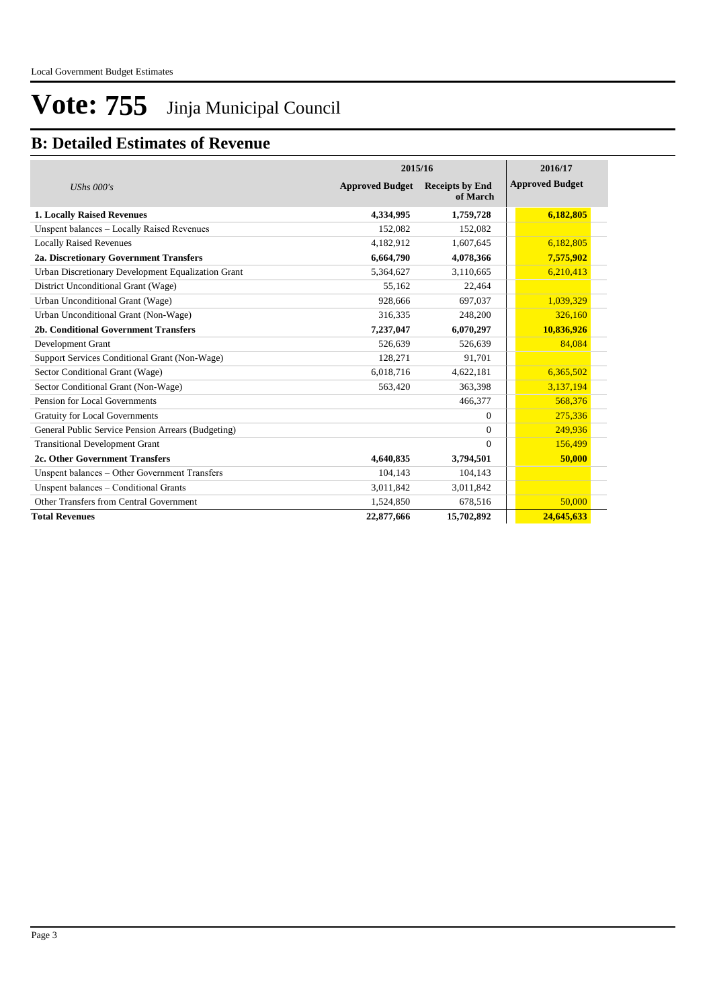### **B: Detailed Estimates of Revenue**

|                                                    | 2016/17                |                                    |                        |
|----------------------------------------------------|------------------------|------------------------------------|------------------------|
| UShs $000's$                                       | <b>Approved Budget</b> | <b>Receipts by End</b><br>of March | <b>Approved Budget</b> |
| <b>1. Locally Raised Revenues</b>                  | 4,334,995              | 1,759,728                          | 6,182,805              |
| Unspent balances - Locally Raised Revenues         | 152,082                | 152,082                            |                        |
| <b>Locally Raised Revenues</b>                     | 4,182,912              | 1,607,645                          | 6,182,805              |
| 2a. Discretionary Government Transfers             | 6,664,790              | 4,078,366                          | 7,575,902              |
| Urban Discretionary Development Equalization Grant | 5,364,627              | 3,110,665                          | 6,210,413              |
| District Unconditional Grant (Wage)                | 55.162                 | 22,464                             |                        |
| Urban Unconditional Grant (Wage)                   | 928,666                | 697,037                            | 1,039,329              |
| Urban Unconditional Grant (Non-Wage)               | 316,335                | 248,200                            | 326,160                |
| 2b. Conditional Government Transfers               | 7,237,047              | 6,070,297                          | 10,836,926             |
| Development Grant                                  | 526,639                | 526,639                            | 84.084                 |
| Support Services Conditional Grant (Non-Wage)      | 128,271                | 91,701                             |                        |
| Sector Conditional Grant (Wage)                    | 6,018,716              | 4,622,181                          | 6,365,502              |
| Sector Conditional Grant (Non-Wage)                | 563,420                | 363,398                            | 3,137,194              |
| Pension for Local Governments                      |                        | 466,377                            | 568,376                |
| <b>Gratuity for Local Governments</b>              |                        | $\Omega$                           | 275,336                |
| General Public Service Pension Arrears (Budgeting) |                        | $\Omega$                           | 249,936                |
| <b>Transitional Development Grant</b>              |                        | $\Omega$                           | 156,499                |
| 2c. Other Government Transfers                     | 4,640,835              | 3,794,501                          | 50,000                 |
| Unspent balances - Other Government Transfers      | 104,143                | 104,143                            |                        |
| Unspent balances - Conditional Grants              | 3,011,842              | 3,011,842                          |                        |
| Other Transfers from Central Government            | 1,524,850              | 678,516                            | 50,000                 |
| <b>Total Revenues</b>                              | 22,877,666             | 15,702,892                         | 24,645,633             |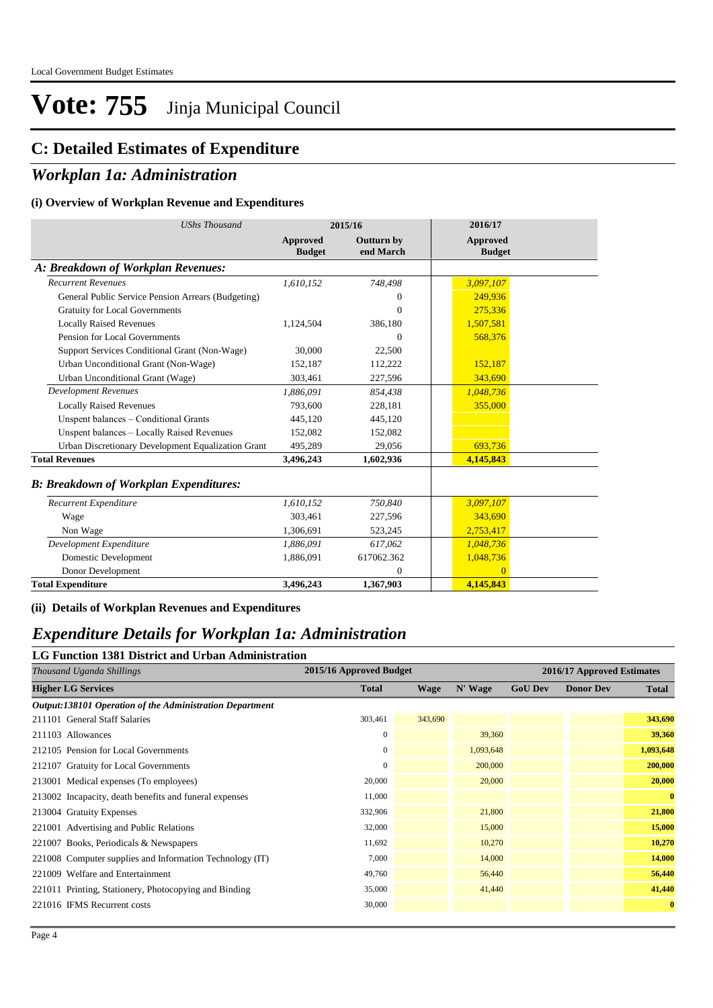### **C: Detailed Estimates of Expenditure**

### *Workplan 1a: Administration*

#### **(i) Overview of Workplan Revenue and Expenditures**

| <b>UShs Thousand</b>                               |                                  | 2015/16                        | 2016/17                   |
|----------------------------------------------------|----------------------------------|--------------------------------|---------------------------|
|                                                    | <b>Approved</b><br><b>Budget</b> | <b>Outturn by</b><br>end March | Approved<br><b>Budget</b> |
| A: Breakdown of Workplan Revenues:                 |                                  |                                |                           |
| <b>Recurrent Revenues</b>                          | 1,610,152                        | 748,498                        | 3,097,107                 |
| General Public Service Pension Arrears (Budgeting) |                                  | $\theta$                       | 249.936                   |
| <b>Gratuity for Local Governments</b>              |                                  | $\Omega$                       | 275,336                   |
| <b>Locally Raised Revenues</b>                     | 1,124,504                        | 386,180                        | 1,507,581                 |
| Pension for Local Governments                      |                                  | $\Omega$                       | 568,376                   |
| Support Services Conditional Grant (Non-Wage)      | 30,000                           | 22,500                         |                           |
| Urban Unconditional Grant (Non-Wage)               | 152,187                          | 112,222                        | 152,187                   |
| Urban Unconditional Grant (Wage)                   | 303,461                          | 227,596                        | 343,690                   |
| <b>Development Revenues</b>                        | 1.886.091                        | 854,438                        | 1,048,736                 |
| <b>Locally Raised Revenues</b>                     | 793,600                          | 228,181                        | 355,000                   |
| Unspent balances - Conditional Grants              | 445,120                          | 445,120                        |                           |
| Unspent balances - Locally Raised Revenues         | 152,082                          | 152,082                        |                           |
| Urban Discretionary Development Equalization Grant | 495,289                          | 29,056                         | 693,736                   |
| <b>Total Revenues</b>                              | 3,496,243                        | 1,602,936                      | 4,145,843                 |
| <b>B: Breakdown of Workplan Expenditures:</b>      |                                  |                                |                           |
| Recurrent Expenditure                              | 1,610,152                        | 750,840                        | 3,097,107                 |
| Wage                                               | 303,461                          | 227,596                        | 343.690                   |
| Non Wage                                           | 1,306,691                        | 523,245                        | 2,753,417                 |
| Development Expenditure                            | 1,886,091                        | 617,062                        | 1,048,736                 |
| Domestic Development                               | 1,886,091                        | 617062.362                     | 1,048,736                 |
| Donor Development                                  |                                  | $\theta$                       | $\Omega$                  |
| <b>Total Expenditure</b>                           | 3,496,243                        | 1,367,903                      | 4,145,843                 |

**(ii) Details of Workplan Revenues and Expenditures**

### *Expenditure Details for Workplan 1a: Administration*

#### **LG Function 1381 District and Urban Administration**

| <b>Total</b> | <b>Wage</b> | N' Wage                 | <b>GoU Dev</b> | <b>Donor Dev</b> | <b>Total</b>               |
|--------------|-------------|-------------------------|----------------|------------------|----------------------------|
|              |             |                         |                |                  |                            |
| 303,461      | 343,690     |                         |                |                  | 343,690                    |
| $\mathbf{0}$ |             | 39,360                  |                |                  | 39,360                     |
| $\mathbf{0}$ |             | 1,093,648               |                |                  | 1,093,648                  |
| $\mathbf{0}$ |             | 200,000                 |                |                  | 200,000                    |
| 20,000       |             | 20,000                  |                |                  | 20,000                     |
| 11,000       |             |                         |                |                  | $\mathbf{0}$               |
| 332,906      |             | 21,800                  |                |                  | 21,800                     |
| 32,000       |             | 15,000                  |                |                  | 15,000                     |
| 11,692       |             | 10,270                  |                |                  | 10,270                     |
| 7,000        |             | 14,000                  |                |                  | 14,000                     |
| 49,760       |             | 56,440                  |                |                  | 56,440                     |
| 35,000       |             | 41,440                  |                |                  | 41,440                     |
| 30,000       |             |                         |                |                  | $\mathbf{0}$               |
|              |             | 2015/16 Approved Budget |                |                  | 2016/17 Approved Estimates |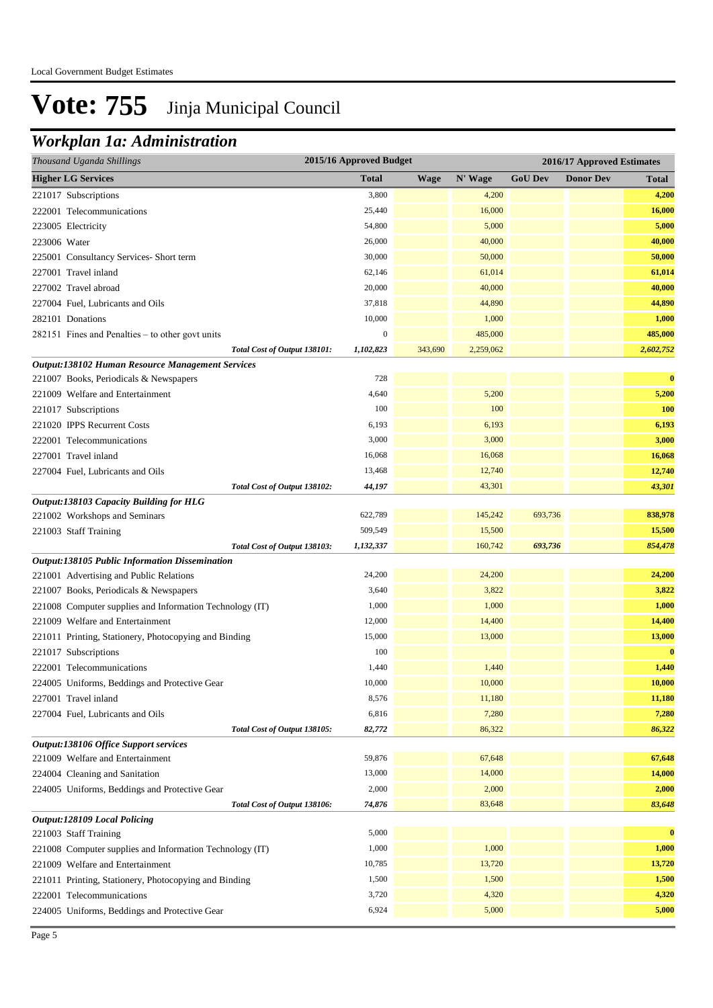### *Workplan 1a: Administration*

| <b>Higher LG Services</b><br><b>Total</b><br>N' Wage<br><b>GoU Dev</b><br><b>Wage</b><br><b>Donor Dev</b><br><b>Total</b><br>221017 Subscriptions<br>3,800<br>4,200<br>4,200<br>25,440<br>16,000<br>16,000<br>222001 Telecommunications<br>54,800<br>5,000<br>5,000<br>223005 Electricity<br>26,000<br>40,000<br>40,000<br>223006 Water<br>30,000<br>50,000<br>50,000<br>225001 Consultancy Services-Short term<br>61,014<br>227001 Travel inland<br>62,146<br>61,014<br>20,000<br>40,000<br>40,000<br>227002 Travel abroad<br>37,818<br>44,890<br>44,890<br>227004 Fuel, Lubricants and Oils<br>1,000<br>10,000<br>1,000<br>282101 Donations<br>485,000<br>$\boldsymbol{0}$<br>485,000<br>282151 Fines and Penalties – to other govt units<br>2,602,752<br>Total Cost of Output 138101:<br>1,102,823<br>343,690<br>2,259,062<br>Output:138102 Human Resource Management Services<br>$\bf{0}$<br>221007 Books, Periodicals & Newspapers<br>728<br>5,200<br>5,200<br>221009 Welfare and Entertainment<br>4,640<br>100<br>100<br><b>100</b><br>221017 Subscriptions<br>6,193<br>6,193<br>6,193<br>221020 IPPS Recurrent Costs<br>3,000<br>3,000<br>3,000<br>222001 Telecommunications<br>16,068<br>16,068<br>227001 Travel inland<br>16,068<br>13,468<br>12,740<br>12,740<br>227004 Fuel, Lubricants and Oils<br>44,197<br>43,301<br>43,301<br>Total Cost of Output 138102:<br>Output:138103 Capacity Building for HLG<br>838,978<br>221002 Workshops and Seminars<br>622,789<br>145,242<br>693,736<br>509,549<br>15,500<br>15,500<br>221003 Staff Training<br>160,742<br>854,478<br>Total Cost of Output 138103:<br>1,132,337<br>693,736<br>Output:138105 Public Information Dissemination<br>24,200<br>24,200<br>24,200<br>221001 Advertising and Public Relations<br>3,640<br>3,822<br>3,822<br>221007 Books, Periodicals & Newspapers<br>1,000<br>1,000<br>1,000<br>221008 Computer supplies and Information Technology (IT)<br>12,000<br>14,400<br>14,400<br>221009 Welfare and Entertainment<br>13,000<br>15,000<br>13,000<br>221011 Printing, Stationery, Photocopying and Binding<br>100<br>$\bf{0}$<br>221017 Subscriptions<br>1,440<br>222001 Telecommunications<br>1,440<br>1,440<br>10,000<br>10,000<br>10,000<br>224005 Uniforms, Beddings and Protective Gear<br>8,576<br>11,180<br>11,180<br>227001 Travel inland<br>6,816<br>7,280<br>7,280<br>227004 Fuel, Lubricants and Oils<br>82,772<br>86,322<br>86,322<br>Total Cost of Output 138105:<br>Output:138106 Office Support services<br>67,648<br>221009 Welfare and Entertainment<br>59,876<br>67,648<br>13,000<br>14,000<br>224004 Cleaning and Sanitation<br>14,000<br>2,000<br>2,000<br>2,000<br>224005 Uniforms, Beddings and Protective Gear<br>74,876<br>83,648<br>83,648<br>Total Cost of Output 138106:<br><b>Output:128109 Local Policing</b><br>5,000<br>$\bf{0}$<br>221003 Staff Training<br>1,000<br>1,000<br>1,000<br>221008 Computer supplies and Information Technology (IT) |
|--------------------------------------------------------------------------------------------------------------------------------------------------------------------------------------------------------------------------------------------------------------------------------------------------------------------------------------------------------------------------------------------------------------------------------------------------------------------------------------------------------------------------------------------------------------------------------------------------------------------------------------------------------------------------------------------------------------------------------------------------------------------------------------------------------------------------------------------------------------------------------------------------------------------------------------------------------------------------------------------------------------------------------------------------------------------------------------------------------------------------------------------------------------------------------------------------------------------------------------------------------------------------------------------------------------------------------------------------------------------------------------------------------------------------------------------------------------------------------------------------------------------------------------------------------------------------------------------------------------------------------------------------------------------------------------------------------------------------------------------------------------------------------------------------------------------------------------------------------------------------------------------------------------------------------------------------------------------------------------------------------------------------------------------------------------------------------------------------------------------------------------------------------------------------------------------------------------------------------------------------------------------------------------------------------------------------------------------------------------------------------------------------------------------------------------------------------------------------------------------------------------------------------------------------------------------------------------------------------------------------------------------------------------------------------------------------------------------------------------------------------------------------------------------------------------------------------------------------------------------------------------------------------------------------------------------------------------|
|                                                                                                                                                                                                                                                                                                                                                                                                                                                                                                                                                                                                                                                                                                                                                                                                                                                                                                                                                                                                                                                                                                                                                                                                                                                                                                                                                                                                                                                                                                                                                                                                                                                                                                                                                                                                                                                                                                                                                                                                                                                                                                                                                                                                                                                                                                                                                                                                                                                                                                                                                                                                                                                                                                                                                                                                                                                                                                                                                              |
|                                                                                                                                                                                                                                                                                                                                                                                                                                                                                                                                                                                                                                                                                                                                                                                                                                                                                                                                                                                                                                                                                                                                                                                                                                                                                                                                                                                                                                                                                                                                                                                                                                                                                                                                                                                                                                                                                                                                                                                                                                                                                                                                                                                                                                                                                                                                                                                                                                                                                                                                                                                                                                                                                                                                                                                                                                                                                                                                                              |
|                                                                                                                                                                                                                                                                                                                                                                                                                                                                                                                                                                                                                                                                                                                                                                                                                                                                                                                                                                                                                                                                                                                                                                                                                                                                                                                                                                                                                                                                                                                                                                                                                                                                                                                                                                                                                                                                                                                                                                                                                                                                                                                                                                                                                                                                                                                                                                                                                                                                                                                                                                                                                                                                                                                                                                                                                                                                                                                                                              |
|                                                                                                                                                                                                                                                                                                                                                                                                                                                                                                                                                                                                                                                                                                                                                                                                                                                                                                                                                                                                                                                                                                                                                                                                                                                                                                                                                                                                                                                                                                                                                                                                                                                                                                                                                                                                                                                                                                                                                                                                                                                                                                                                                                                                                                                                                                                                                                                                                                                                                                                                                                                                                                                                                                                                                                                                                                                                                                                                                              |
|                                                                                                                                                                                                                                                                                                                                                                                                                                                                                                                                                                                                                                                                                                                                                                                                                                                                                                                                                                                                                                                                                                                                                                                                                                                                                                                                                                                                                                                                                                                                                                                                                                                                                                                                                                                                                                                                                                                                                                                                                                                                                                                                                                                                                                                                                                                                                                                                                                                                                                                                                                                                                                                                                                                                                                                                                                                                                                                                                              |
|                                                                                                                                                                                                                                                                                                                                                                                                                                                                                                                                                                                                                                                                                                                                                                                                                                                                                                                                                                                                                                                                                                                                                                                                                                                                                                                                                                                                                                                                                                                                                                                                                                                                                                                                                                                                                                                                                                                                                                                                                                                                                                                                                                                                                                                                                                                                                                                                                                                                                                                                                                                                                                                                                                                                                                                                                                                                                                                                                              |
|                                                                                                                                                                                                                                                                                                                                                                                                                                                                                                                                                                                                                                                                                                                                                                                                                                                                                                                                                                                                                                                                                                                                                                                                                                                                                                                                                                                                                                                                                                                                                                                                                                                                                                                                                                                                                                                                                                                                                                                                                                                                                                                                                                                                                                                                                                                                                                                                                                                                                                                                                                                                                                                                                                                                                                                                                                                                                                                                                              |
|                                                                                                                                                                                                                                                                                                                                                                                                                                                                                                                                                                                                                                                                                                                                                                                                                                                                                                                                                                                                                                                                                                                                                                                                                                                                                                                                                                                                                                                                                                                                                                                                                                                                                                                                                                                                                                                                                                                                                                                                                                                                                                                                                                                                                                                                                                                                                                                                                                                                                                                                                                                                                                                                                                                                                                                                                                                                                                                                                              |
|                                                                                                                                                                                                                                                                                                                                                                                                                                                                                                                                                                                                                                                                                                                                                                                                                                                                                                                                                                                                                                                                                                                                                                                                                                                                                                                                                                                                                                                                                                                                                                                                                                                                                                                                                                                                                                                                                                                                                                                                                                                                                                                                                                                                                                                                                                                                                                                                                                                                                                                                                                                                                                                                                                                                                                                                                                                                                                                                                              |
|                                                                                                                                                                                                                                                                                                                                                                                                                                                                                                                                                                                                                                                                                                                                                                                                                                                                                                                                                                                                                                                                                                                                                                                                                                                                                                                                                                                                                                                                                                                                                                                                                                                                                                                                                                                                                                                                                                                                                                                                                                                                                                                                                                                                                                                                                                                                                                                                                                                                                                                                                                                                                                                                                                                                                                                                                                                                                                                                                              |
|                                                                                                                                                                                                                                                                                                                                                                                                                                                                                                                                                                                                                                                                                                                                                                                                                                                                                                                                                                                                                                                                                                                                                                                                                                                                                                                                                                                                                                                                                                                                                                                                                                                                                                                                                                                                                                                                                                                                                                                                                                                                                                                                                                                                                                                                                                                                                                                                                                                                                                                                                                                                                                                                                                                                                                                                                                                                                                                                                              |
|                                                                                                                                                                                                                                                                                                                                                                                                                                                                                                                                                                                                                                                                                                                                                                                                                                                                                                                                                                                                                                                                                                                                                                                                                                                                                                                                                                                                                                                                                                                                                                                                                                                                                                                                                                                                                                                                                                                                                                                                                                                                                                                                                                                                                                                                                                                                                                                                                                                                                                                                                                                                                                                                                                                                                                                                                                                                                                                                                              |
|                                                                                                                                                                                                                                                                                                                                                                                                                                                                                                                                                                                                                                                                                                                                                                                                                                                                                                                                                                                                                                                                                                                                                                                                                                                                                                                                                                                                                                                                                                                                                                                                                                                                                                                                                                                                                                                                                                                                                                                                                                                                                                                                                                                                                                                                                                                                                                                                                                                                                                                                                                                                                                                                                                                                                                                                                                                                                                                                                              |
|                                                                                                                                                                                                                                                                                                                                                                                                                                                                                                                                                                                                                                                                                                                                                                                                                                                                                                                                                                                                                                                                                                                                                                                                                                                                                                                                                                                                                                                                                                                                                                                                                                                                                                                                                                                                                                                                                                                                                                                                                                                                                                                                                                                                                                                                                                                                                                                                                                                                                                                                                                                                                                                                                                                                                                                                                                                                                                                                                              |
|                                                                                                                                                                                                                                                                                                                                                                                                                                                                                                                                                                                                                                                                                                                                                                                                                                                                                                                                                                                                                                                                                                                                                                                                                                                                                                                                                                                                                                                                                                                                                                                                                                                                                                                                                                                                                                                                                                                                                                                                                                                                                                                                                                                                                                                                                                                                                                                                                                                                                                                                                                                                                                                                                                                                                                                                                                                                                                                                                              |
|                                                                                                                                                                                                                                                                                                                                                                                                                                                                                                                                                                                                                                                                                                                                                                                                                                                                                                                                                                                                                                                                                                                                                                                                                                                                                                                                                                                                                                                                                                                                                                                                                                                                                                                                                                                                                                                                                                                                                                                                                                                                                                                                                                                                                                                                                                                                                                                                                                                                                                                                                                                                                                                                                                                                                                                                                                                                                                                                                              |
|                                                                                                                                                                                                                                                                                                                                                                                                                                                                                                                                                                                                                                                                                                                                                                                                                                                                                                                                                                                                                                                                                                                                                                                                                                                                                                                                                                                                                                                                                                                                                                                                                                                                                                                                                                                                                                                                                                                                                                                                                                                                                                                                                                                                                                                                                                                                                                                                                                                                                                                                                                                                                                                                                                                                                                                                                                                                                                                                                              |
|                                                                                                                                                                                                                                                                                                                                                                                                                                                                                                                                                                                                                                                                                                                                                                                                                                                                                                                                                                                                                                                                                                                                                                                                                                                                                                                                                                                                                                                                                                                                                                                                                                                                                                                                                                                                                                                                                                                                                                                                                                                                                                                                                                                                                                                                                                                                                                                                                                                                                                                                                                                                                                                                                                                                                                                                                                                                                                                                                              |
|                                                                                                                                                                                                                                                                                                                                                                                                                                                                                                                                                                                                                                                                                                                                                                                                                                                                                                                                                                                                                                                                                                                                                                                                                                                                                                                                                                                                                                                                                                                                                                                                                                                                                                                                                                                                                                                                                                                                                                                                                                                                                                                                                                                                                                                                                                                                                                                                                                                                                                                                                                                                                                                                                                                                                                                                                                                                                                                                                              |
|                                                                                                                                                                                                                                                                                                                                                                                                                                                                                                                                                                                                                                                                                                                                                                                                                                                                                                                                                                                                                                                                                                                                                                                                                                                                                                                                                                                                                                                                                                                                                                                                                                                                                                                                                                                                                                                                                                                                                                                                                                                                                                                                                                                                                                                                                                                                                                                                                                                                                                                                                                                                                                                                                                                                                                                                                                                                                                                                                              |
|                                                                                                                                                                                                                                                                                                                                                                                                                                                                                                                                                                                                                                                                                                                                                                                                                                                                                                                                                                                                                                                                                                                                                                                                                                                                                                                                                                                                                                                                                                                                                                                                                                                                                                                                                                                                                                                                                                                                                                                                                                                                                                                                                                                                                                                                                                                                                                                                                                                                                                                                                                                                                                                                                                                                                                                                                                                                                                                                                              |
|                                                                                                                                                                                                                                                                                                                                                                                                                                                                                                                                                                                                                                                                                                                                                                                                                                                                                                                                                                                                                                                                                                                                                                                                                                                                                                                                                                                                                                                                                                                                                                                                                                                                                                                                                                                                                                                                                                                                                                                                                                                                                                                                                                                                                                                                                                                                                                                                                                                                                                                                                                                                                                                                                                                                                                                                                                                                                                                                                              |
|                                                                                                                                                                                                                                                                                                                                                                                                                                                                                                                                                                                                                                                                                                                                                                                                                                                                                                                                                                                                                                                                                                                                                                                                                                                                                                                                                                                                                                                                                                                                                                                                                                                                                                                                                                                                                                                                                                                                                                                                                                                                                                                                                                                                                                                                                                                                                                                                                                                                                                                                                                                                                                                                                                                                                                                                                                                                                                                                                              |
|                                                                                                                                                                                                                                                                                                                                                                                                                                                                                                                                                                                                                                                                                                                                                                                                                                                                                                                                                                                                                                                                                                                                                                                                                                                                                                                                                                                                                                                                                                                                                                                                                                                                                                                                                                                                                                                                                                                                                                                                                                                                                                                                                                                                                                                                                                                                                                                                                                                                                                                                                                                                                                                                                                                                                                                                                                                                                                                                                              |
|                                                                                                                                                                                                                                                                                                                                                                                                                                                                                                                                                                                                                                                                                                                                                                                                                                                                                                                                                                                                                                                                                                                                                                                                                                                                                                                                                                                                                                                                                                                                                                                                                                                                                                                                                                                                                                                                                                                                                                                                                                                                                                                                                                                                                                                                                                                                                                                                                                                                                                                                                                                                                                                                                                                                                                                                                                                                                                                                                              |
|                                                                                                                                                                                                                                                                                                                                                                                                                                                                                                                                                                                                                                                                                                                                                                                                                                                                                                                                                                                                                                                                                                                                                                                                                                                                                                                                                                                                                                                                                                                                                                                                                                                                                                                                                                                                                                                                                                                                                                                                                                                                                                                                                                                                                                                                                                                                                                                                                                                                                                                                                                                                                                                                                                                                                                                                                                                                                                                                                              |
|                                                                                                                                                                                                                                                                                                                                                                                                                                                                                                                                                                                                                                                                                                                                                                                                                                                                                                                                                                                                                                                                                                                                                                                                                                                                                                                                                                                                                                                                                                                                                                                                                                                                                                                                                                                                                                                                                                                                                                                                                                                                                                                                                                                                                                                                                                                                                                                                                                                                                                                                                                                                                                                                                                                                                                                                                                                                                                                                                              |
|                                                                                                                                                                                                                                                                                                                                                                                                                                                                                                                                                                                                                                                                                                                                                                                                                                                                                                                                                                                                                                                                                                                                                                                                                                                                                                                                                                                                                                                                                                                                                                                                                                                                                                                                                                                                                                                                                                                                                                                                                                                                                                                                                                                                                                                                                                                                                                                                                                                                                                                                                                                                                                                                                                                                                                                                                                                                                                                                                              |
|                                                                                                                                                                                                                                                                                                                                                                                                                                                                                                                                                                                                                                                                                                                                                                                                                                                                                                                                                                                                                                                                                                                                                                                                                                                                                                                                                                                                                                                                                                                                                                                                                                                                                                                                                                                                                                                                                                                                                                                                                                                                                                                                                                                                                                                                                                                                                                                                                                                                                                                                                                                                                                                                                                                                                                                                                                                                                                                                                              |
|                                                                                                                                                                                                                                                                                                                                                                                                                                                                                                                                                                                                                                                                                                                                                                                                                                                                                                                                                                                                                                                                                                                                                                                                                                                                                                                                                                                                                                                                                                                                                                                                                                                                                                                                                                                                                                                                                                                                                                                                                                                                                                                                                                                                                                                                                                                                                                                                                                                                                                                                                                                                                                                                                                                                                                                                                                                                                                                                                              |
|                                                                                                                                                                                                                                                                                                                                                                                                                                                                                                                                                                                                                                                                                                                                                                                                                                                                                                                                                                                                                                                                                                                                                                                                                                                                                                                                                                                                                                                                                                                                                                                                                                                                                                                                                                                                                                                                                                                                                                                                                                                                                                                                                                                                                                                                                                                                                                                                                                                                                                                                                                                                                                                                                                                                                                                                                                                                                                                                                              |
|                                                                                                                                                                                                                                                                                                                                                                                                                                                                                                                                                                                                                                                                                                                                                                                                                                                                                                                                                                                                                                                                                                                                                                                                                                                                                                                                                                                                                                                                                                                                                                                                                                                                                                                                                                                                                                                                                                                                                                                                                                                                                                                                                                                                                                                                                                                                                                                                                                                                                                                                                                                                                                                                                                                                                                                                                                                                                                                                                              |
|                                                                                                                                                                                                                                                                                                                                                                                                                                                                                                                                                                                                                                                                                                                                                                                                                                                                                                                                                                                                                                                                                                                                                                                                                                                                                                                                                                                                                                                                                                                                                                                                                                                                                                                                                                                                                                                                                                                                                                                                                                                                                                                                                                                                                                                                                                                                                                                                                                                                                                                                                                                                                                                                                                                                                                                                                                                                                                                                                              |
|                                                                                                                                                                                                                                                                                                                                                                                                                                                                                                                                                                                                                                                                                                                                                                                                                                                                                                                                                                                                                                                                                                                                                                                                                                                                                                                                                                                                                                                                                                                                                                                                                                                                                                                                                                                                                                                                                                                                                                                                                                                                                                                                                                                                                                                                                                                                                                                                                                                                                                                                                                                                                                                                                                                                                                                                                                                                                                                                                              |
|                                                                                                                                                                                                                                                                                                                                                                                                                                                                                                                                                                                                                                                                                                                                                                                                                                                                                                                                                                                                                                                                                                                                                                                                                                                                                                                                                                                                                                                                                                                                                                                                                                                                                                                                                                                                                                                                                                                                                                                                                                                                                                                                                                                                                                                                                                                                                                                                                                                                                                                                                                                                                                                                                                                                                                                                                                                                                                                                                              |
|                                                                                                                                                                                                                                                                                                                                                                                                                                                                                                                                                                                                                                                                                                                                                                                                                                                                                                                                                                                                                                                                                                                                                                                                                                                                                                                                                                                                                                                                                                                                                                                                                                                                                                                                                                                                                                                                                                                                                                                                                                                                                                                                                                                                                                                                                                                                                                                                                                                                                                                                                                                                                                                                                                                                                                                                                                                                                                                                                              |
|                                                                                                                                                                                                                                                                                                                                                                                                                                                                                                                                                                                                                                                                                                                                                                                                                                                                                                                                                                                                                                                                                                                                                                                                                                                                                                                                                                                                                                                                                                                                                                                                                                                                                                                                                                                                                                                                                                                                                                                                                                                                                                                                                                                                                                                                                                                                                                                                                                                                                                                                                                                                                                                                                                                                                                                                                                                                                                                                                              |
|                                                                                                                                                                                                                                                                                                                                                                                                                                                                                                                                                                                                                                                                                                                                                                                                                                                                                                                                                                                                                                                                                                                                                                                                                                                                                                                                                                                                                                                                                                                                                                                                                                                                                                                                                                                                                                                                                                                                                                                                                                                                                                                                                                                                                                                                                                                                                                                                                                                                                                                                                                                                                                                                                                                                                                                                                                                                                                                                                              |
|                                                                                                                                                                                                                                                                                                                                                                                                                                                                                                                                                                                                                                                                                                                                                                                                                                                                                                                                                                                                                                                                                                                                                                                                                                                                                                                                                                                                                                                                                                                                                                                                                                                                                                                                                                                                                                                                                                                                                                                                                                                                                                                                                                                                                                                                                                                                                                                                                                                                                                                                                                                                                                                                                                                                                                                                                                                                                                                                                              |
|                                                                                                                                                                                                                                                                                                                                                                                                                                                                                                                                                                                                                                                                                                                                                                                                                                                                                                                                                                                                                                                                                                                                                                                                                                                                                                                                                                                                                                                                                                                                                                                                                                                                                                                                                                                                                                                                                                                                                                                                                                                                                                                                                                                                                                                                                                                                                                                                                                                                                                                                                                                                                                                                                                                                                                                                                                                                                                                                                              |
|                                                                                                                                                                                                                                                                                                                                                                                                                                                                                                                                                                                                                                                                                                                                                                                                                                                                                                                                                                                                                                                                                                                                                                                                                                                                                                                                                                                                                                                                                                                                                                                                                                                                                                                                                                                                                                                                                                                                                                                                                                                                                                                                                                                                                                                                                                                                                                                                                                                                                                                                                                                                                                                                                                                                                                                                                                                                                                                                                              |
|                                                                                                                                                                                                                                                                                                                                                                                                                                                                                                                                                                                                                                                                                                                                                                                                                                                                                                                                                                                                                                                                                                                                                                                                                                                                                                                                                                                                                                                                                                                                                                                                                                                                                                                                                                                                                                                                                                                                                                                                                                                                                                                                                                                                                                                                                                                                                                                                                                                                                                                                                                                                                                                                                                                                                                                                                                                                                                                                                              |
|                                                                                                                                                                                                                                                                                                                                                                                                                                                                                                                                                                                                                                                                                                                                                                                                                                                                                                                                                                                                                                                                                                                                                                                                                                                                                                                                                                                                                                                                                                                                                                                                                                                                                                                                                                                                                                                                                                                                                                                                                                                                                                                                                                                                                                                                                                                                                                                                                                                                                                                                                                                                                                                                                                                                                                                                                                                                                                                                                              |
|                                                                                                                                                                                                                                                                                                                                                                                                                                                                                                                                                                                                                                                                                                                                                                                                                                                                                                                                                                                                                                                                                                                                                                                                                                                                                                                                                                                                                                                                                                                                                                                                                                                                                                                                                                                                                                                                                                                                                                                                                                                                                                                                                                                                                                                                                                                                                                                                                                                                                                                                                                                                                                                                                                                                                                                                                                                                                                                                                              |
| 221009 Welfare and Entertainment<br>10,785<br>13,720<br>13,720                                                                                                                                                                                                                                                                                                                                                                                                                                                                                                                                                                                                                                                                                                                                                                                                                                                                                                                                                                                                                                                                                                                                                                                                                                                                                                                                                                                                                                                                                                                                                                                                                                                                                                                                                                                                                                                                                                                                                                                                                                                                                                                                                                                                                                                                                                                                                                                                                                                                                                                                                                                                                                                                                                                                                                                                                                                                                               |
| 1,500<br>1,500<br>1,500<br>221011 Printing, Stationery, Photocopying and Binding                                                                                                                                                                                                                                                                                                                                                                                                                                                                                                                                                                                                                                                                                                                                                                                                                                                                                                                                                                                                                                                                                                                                                                                                                                                                                                                                                                                                                                                                                                                                                                                                                                                                                                                                                                                                                                                                                                                                                                                                                                                                                                                                                                                                                                                                                                                                                                                                                                                                                                                                                                                                                                                                                                                                                                                                                                                                             |
| 4,320<br>222001 Telecommunications<br>3,720<br>4,320                                                                                                                                                                                                                                                                                                                                                                                                                                                                                                                                                                                                                                                                                                                                                                                                                                                                                                                                                                                                                                                                                                                                                                                                                                                                                                                                                                                                                                                                                                                                                                                                                                                                                                                                                                                                                                                                                                                                                                                                                                                                                                                                                                                                                                                                                                                                                                                                                                                                                                                                                                                                                                                                                                                                                                                                                                                                                                         |
| 6,924<br>5,000<br>5,000<br>224005 Uniforms, Beddings and Protective Gear                                                                                                                                                                                                                                                                                                                                                                                                                                                                                                                                                                                                                                                                                                                                                                                                                                                                                                                                                                                                                                                                                                                                                                                                                                                                                                                                                                                                                                                                                                                                                                                                                                                                                                                                                                                                                                                                                                                                                                                                                                                                                                                                                                                                                                                                                                                                                                                                                                                                                                                                                                                                                                                                                                                                                                                                                                                                                     |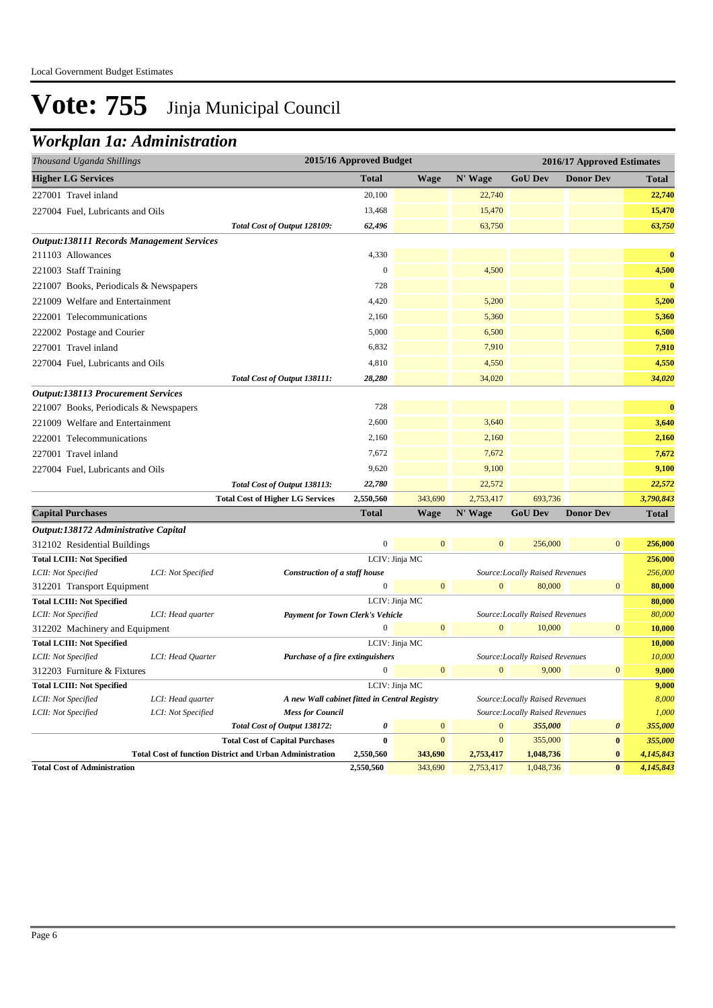### *Workplan 1a: Administration*

| <b>Higher LG Services</b><br><b>Total</b><br>N' Wage<br><b>GoU Dev</b><br><b>Donor Dev</b><br><b>Wage</b><br>20,100<br>22,740<br>227001 Travel inland<br>13,468<br>15,470<br>227004 Fuel, Lubricants and Oils<br>Total Cost of Output 128109:<br>62,496<br>63,750 | <b>Total</b><br>22,740<br>15,470<br>63,750<br>$\bf{0}$ |
|-------------------------------------------------------------------------------------------------------------------------------------------------------------------------------------------------------------------------------------------------------------------|--------------------------------------------------------|
|                                                                                                                                                                                                                                                                   |                                                        |
|                                                                                                                                                                                                                                                                   |                                                        |
|                                                                                                                                                                                                                                                                   |                                                        |
|                                                                                                                                                                                                                                                                   |                                                        |
| <b>Output:138111 Records Management Services</b>                                                                                                                                                                                                                  |                                                        |
| 211103 Allowances<br>4,330                                                                                                                                                                                                                                        |                                                        |
| 4,500<br>$\mathbf{0}$<br>221003 Staff Training                                                                                                                                                                                                                    | 4,500                                                  |
| 728<br>221007 Books, Periodicals & Newspapers                                                                                                                                                                                                                     | $\bf{0}$                                               |
| 4,420<br>5,200<br>221009 Welfare and Entertainment                                                                                                                                                                                                                | 5,200                                                  |
| 2,160<br>5,360<br>222001 Telecommunications                                                                                                                                                                                                                       | 5,360                                                  |
| 222002 Postage and Courier<br>5,000<br>6,500                                                                                                                                                                                                                      | 6,500                                                  |
| 6,832<br>7,910<br>227001 Travel inland                                                                                                                                                                                                                            | 7,910                                                  |
| 227004 Fuel, Lubricants and Oils<br>4,810<br>4,550                                                                                                                                                                                                                | 4,550                                                  |
| 34,020<br>Total Cost of Output 138111:<br>28,280                                                                                                                                                                                                                  | 34,020                                                 |
| <b>Output:138113 Procurement Services</b>                                                                                                                                                                                                                         |                                                        |
| 728<br>221007 Books, Periodicals & Newspapers                                                                                                                                                                                                                     | $\bf{0}$                                               |
| 2,600<br>3,640<br>221009 Welfare and Entertainment                                                                                                                                                                                                                | 3,640                                                  |
| 222001 Telecommunications<br>2,160<br>2,160                                                                                                                                                                                                                       | 2,160                                                  |
| 7,672<br>7,672<br>227001 Travel inland                                                                                                                                                                                                                            | 7,672                                                  |
| 9,620<br>9,100<br>227004 Fuel, Lubricants and Oils                                                                                                                                                                                                                | 9,100                                                  |
| 22,780<br>22,572                                                                                                                                                                                                                                                  | 22,572                                                 |
| Total Cost of Output 138113:<br>343,690<br>2,753,417<br>693,736<br><b>Total Cost of Higher LG Services</b><br>2,550,560                                                                                                                                           | 3,790,843                                              |
| <b>Total</b><br><b>Wage</b><br>N' Wage<br><b>GoU Dev</b><br><b>Donor Dev</b><br><b>Capital Purchases</b>                                                                                                                                                          | <b>Total</b>                                           |
|                                                                                                                                                                                                                                                                   |                                                        |
| Output:138172 Administrative Capital<br>$\overline{0}$<br>$\mathbf{0}$<br>$\mathbf{0}$<br>$\mathbf{0}$<br>256,000<br>312102 Residential Buildings                                                                                                                 | 256,000                                                |
| LCIV: Jinja MC<br><b>Total LCIII: Not Specified</b>                                                                                                                                                                                                               | 256,000                                                |
| LCI: Not Specified<br>Construction of a staff house<br>Source: Locally Raised Revenues<br>LCII: Not Specified                                                                                                                                                     | 256,000                                                |
| $\mathbf{0}$<br>80,000<br>$\mathbf{0}$<br>$\mathbf{0}$<br>$\overline{0}$<br>312201 Transport Equipment                                                                                                                                                            | 80,000                                                 |
| <b>Total LCIII: Not Specified</b><br>LCIV: Jinja MC                                                                                                                                                                                                               | 80,000                                                 |
| LCII: Not Specified<br>LCI: Head quarter<br><b>Payment for Town Clerk's Vehicle</b><br>Source: Locally Raised Revenues                                                                                                                                            | 80,000                                                 |
| $\overline{0}$<br>$\mathbf{0}$<br>$\mathbf{0}$<br>10,000<br>$\boldsymbol{0}$<br>312202 Machinery and Equipment                                                                                                                                                    | 10,000                                                 |
| <b>Total LCIII: Not Specified</b><br>LCIV: Jinja MC                                                                                                                                                                                                               | 10,000                                                 |
| LCII: Not Specified<br>Source: Locally Raised Revenues<br>LCI: Head Quarter<br>Purchase of a fire extinguishers                                                                                                                                                   | 10,000                                                 |
| $\Omega$<br>$\mathbf{0}$<br>$\Omega$<br>9,000<br>$\boldsymbol{0}$<br>312203 Furniture & Fixtures                                                                                                                                                                  | 9,000                                                  |
| <b>Total LCIII: Not Specified</b><br>LCIV: Jinja MC                                                                                                                                                                                                               | 9,000                                                  |
| LCII: Not Specified<br>LCI: Head quarter<br>A new Wall cabinet fitted in Central Registry<br>Source: Locally Raised Revenues                                                                                                                                      | 8,000                                                  |
| LCII: Not Specified<br>LCI: Not Specified<br><b>Mess for Council</b><br>Source: Locally Raised Revenues                                                                                                                                                           | 1,000                                                  |
| 355,000<br>0<br>$\mathbf{0}$<br>$\boldsymbol{0}$<br>0<br>Total Cost of Output 138172:                                                                                                                                                                             | 355,000                                                |
| $\mathbf{0}$<br>$\mathbf{0}$<br>$\pmb{0}$<br><b>Total Cost of Capital Purchases</b><br>$\bf{0}$<br>355,000                                                                                                                                                        | 355,000                                                |
| <b>Total Cost of function District and Urban Administration</b><br>$\bf{0}$<br>2,550,560<br>343,690<br>2,753,417<br>1,048,736<br>2,550,560<br>343,690<br>2,753,417<br>1,048,736<br>$\bf{0}$<br><b>Total Cost of Administration</b>                                | 4,145,843<br>4,145,843                                 |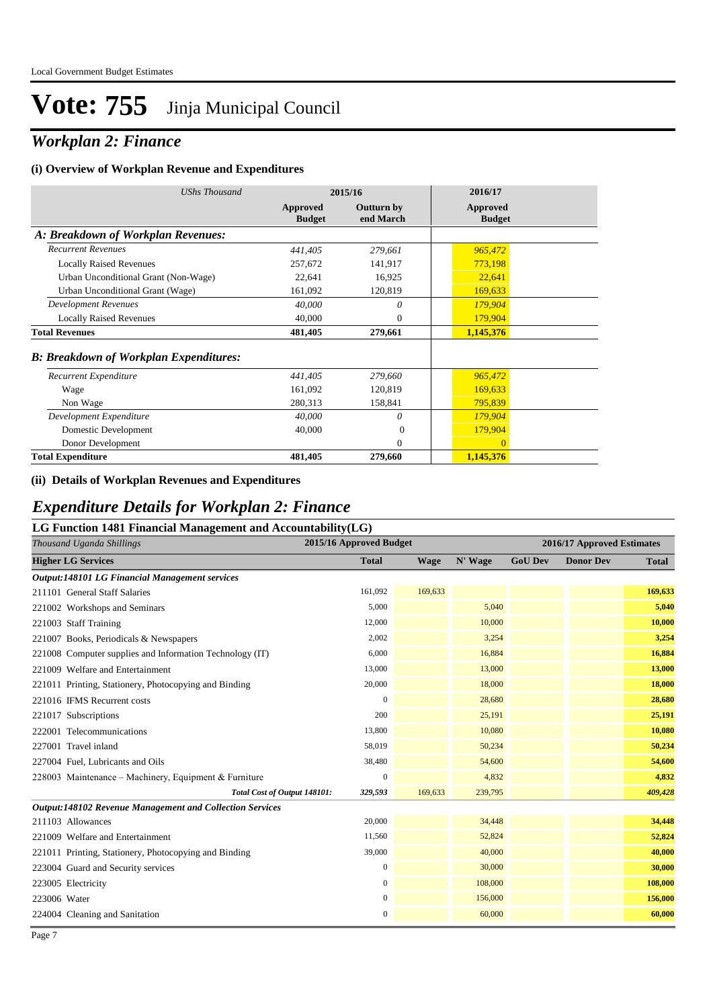### *Workplan 2: Finance*

#### **(i) Overview of Workplan Revenue and Expenditures**

| <b>UShs Thousand</b>                          |                           | 2015/16                 | 2016/17                   |
|-----------------------------------------------|---------------------------|-------------------------|---------------------------|
|                                               | Approved<br><b>Budget</b> | Outturn by<br>end March | Approved<br><b>Budget</b> |
| A: Breakdown of Workplan Revenues:            |                           |                         |                           |
| <b>Recurrent Revenues</b>                     | 441,405                   | 279,661                 | 965,472                   |
| <b>Locally Raised Revenues</b>                | 257,672                   | 141,917                 | 773,198                   |
| Urban Unconditional Grant (Non-Wage)          | 22,641                    | 16,925                  | 22,641                    |
| Urban Unconditional Grant (Wage)              | 161,092                   | 120,819                 | 169,633                   |
| Development Revenues                          | 40,000                    | $\theta$                | 179,904                   |
| <b>Locally Raised Revenues</b>                | 40,000                    | $\mathbf{0}$            | 179,904                   |
| <b>Total Revenues</b>                         | 481,405                   | 279,661                 | 1,145,376                 |
| <b>B: Breakdown of Workplan Expenditures:</b> |                           |                         |                           |
| Recurrent Expenditure                         | 441,405                   | 279,660                 | 965,472                   |
| Wage                                          | 161,092                   | 120,819                 | 169,633                   |
| Non Wage                                      | 280,313                   | 158,841                 | 795,839                   |
| Development Expenditure                       | 40,000                    | 0                       | 179,904                   |
| Domestic Development                          | 40,000                    | $\Omega$                | 179,904                   |
| Donor Development                             |                           | $\Omega$                | $\Omega$                  |
| <b>Total Expenditure</b>                      | 481,405                   | 279,660                 | 1,145,376                 |

#### **(ii) Details of Workplan Revenues and Expenditures**

### *Expenditure Details for Workplan 2: Finance*

| LG Function 1481 Financial Management and Accountability(LG)    |                         |         |         |                            |                  |              |  |
|-----------------------------------------------------------------|-------------------------|---------|---------|----------------------------|------------------|--------------|--|
| Thousand Uganda Shillings                                       | 2015/16 Approved Budget |         |         | 2016/17 Approved Estimates |                  |              |  |
| <b>Higher LG Services</b>                                       | <b>Total</b>            | Wage    | N' Wage | <b>GoU Dev</b>             | <b>Donor Dev</b> | <b>Total</b> |  |
| Output:148101 LG Financial Management services                  |                         |         |         |                            |                  |              |  |
| 211101 General Staff Salaries                                   | 161,092                 | 169,633 |         |                            |                  | 169,633      |  |
| 221002 Workshops and Seminars                                   | 5,000                   |         | 5,040   |                            |                  | 5,040        |  |
| 221003 Staff Training                                           | 12,000                  |         | 10,000  |                            |                  | 10,000       |  |
| 221007 Books, Periodicals & Newspapers                          | 2,002                   |         | 3,254   |                            |                  | 3,254        |  |
| 221008 Computer supplies and Information Technology (IT)        | 6,000                   |         | 16,884  |                            |                  | 16,884       |  |
| 221009 Welfare and Entertainment                                | 13,000                  |         | 13,000  |                            |                  | 13,000       |  |
| 221011 Printing, Stationery, Photocopying and Binding           | 20,000                  |         | 18,000  |                            |                  | 18,000       |  |
| 221016 IFMS Recurrent costs                                     | $\Omega$                |         | 28,680  |                            |                  | 28,680       |  |
| 221017 Subscriptions                                            | 200                     |         | 25,191  |                            |                  | 25,191       |  |
| 222001 Telecommunications                                       | 13,800                  |         | 10,080  |                            |                  | 10,080       |  |
| 227001 Travel inland                                            | 58,019                  |         | 50,234  |                            |                  | 50,234       |  |
| 227004 Fuel, Lubricants and Oils                                | 38,480                  |         | 54,600  |                            |                  | 54,600       |  |
| 228003 Maintenance – Machinery, Equipment & Furniture           | $\Omega$                |         | 4,832   |                            |                  | 4,832        |  |
| Total Cost of Output 148101:                                    | 329,593                 | 169,633 | 239,795 |                            |                  | 409,428      |  |
| <b>Output:148102 Revenue Management and Collection Services</b> |                         |         |         |                            |                  |              |  |
| 211103 Allowances                                               | 20,000                  |         | 34,448  |                            |                  | 34,448       |  |
| 221009 Welfare and Entertainment                                | 11,560                  |         | 52,824  |                            |                  | 52,824       |  |
| 221011 Printing, Stationery, Photocopying and Binding           | 39,000                  |         | 40,000  |                            |                  | 40,000       |  |
| 223004 Guard and Security services                              | $\boldsymbol{0}$        |         | 30,000  |                            |                  | 30,000       |  |
| 223005 Electricity                                              | $\boldsymbol{0}$        |         | 108,000 |                            |                  | 108,000      |  |
| 223006 Water                                                    | $\mathbf{0}$            |         | 156,000 |                            |                  | 156,000      |  |
| 224004 Cleaning and Sanitation                                  | $\boldsymbol{0}$        |         | 60,000  |                            |                  | 60,000       |  |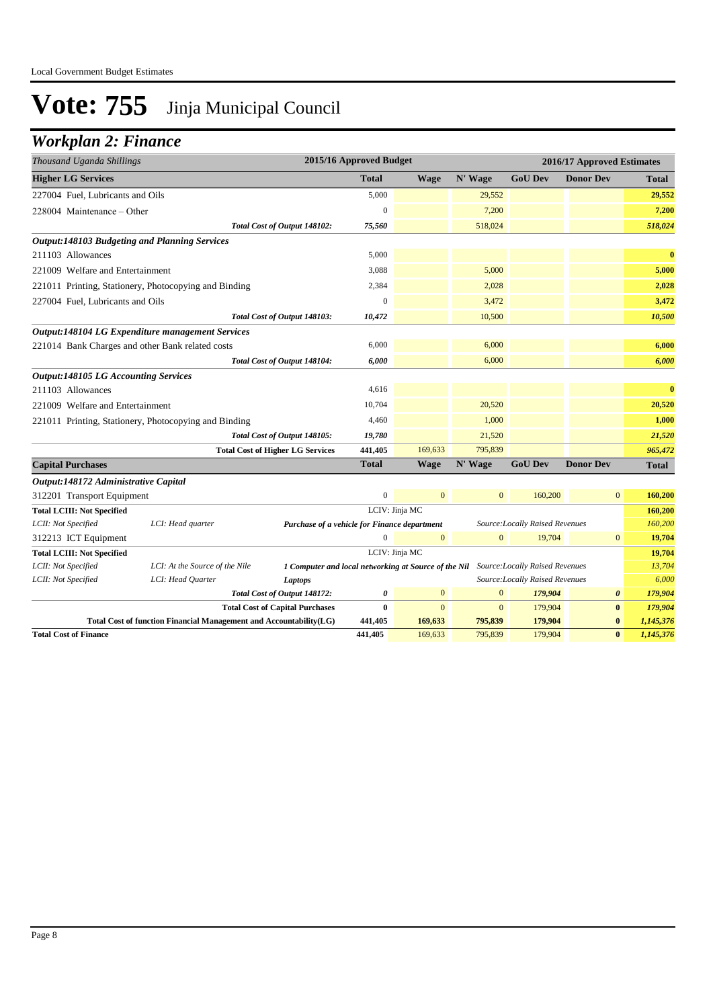### *Workplan 2: Finance*

| Thousand Uganda Shillings                   |                                                                    |                                                                                      | 2015/16 Approved Budget |                |                |                                 | 2016/17 Approved Estimates |           |
|---------------------------------------------|--------------------------------------------------------------------|--------------------------------------------------------------------------------------|-------------------------|----------------|----------------|---------------------------------|----------------------------|-----------|
| <b>Higher LG Services</b>                   |                                                                    |                                                                                      | <b>Total</b>            | <b>Wage</b>    | N' Wage        | <b>GoU Dev</b>                  | <b>Donor Dev</b>           | Total     |
| 227004 Fuel, Lubricants and Oils            |                                                                    |                                                                                      | 5,000                   |                | 29,552         |                                 |                            | 29,552    |
| 228004 Maintenance - Other                  |                                                                    |                                                                                      | 0                       |                | 7,200          |                                 |                            | 7,200     |
|                                             |                                                                    | Total Cost of Output 148102:                                                         | 75,560                  |                | 518,024        |                                 |                            | 518,024   |
|                                             | <b>Output:148103 Budgeting and Planning Services</b>               |                                                                                      |                         |                |                |                                 |                            |           |
| 211103 Allowances                           |                                                                    |                                                                                      | 5,000                   |                |                |                                 |                            | $\bf{0}$  |
| 221009 Welfare and Entertainment            |                                                                    |                                                                                      | 3,088                   |                | 5,000          |                                 |                            | 5,000     |
|                                             | 221011 Printing, Stationery, Photocopying and Binding              |                                                                                      | 2,384                   |                | 2,028          |                                 |                            | 2,028     |
| 227004 Fuel, Lubricants and Oils            |                                                                    |                                                                                      | $\mathbf{0}$            |                | 3,472          |                                 |                            | 3,472     |
|                                             |                                                                    | Total Cost of Output 148103:                                                         | 10,472                  |                | 10,500         |                                 |                            | 10,500    |
|                                             | Output:148104 LG Expenditure management Services                   |                                                                                      |                         |                |                |                                 |                            |           |
|                                             | 221014 Bank Charges and other Bank related costs                   |                                                                                      | 6,000                   |                | 6,000          |                                 |                            | 6,000     |
|                                             |                                                                    | Total Cost of Output 148104:                                                         | 6,000                   |                | 6,000          |                                 |                            | 6,000     |
| <b>Output:148105 LG Accounting Services</b> |                                                                    |                                                                                      |                         |                |                |                                 |                            |           |
| 211103 Allowances                           |                                                                    |                                                                                      | 4,616                   |                |                |                                 |                            | $\bf{0}$  |
| 221009 Welfare and Entertainment            |                                                                    |                                                                                      | 10,704                  |                | 20,520         |                                 |                            | 20,520    |
|                                             | 221011 Printing, Stationery, Photocopying and Binding              |                                                                                      | 4,460                   |                | 1,000          |                                 |                            | 1,000     |
|                                             |                                                                    | Total Cost of Output 148105:                                                         | 19,780                  |                | 21,520         |                                 |                            | 21,520    |
|                                             |                                                                    | <b>Total Cost of Higher LG Services</b>                                              | 441,405                 | 169,633        | 795,839        |                                 |                            | 965,472   |
| <b>Capital Purchases</b>                    |                                                                    |                                                                                      | <b>Total</b>            | <b>Wage</b>    | N' Wage        | <b>GoU Dev</b>                  | <b>Donor Dev</b>           | Total     |
| Output:148172 Administrative Capital        |                                                                    |                                                                                      |                         |                |                |                                 |                            |           |
| 312201 Transport Equipment                  |                                                                    |                                                                                      | $\overline{0}$          | $\mathbf{0}$   | $\overline{0}$ | 160,200                         | $\mathbf{0}$               | 160,200   |
| <b>Total LCIII: Not Specified</b>           |                                                                    |                                                                                      |                         | LCIV: Jinja MC |                |                                 |                            | 160,200   |
| LCII: Not Specified                         | LCI: Head quarter                                                  | Purchase of a vehicle for Finance department                                         |                         |                |                | Source: Locally Raised Revenues |                            | 160,200   |
| 312213 ICT Equipment                        |                                                                    |                                                                                      | $\Omega$                | $\mathbf{0}$   | $\mathbf{0}$   | 19,704                          | $\mathbf{0}$               | 19,704    |
| <b>Total LCIII: Not Specified</b>           |                                                                    |                                                                                      |                         | LCIV: Jinja MC |                |                                 |                            | 19,704    |
| LCII: Not Specified                         | LCI: At the Source of the Nile                                     | 1 Computer and local networking at Source of the Nil Source: Locally Raised Revenues |                         |                |                |                                 |                            | 13,704    |
| LCII: Not Specified                         | LCI: Head Quarter                                                  | Laptops                                                                              |                         |                |                | Source: Locally Raised Revenues |                            | 6,000     |
|                                             |                                                                    | Total Cost of Output 148172:                                                         | 0                       | $\mathbf{0}$   | $\overline{0}$ | 179,904                         | $\boldsymbol{\theta}$      | 179,904   |
|                                             |                                                                    | <b>Total Cost of Capital Purchases</b>                                               | $\bf{0}$                | $\mathbf{0}$   | $\overline{0}$ | 179,904                         | $\bf{0}$                   | 179,904   |
|                                             | Total Cost of function Financial Management and Accountability(LG) |                                                                                      | 441,405                 | 169,633        | 795,839        | 179,904                         | $\bf{0}$                   | 1,145,376 |
| <b>Total Cost of Finance</b>                |                                                                    |                                                                                      | 441,405                 | 169,633        | 795,839        | 179,904                         | $\bf{0}$                   | 1,145,376 |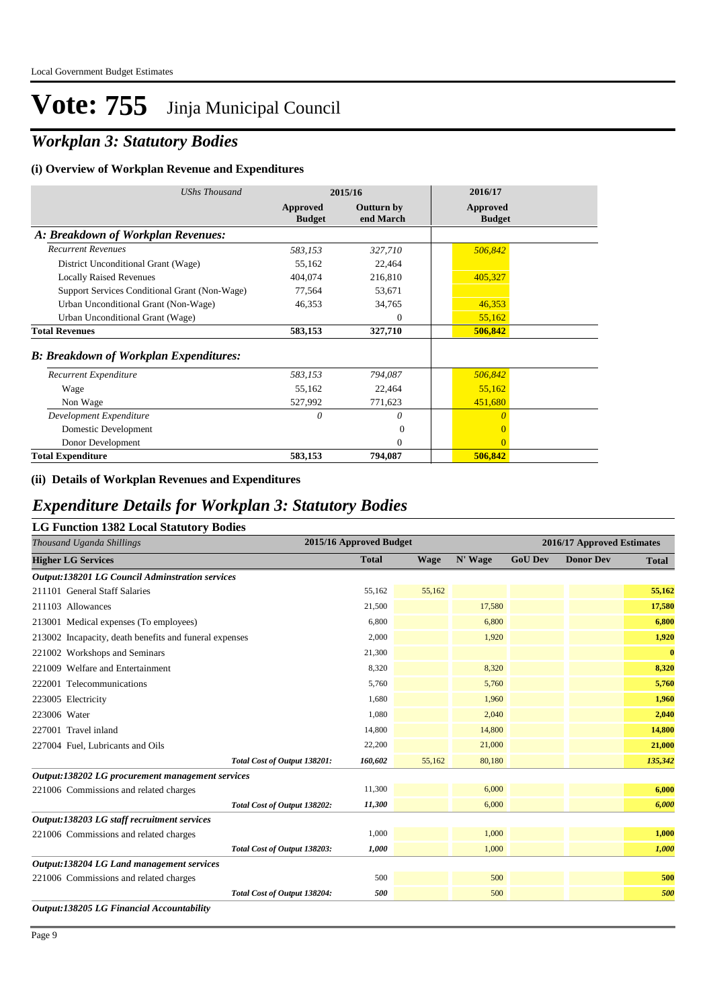## *Workplan 3: Statutory Bodies*

#### **(i) Overview of Workplan Revenue and Expenditures**

| <b>UShs Thousand</b>                          |                           | 2015/16                        | 2016/17                   |
|-----------------------------------------------|---------------------------|--------------------------------|---------------------------|
|                                               | Approved<br><b>Budget</b> | <b>Outturn by</b><br>end March | Approved<br><b>Budget</b> |
| A: Breakdown of Workplan Revenues:            |                           |                                |                           |
| <b>Recurrent Revenues</b>                     | 583,153                   | 327,710                        | 506,842                   |
| District Unconditional Grant (Wage)           | 55,162                    | 22,464                         |                           |
| <b>Locally Raised Revenues</b>                | 404,074                   | 216,810                        | 405,327                   |
| Support Services Conditional Grant (Non-Wage) | 77,564                    | 53,671                         |                           |
| Urban Unconditional Grant (Non-Wage)          | 46,353                    | 34,765                         | 46,353                    |
| Urban Unconditional Grant (Wage)              |                           | $\theta$                       | 55,162                    |
| <b>Total Revenues</b>                         | 583,153                   | 327,710                        | 506,842                   |
| <b>B: Breakdown of Workplan Expenditures:</b> |                           |                                |                           |
| Recurrent Expenditure                         | 583,153                   | 794,087                        | 506,842                   |
| Wage                                          | 55,162                    | 22,464                         | 55,162                    |
| Non Wage                                      | 527,992                   | 771,623                        | 451,680                   |
| Development Expenditure                       | $\theta$                  | $\theta$                       | $\theta$                  |
| Domestic Development                          |                           | 0                              | $\mathbf{0}$              |
| Donor Development                             |                           | $\mathbf{0}$                   | $\Omega$                  |
| <b>Total Expenditure</b>                      | 583,153                   | 794,087                        | 506,842                   |

#### **(ii) Details of Workplan Revenues and Expenditures**

### *Expenditure Details for Workplan 3: Statutory Bodies*

| Thousand Uganda Shillings                              |                              | 2015/16 Approved Budget |             |         | 2016/17 Approved Estimates |                  |              |  |
|--------------------------------------------------------|------------------------------|-------------------------|-------------|---------|----------------------------|------------------|--------------|--|
| <b>Higher LG Services</b>                              |                              | <b>Total</b>            | <b>Wage</b> | N' Wage | <b>GoU Dev</b>             | <b>Donor Dev</b> | <b>Total</b> |  |
| <b>Output:138201 LG Council Adminstration services</b> |                              |                         |             |         |                            |                  |              |  |
| 211101 General Staff Salaries                          |                              | 55,162                  | 55,162      |         |                            |                  | 55,162       |  |
| 211103 Allowances                                      |                              | 21,500                  |             | 17,580  |                            |                  | 17,580       |  |
| 213001 Medical expenses (To employees)                 |                              | 6,800                   |             | 6,800   |                            |                  | 6,800        |  |
| 213002 Incapacity, death benefits and funeral expenses |                              | 2,000                   |             | 1,920   |                            |                  | 1,920        |  |
| 221002 Workshops and Seminars                          |                              | 21,300                  |             |         |                            |                  | $\bf{0}$     |  |
| 221009 Welfare and Entertainment                       |                              | 8,320                   |             | 8,320   |                            |                  | 8,320        |  |
| 222001 Telecommunications                              |                              | 5.760                   |             | 5,760   |                            |                  | 5,760        |  |
| 223005 Electricity                                     |                              | 1,680                   |             | 1,960   |                            |                  | 1,960        |  |
| 223006 Water                                           |                              | 1,080                   |             | 2,040   |                            |                  | 2,040        |  |
| 227001 Travel inland                                   |                              | 14,800                  |             | 14,800  |                            |                  | 14,800       |  |
| 227004 Fuel, Lubricants and Oils                       |                              | 22,200                  |             | 21,000  |                            |                  | 21,000       |  |
|                                                        | Total Cost of Output 138201: | 160,602                 | 55,162      | 80,180  |                            |                  | 135,342      |  |
| Output:138202 LG procurement management services       |                              |                         |             |         |                            |                  |              |  |
| 221006 Commissions and related charges                 |                              | 11,300                  |             | 6,000   |                            |                  | 6,000        |  |
|                                                        | Total Cost of Output 138202: | 11,300                  |             | 6,000   |                            |                  | 6,000        |  |
| Output:138203 LG staff recruitment services            |                              |                         |             |         |                            |                  |              |  |
| 221006 Commissions and related charges                 |                              | 1,000                   |             | 1,000   |                            |                  | 1,000        |  |
|                                                        | Total Cost of Output 138203: | 1,000                   |             | 1,000   |                            |                  | 1,000        |  |
| Output:138204 LG Land management services              |                              |                         |             |         |                            |                  |              |  |
| 221006 Commissions and related charges                 |                              | 500                     |             | 500     |                            |                  | 500          |  |
|                                                        | Total Cost of Output 138204: | 500                     |             | 500     |                            |                  | 500          |  |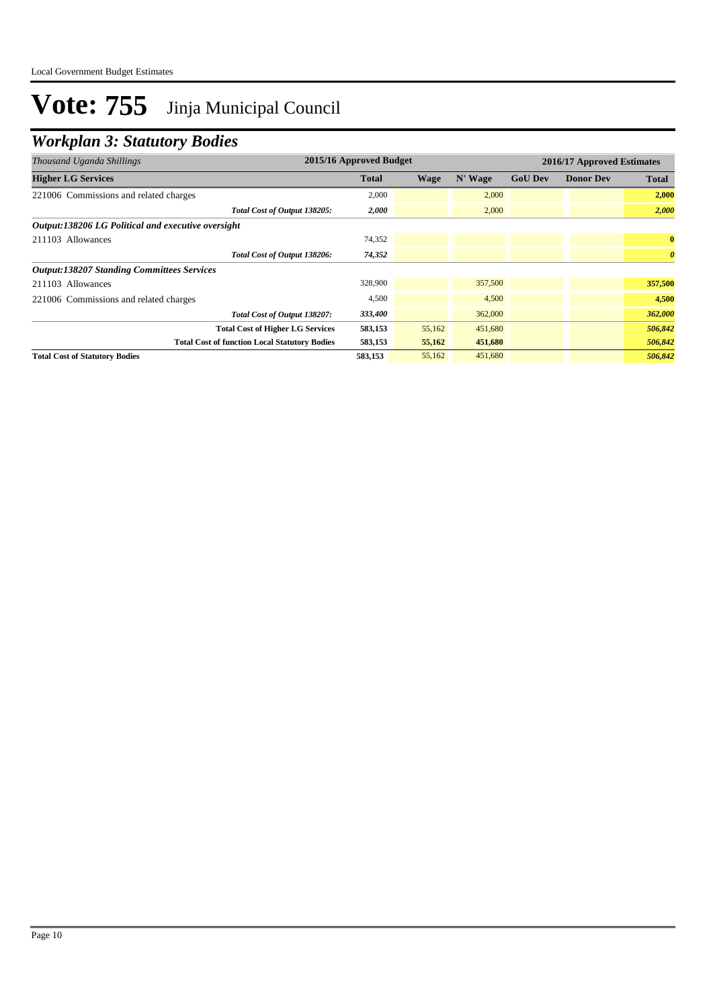## *Workplan 3: Statutory Bodies*

| Thousand Uganda Shillings                            | 2015/16 Approved Budget |        |         | 2016/17 Approved Estimates |                  |                       |  |
|------------------------------------------------------|-------------------------|--------|---------|----------------------------|------------------|-----------------------|--|
| <b>Higher LG Services</b>                            | <b>Total</b>            | Wage   | N' Wage | <b>GoU Dev</b>             | <b>Donor Dev</b> | <b>Total</b>          |  |
| 221006 Commissions and related charges               | 2,000                   |        | 2,000   |                            |                  | 2,000                 |  |
| Total Cost of Output 138205:                         | 2,000                   |        | 2,000   |                            |                  | 2,000                 |  |
| Output:138206 LG Political and executive oversight   |                         |        |         |                            |                  |                       |  |
| 211103 Allowances                                    | 74,352                  |        |         |                            |                  | $\bf{0}$              |  |
| Total Cost of Output 138206:                         | 74,352                  |        |         |                            |                  | $\boldsymbol{\theta}$ |  |
| <b>Output:138207 Standing Committees Services</b>    |                         |        |         |                            |                  |                       |  |
| 211103 Allowances                                    | 328,900                 |        | 357,500 |                            |                  | 357,500               |  |
| 221006 Commissions and related charges               | 4,500                   |        | 4,500   |                            |                  | 4,500                 |  |
| Total Cost of Output 138207:                         | 333,400                 |        | 362,000 |                            |                  | 362,000               |  |
| <b>Total Cost of Higher LG Services</b>              | 583,153                 | 55,162 | 451,680 |                            |                  | 506,842               |  |
| <b>Total Cost of function Local Statutory Bodies</b> | 583,153                 | 55,162 | 451,680 |                            |                  | 506,842               |  |
| <b>Total Cost of Statutory Bodies</b>                | 583,153                 | 55,162 | 451,680 |                            |                  | 506,842               |  |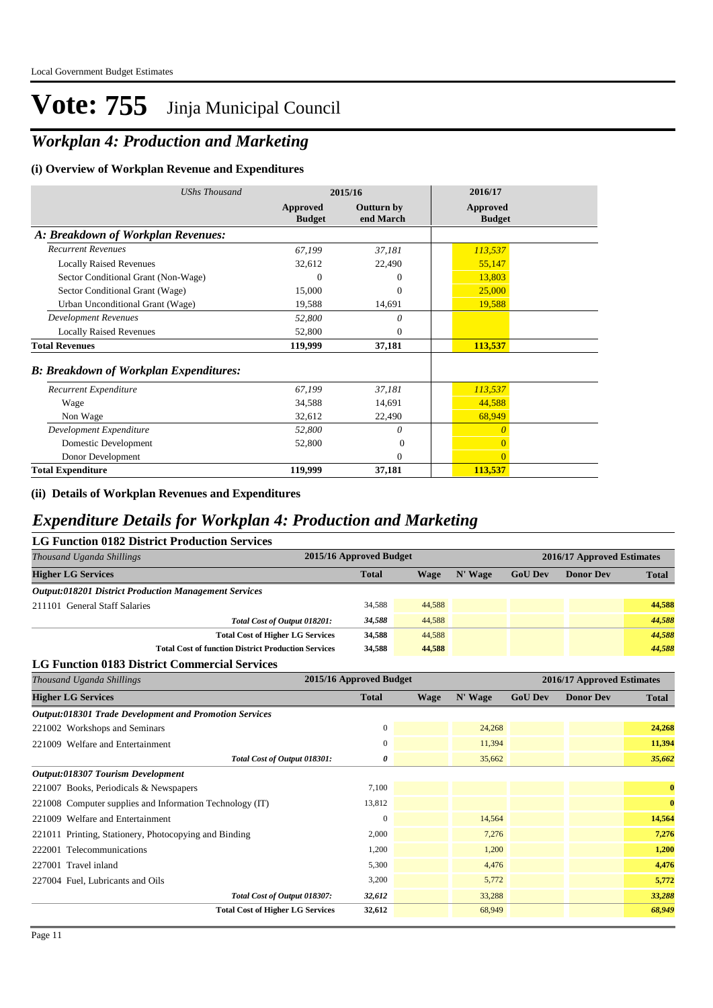### *Workplan 4: Production and Marketing*

#### **(i) Overview of Workplan Revenue and Expenditures**

| <b>UShs Thousand</b>                          | 2015/16                   |                                | 2016/17                   |
|-----------------------------------------------|---------------------------|--------------------------------|---------------------------|
|                                               | Approved<br><b>Budget</b> | <b>Outturn by</b><br>end March | Approved<br><b>Budget</b> |
| A: Breakdown of Workplan Revenues:            |                           |                                |                           |
| <b>Recurrent Revenues</b>                     | 67,199                    | 37,181                         | 113,537                   |
| <b>Locally Raised Revenues</b>                | 32,612                    | 22,490                         | 55,147                    |
| Sector Conditional Grant (Non-Wage)           | $\Omega$                  | $\theta$                       | 13,803                    |
| Sector Conditional Grant (Wage)               | 15,000                    | $\Omega$                       | 25,000                    |
| Urban Unconditional Grant (Wage)              | 19,588                    | 14,691                         | 19,588                    |
| <b>Development Revenues</b>                   | 52,800                    | $\theta$                       |                           |
| <b>Locally Raised Revenues</b>                | 52,800                    | $\theta$                       |                           |
| <b>Total Revenues</b>                         | 119,999                   | 37,181                         | 113,537                   |
| <b>B: Breakdown of Workplan Expenditures:</b> |                           |                                |                           |
| Recurrent Expenditure                         | 67,199                    | 37,181                         | 113,537                   |
| Wage                                          | 34,588                    | 14,691                         | 44,588                    |
| Non Wage                                      | 32,612                    | 22,490                         | 68,949                    |
| Development Expenditure                       | 52,800                    | 0                              | $\overline{0}$            |
| Domestic Development                          | 52,800                    | $\theta$                       | $\overline{0}$            |
| Donor Development                             |                           | $\mathbf{0}$                   | $\overline{0}$            |
| <b>Total Expenditure</b>                      | 119,999                   | 37,181                         | 113,537                   |

**(ii) Details of Workplan Revenues and Expenditures**

### *Expenditure Details for Workplan 4: Production and Marketing*

| <b>LG Function 0182 District Production Services</b>         |                         |        |         |                |                            |              |  |  |
|--------------------------------------------------------------|-------------------------|--------|---------|----------------|----------------------------|--------------|--|--|
| Thousand Uganda Shillings                                    | 2015/16 Approved Budget |        |         |                | 2016/17 Approved Estimates |              |  |  |
| <b>Higher LG Services</b>                                    | <b>Total</b>            | Wage   | N' Wage | <b>GoU Dev</b> | <b>Donor Dev</b>           | <b>Total</b> |  |  |
| <b>Output:018201 District Production Management Services</b> |                         |        |         |                |                            |              |  |  |
| 211101 General Staff Salaries                                | 34.588                  | 44,588 |         |                |                            | 44.588       |  |  |
| Total Cost of Output 018201:                                 | 34,588                  | 44,588 |         |                |                            | 44.588       |  |  |
| <b>Total Cost of Higher LG Services</b>                      | 34,588                  | 44,588 |         |                |                            | 44,588       |  |  |
| <b>Total Cost of function District Production Services</b>   | 34.588                  | 44,588 |         |                |                            | 44,588       |  |  |

#### **LG Function 0183 District Commercial Services**

| Thousand Uganda Shillings                                     | 2015/16 Approved Budget |             |         | 2016/17 Approved Estimates |                  |              |
|---------------------------------------------------------------|-------------------------|-------------|---------|----------------------------|------------------|--------------|
| <b>Higher LG Services</b>                                     | <b>Total</b>            | <b>Wage</b> | N' Wage | <b>GoU Dev</b>             | <b>Donor Dev</b> | <b>Total</b> |
| <b>Output:018301 Trade Development and Promotion Services</b> |                         |             |         |                            |                  |              |
| 221002 Workshops and Seminars                                 | $\mathbf{0}$            |             | 24,268  |                            |                  | 24,268       |
| 221009 Welfare and Entertainment                              | $\mathbf{0}$            |             | 11,394  |                            |                  | 11,394       |
| Total Cost of Output 018301:                                  | 0                       |             | 35,662  |                            |                  | 35,662       |
| Output:018307 Tourism Development                             |                         |             |         |                            |                  |              |
| 221007 Books, Periodicals & Newspapers                        | 7,100                   |             |         |                            |                  | $\bf{0}$     |
| 221008 Computer supplies and Information Technology (IT)      | 13,812                  |             |         |                            |                  | $\bf{0}$     |
| 221009 Welfare and Entertainment                              | $\overline{0}$          |             | 14,564  |                            |                  | 14,564       |
| 221011 Printing, Stationery, Photocopying and Binding         | 2,000                   |             | 7,276   |                            |                  | 7,276        |
| 222001 Telecommunications                                     | 1,200                   |             | 1,200   |                            |                  | 1,200        |
| 227001 Travel inland                                          | 5,300                   |             | 4,476   |                            |                  | 4,476        |
| 227004 Fuel, Lubricants and Oils                              | 3,200                   |             | 5,772   |                            |                  | 5,772        |
| Total Cost of Output 018307:                                  | 32,612                  |             | 33,288  |                            |                  | 33,288       |
| <b>Total Cost of Higher LG Services</b>                       | 32,612                  |             | 68,949  |                            |                  | 68,949       |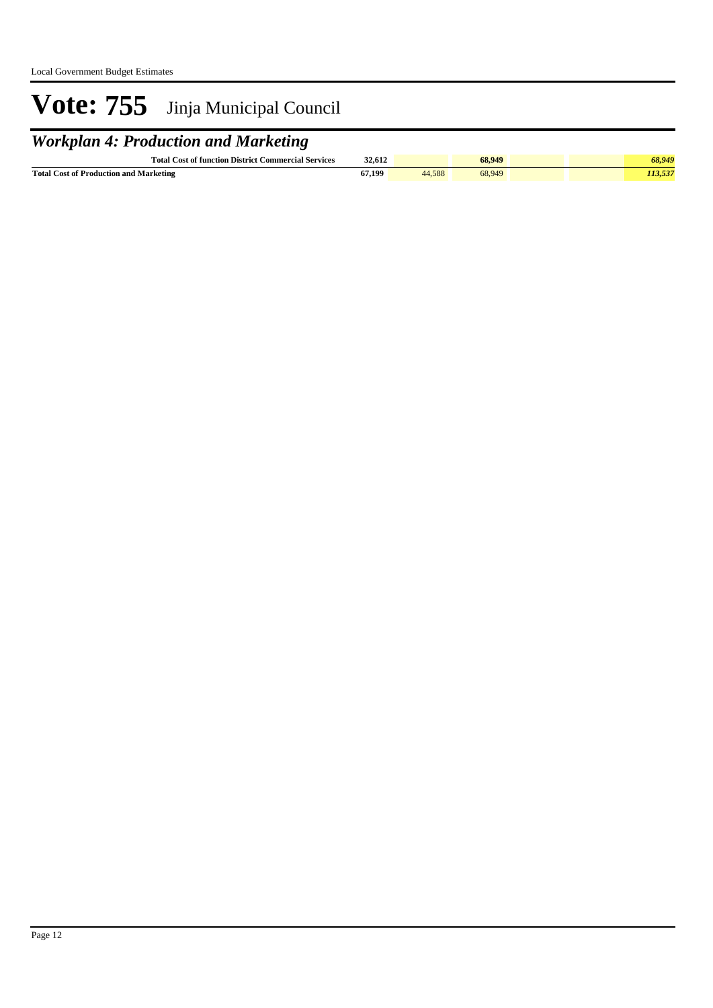### *Workplan 4: Production and Marketing*

| <b>Total Cost of function District Commercial Services</b> | 32.612<br>. |     | 68.949 | 00.Y4. |  |
|------------------------------------------------------------|-------------|-----|--------|--------|--|
| <b>Total Cost of Production and 1</b><br>Marketing         | 67 199      | 588 | 68,949 |        |  |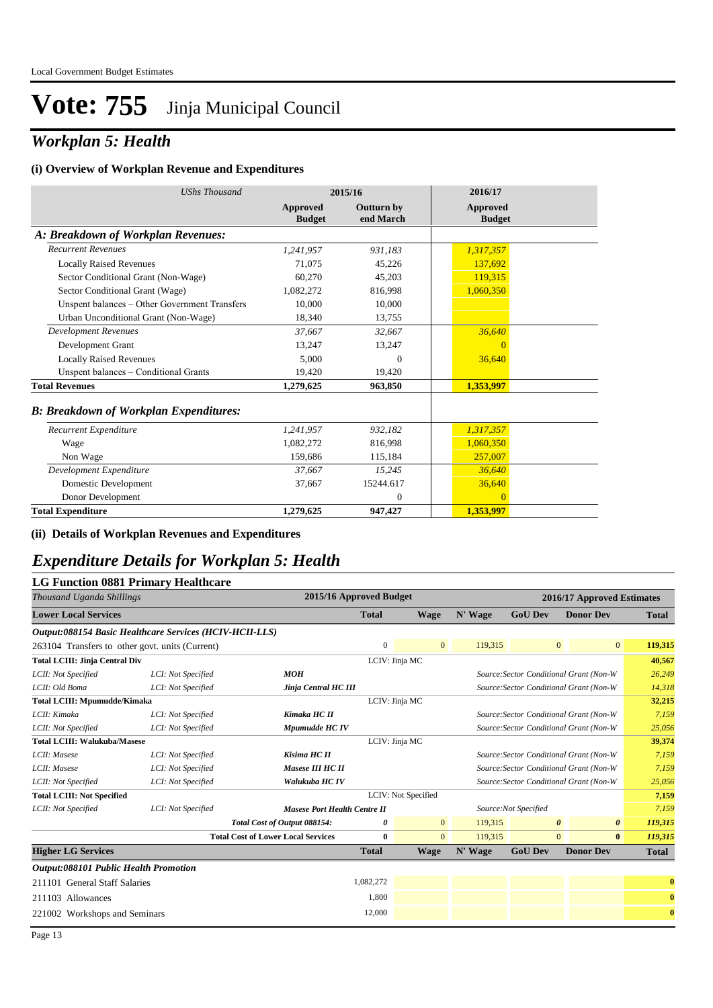### *Workplan 5: Health*

#### **(i) Overview of Workplan Revenue and Expenditures**

| <b>UShs Thousand</b>                          |                           | 2015/16                        | 2016/17                   |  |  |
|-----------------------------------------------|---------------------------|--------------------------------|---------------------------|--|--|
|                                               | Approved<br><b>Budget</b> | <b>Outturn by</b><br>end March | Approved<br><b>Budget</b> |  |  |
| A: Breakdown of Workplan Revenues:            |                           |                                |                           |  |  |
| <b>Recurrent Revenues</b>                     | 1,241,957                 | 931.183                        | 1,317,357                 |  |  |
| <b>Locally Raised Revenues</b>                | 71,075                    | 45,226                         | 137,692                   |  |  |
| Sector Conditional Grant (Non-Wage)           | 60,270                    | 45,203                         | 119.315                   |  |  |
| Sector Conditional Grant (Wage)               | 1,082,272                 | 816,998                        | 1.060.350                 |  |  |
| Unspent balances - Other Government Transfers | 10.000                    | 10,000                         |                           |  |  |
| Urban Unconditional Grant (Non-Wage)          | 18,340                    | 13,755                         |                           |  |  |
| <b>Development Revenues</b>                   | 37,667                    | 32,667                         | 36,640                    |  |  |
| Development Grant                             | 13,247                    | 13,247                         | $\theta$                  |  |  |
| <b>Locally Raised Revenues</b>                | 5.000                     | $\Omega$                       | 36,640                    |  |  |
| Unspent balances - Conditional Grants         | 19,420                    | 19,420                         |                           |  |  |
| <b>Total Revenues</b>                         | 1,279,625                 | 963,850                        | 1,353,997                 |  |  |
| <b>B: Breakdown of Workplan Expenditures:</b> |                           |                                |                           |  |  |
| Recurrent Expenditure                         | 1,241,957                 | 932.182                        | 1,317,357                 |  |  |
| Wage                                          | 1,082,272                 | 816,998                        | 1,060,350                 |  |  |
| Non Wage                                      | 159,686                   | 115,184                        | 257,007                   |  |  |
| Development Expenditure                       | 37,667                    | 15,245                         | 36,640                    |  |  |
| Domestic Development                          | 37,667                    | 15244.617                      | 36,640                    |  |  |
| Donor Development                             |                           | $\mathbf{0}$                   | $\Omega$                  |  |  |
| <b>Total Expenditure</b>                      | 1,279,625                 | 947,427                        | 1,353,997                 |  |  |

**(ii) Details of Workplan Revenues and Expenditures**

### *Expenditure Details for Workplan 5: Health*

#### **LG Function 0881 Primary Healthcare**

| Thousand Uganda Shillings                    |                                                         | 2015/16 Approved Budget                   |                |                     |         |                       | 2016/17 Approved Estimates              |              |
|----------------------------------------------|---------------------------------------------------------|-------------------------------------------|----------------|---------------------|---------|-----------------------|-----------------------------------------|--------------|
| <b>Lower Local Services</b>                  |                                                         |                                           | <b>Total</b>   | <b>Wage</b>         | N' Wage | <b>GoU Dev</b>        | <b>Donor Dev</b>                        | <b>Total</b> |
|                                              | Output:088154 Basic Healthcare Services (HCIV-HCII-LLS) |                                           |                |                     |         |                       |                                         |              |
|                                              | 263104 Transfers to other govt. units (Current)         |                                           | $\overline{0}$ | $\overline{0}$      | 119,315 |                       | $\mathbf{0}$<br>$\mathbf{0}$            | 119,315      |
| <b>Total LCIII: Jinja Central Div</b>        |                                                         |                                           | LCIV: Jinja MC |                     |         |                       |                                         | 40,567       |
| LCII: Not Specified                          | LCI: Not Specified                                      | MOH                                       |                |                     |         |                       | Source: Sector Conditional Grant (Non-W | 26,249       |
| LCII: Old Boma                               | LCI: Not Specified                                      | Jinja Central HC III                      |                |                     |         |                       | Source: Sector Conditional Grant (Non-W | 14,318       |
| <b>Total LCIII: Mpumudde/Kimaka</b>          |                                                         |                                           | LCIV: Jinja MC |                     |         |                       |                                         | 32,215       |
| LCII: Kimaka                                 | LCI: Not Specified                                      | Kimaka HC II                              |                |                     |         |                       | Source: Sector Conditional Grant (Non-W | 7,159        |
| LCII: Not Specified                          | LCI: Not Specified                                      | Mpumudde HC IV                            |                |                     |         |                       | Source: Sector Conditional Grant (Non-W | 25,056       |
| <b>Total LCIII: Walukuba/Masese</b>          |                                                         |                                           | LCIV: Jinja MC |                     |         |                       |                                         | 39,374       |
| LCII: Masese                                 | LCI: Not Specified                                      | Kisima HC II                              |                |                     |         |                       | Source: Sector Conditional Grant (Non-W | 7,159        |
| LCII: Masese                                 | LCI: Not Specified                                      | Masese III HC II                          |                |                     |         |                       | Source: Sector Conditional Grant (Non-W | 7,159        |
| LCII: Not Specified                          | LCI: Not Specified                                      | Walukuba HC IV                            |                |                     |         |                       | Source: Sector Conditional Grant (Non-W | 25,056       |
| <b>Total LCIII: Not Specified</b>            |                                                         |                                           |                | LCIV: Not Specified |         |                       |                                         | 7,159        |
| LCII: Not Specified                          | LCI: Not Specified                                      | <b>Masese Port Health Centre II</b>       |                |                     |         | Source: Not Specified |                                         | 7,159        |
|                                              |                                                         | Total Cost of Output 088154:              | 0              | $\overline{0}$      | 119,315 |                       | $\theta$<br>$\boldsymbol{\theta}$       | 119,315      |
|                                              |                                                         | <b>Total Cost of Lower Local Services</b> | $\bf{0}$       | $\overline{0}$      | 119,315 |                       | $\overline{0}$<br>$\bf{0}$              | 119,315      |
| <b>Higher LG Services</b>                    |                                                         |                                           | <b>Total</b>   | <b>Wage</b>         | N' Wage | <b>GoU Dev</b>        | <b>Donor Dev</b>                        | <b>Total</b> |
| <b>Output:088101 Public Health Promotion</b> |                                                         |                                           |                |                     |         |                       |                                         |              |
| 211101 General Staff Salaries                |                                                         |                                           | 1,082,272      |                     |         |                       |                                         | $\bf{0}$     |
| 211103 Allowances                            |                                                         |                                           | 1,800          |                     |         |                       |                                         | $\bf{0}$     |
| 221002 Workshops and Seminars                |                                                         |                                           | 12,000         |                     |         |                       |                                         | $\bf{0}$     |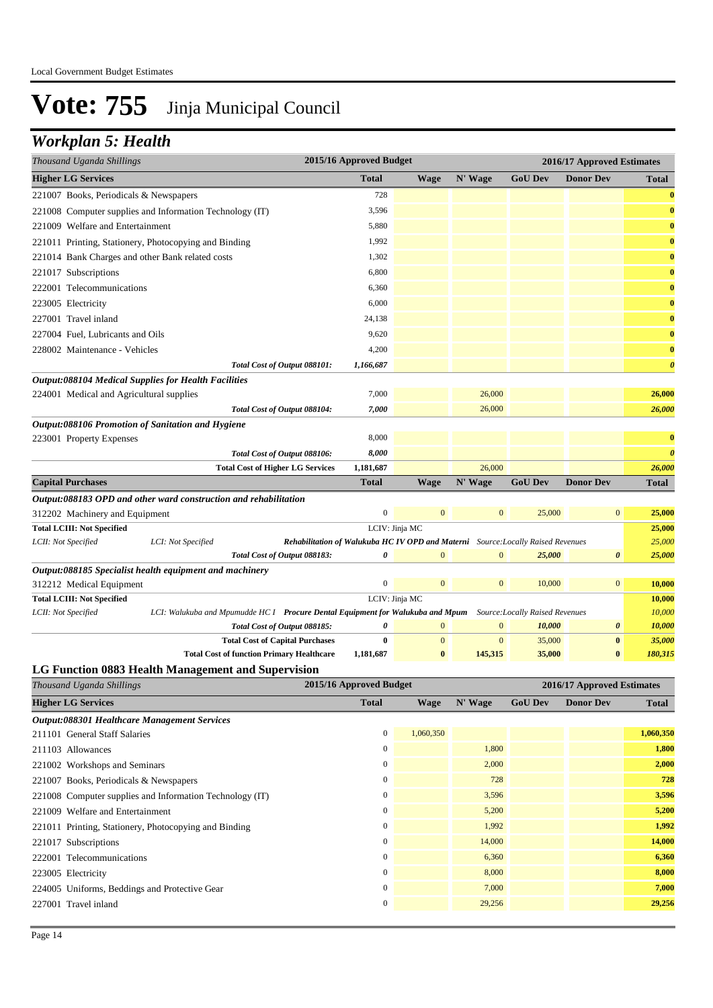### *Workplan 5: Health*

| Thousand Uganda Shillings                                                           |                    |                                                                                                                | 2015/16 Approved Budget |                  |                                                                                  | 2016/17 Approved Estimates |                            |                       |
|-------------------------------------------------------------------------------------|--------------------|----------------------------------------------------------------------------------------------------------------|-------------------------|------------------|----------------------------------------------------------------------------------|----------------------------|----------------------------|-----------------------|
| <b>Higher LG Services</b>                                                           |                    |                                                                                                                | <b>Total</b>            | Wage             | N' Wage                                                                          | <b>GoU Dev</b>             | <b>Donor Dev</b>           | <b>Total</b>          |
| 221007 Books, Periodicals & Newspapers                                              |                    |                                                                                                                | 728                     |                  |                                                                                  |                            |                            | $\bf{0}$              |
| 221008 Computer supplies and Information Technology (IT)                            |                    |                                                                                                                | 3,596                   |                  |                                                                                  |                            |                            | $\bf{0}$              |
| 221009 Welfare and Entertainment                                                    |                    |                                                                                                                | 5,880                   |                  |                                                                                  |                            |                            | $\bf{0}$              |
| 221011 Printing, Stationery, Photocopying and Binding                               |                    |                                                                                                                | 1,992                   |                  |                                                                                  |                            |                            | $\bf{0}$              |
| 221014 Bank Charges and other Bank related costs                                    |                    |                                                                                                                | 1,302                   |                  |                                                                                  |                            |                            | $\bf{0}$              |
| 221017 Subscriptions                                                                |                    |                                                                                                                | 6,800                   |                  |                                                                                  |                            |                            | $\bf{0}$              |
| 222001 Telecommunications                                                           |                    |                                                                                                                | 6,360                   |                  |                                                                                  |                            |                            | $\bf{0}$              |
| 223005 Electricity                                                                  |                    |                                                                                                                | 6,000                   |                  |                                                                                  |                            |                            | $\bf{0}$              |
| 227001 Travel inland                                                                |                    |                                                                                                                | 24,138                  |                  |                                                                                  |                            |                            | $\bf{0}$              |
| 227004 Fuel, Lubricants and Oils                                                    |                    |                                                                                                                | 9,620                   |                  |                                                                                  |                            |                            | $\bf{0}$              |
| 228002 Maintenance - Vehicles                                                       |                    |                                                                                                                | 4,200                   |                  |                                                                                  |                            |                            | $\bf{0}$              |
|                                                                                     |                    | Total Cost of Output 088101:                                                                                   | 1,166,687               |                  |                                                                                  |                            |                            | $\boldsymbol{\theta}$ |
| <b>Output:088104 Medical Supplies for Health Facilities</b>                         |                    |                                                                                                                |                         |                  |                                                                                  |                            |                            |                       |
| 224001 Medical and Agricultural supplies                                            |                    |                                                                                                                | 7,000                   |                  | 26,000                                                                           |                            |                            | 26,000                |
|                                                                                     |                    | Total Cost of Output 088104:                                                                                   | 7,000                   |                  | 26,000                                                                           |                            |                            | 26,000                |
| Output:088106 Promotion of Sanitation and Hygiene                                   |                    |                                                                                                                |                         |                  |                                                                                  |                            |                            |                       |
| 223001 Property Expenses                                                            |                    |                                                                                                                | 8,000                   |                  |                                                                                  |                            |                            | $\bf{0}$              |
|                                                                                     |                    | Total Cost of Output 088106:                                                                                   | 8,000                   |                  |                                                                                  |                            |                            | $\boldsymbol{\theta}$ |
|                                                                                     |                    | <b>Total Cost of Higher LG Services</b>                                                                        | 1,181,687               |                  | 26,000                                                                           |                            |                            | 26,000                |
| <b>Capital Purchases</b>                                                            |                    |                                                                                                                | <b>Total</b>            | <b>Wage</b>      | N' Wage                                                                          | <b>GoU Dev</b>             | <b>Donor Dev</b>           | <b>Total</b>          |
| Output:088183 OPD and other ward construction and rehabilitation                    |                    |                                                                                                                |                         |                  |                                                                                  |                            |                            |                       |
| 312202 Machinery and Equipment                                                      |                    |                                                                                                                | $\boldsymbol{0}$        | $\mathbf{0}$     | $\boldsymbol{0}$                                                                 | 25,000                     | $\mathbf{0}$               | 25,000                |
| <b>Total LCIII: Not Specified</b>                                                   |                    |                                                                                                                |                         | LCIV: Jinja MC   |                                                                                  |                            |                            | 25,000                |
| LCII: Not Specified                                                                 | LCI: Not Specified |                                                                                                                |                         |                  | Rehabilitation of Walukuba HC IV OPD and Materni Source: Locally Raised Revenues |                            |                            | 25,000                |
|                                                                                     |                    | Total Cost of Output 088183:                                                                                   | 0                       | $\boldsymbol{0}$ | $\mathbf{0}$                                                                     | 25,000                     | $\boldsymbol{\theta}$      | 25,000                |
| Output:088185 Specialist health equipment and machinery<br>312212 Medical Equipment |                    |                                                                                                                | $\boldsymbol{0}$        | $\mathbf{0}$     | $\mathbf{0}$                                                                     | 10,000                     | $\mathbf{0}$               | 10,000                |
| <b>Total LCIII: Not Specified</b>                                                   |                    |                                                                                                                |                         | LCIV: Jinja MC   |                                                                                  |                            |                            | 10,000                |
| LCII: Not Specified                                                                 |                    | LCI: Walukuba and Mpumudde HC I Procure Dental Equipment for Walukuba and Mpum Source: Locally Raised Revenues |                         |                  |                                                                                  |                            |                            | 10,000                |
|                                                                                     |                    | Total Cost of Output 088185:                                                                                   | $\theta$                | $\mathbf{0}$     | $\mathbf{0}$                                                                     | 10,000                     | $\boldsymbol{\theta}$      | 10,000                |
|                                                                                     |                    | <b>Total Cost of Capital Purchases</b>                                                                         | $\bf{0}$                | $\mathbf{0}$     | $\mathbf{0}$                                                                     | 35,000                     | $\bf{0}$                   | 35,000                |
|                                                                                     |                    | <b>Total Cost of function Primary Healthcare</b>                                                               | 1,181,687               | $\bf{0}$         | 145,315                                                                          | 35,000                     | $\bf{0}$                   | 180,315               |
| <b>LG Function 0883 Health Management and Supervision</b>                           |                    |                                                                                                                |                         |                  |                                                                                  |                            |                            |                       |
| Thousand Uganda Shillings                                                           |                    |                                                                                                                | 2015/16 Approved Budget |                  |                                                                                  |                            | 2016/17 Approved Estimates |                       |

| <b>Higher LG Services</b>                                | <b>Total</b>     | Wage      | N' Wage | <b>GoU Dev</b> | <b>Donor Dev</b> | <b>Total</b> |  |
|----------------------------------------------------------|------------------|-----------|---------|----------------|------------------|--------------|--|
| Output:088301 Healthcare Management Services             |                  |           |         |                |                  |              |  |
| 211101 General Staff Salaries                            | $\mathbf{0}$     | 1,060,350 |         |                |                  | 1,060,350    |  |
| 211103 Allowances                                        | $\mathbf{0}$     |           | 1,800   |                |                  | 1,800        |  |
| 221002 Workshops and Seminars                            | $\mathbf{0}$     |           | 2,000   |                |                  | 2,000        |  |
| 221007 Books, Periodicals & Newspapers                   | $\boldsymbol{0}$ |           | 728     |                |                  | 728          |  |
| 221008 Computer supplies and Information Technology (IT) | $\mathbf{0}$     |           | 3,596   |                |                  | 3,596        |  |
| 221009 Welfare and Entertainment                         | $\boldsymbol{0}$ |           | 5,200   |                |                  | 5,200        |  |
| 221011 Printing, Stationery, Photocopying and Binding    | $\mathbf{0}$     |           | 1,992   |                |                  | 1,992        |  |
| 221017 Subscriptions                                     | $\mathbf{0}$     |           | 14,000  |                |                  | 14,000       |  |
| 222001 Telecommunications                                | $\mathbf{0}$     |           | 6,360   |                |                  | 6,360        |  |
| 223005 Electricity                                       | $\mathbf{0}$     |           | 8,000   |                |                  | 8,000        |  |
| 224005 Uniforms, Beddings and Protective Gear            | $\mathbf{0}$     |           | 7,000   |                |                  | 7,000        |  |
| 227001 Travel inland                                     | $\mathbf{0}$     |           | 29,256  |                |                  | 29,256       |  |
|                                                          |                  |           |         |                |                  |              |  |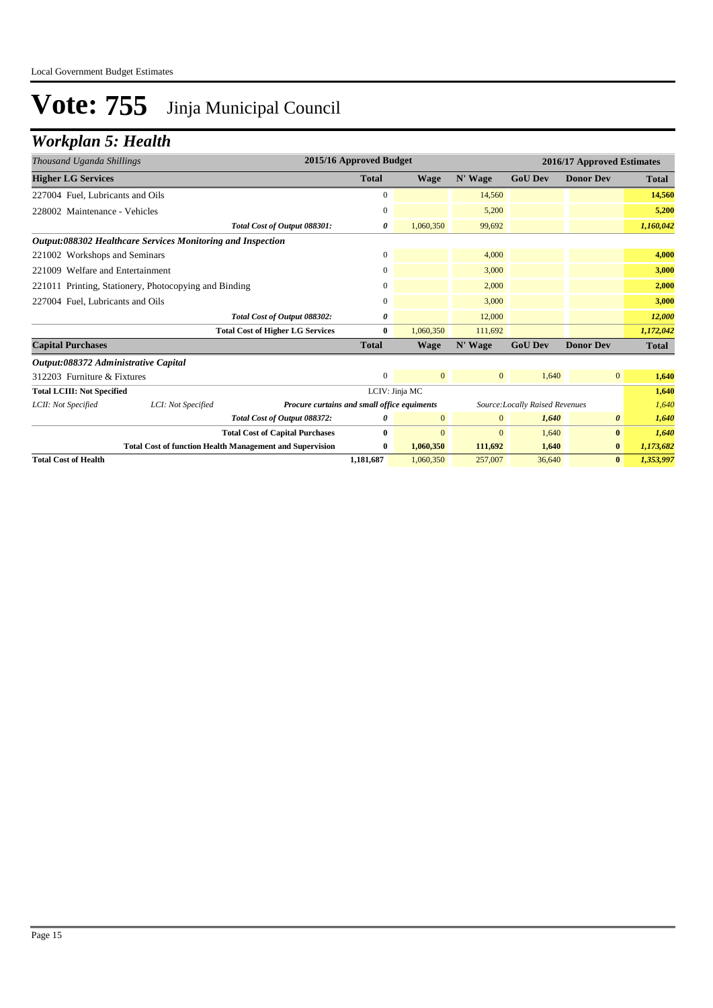### *Workplan 5: Health*

| Thousand Uganda Shillings            |                                                             |                                                                 | 2015/16 Approved Budget |                |                |                                 | 2016/17 Approved Estimates |              |  |  |
|--------------------------------------|-------------------------------------------------------------|-----------------------------------------------------------------|-------------------------|----------------|----------------|---------------------------------|----------------------------|--------------|--|--|
| <b>Higher LG Services</b>            |                                                             |                                                                 | <b>Total</b>            | Wage           | N' Wage        | <b>GoU Dev</b>                  | <b>Donor Dev</b>           | <b>Total</b> |  |  |
| 227004 Fuel, Lubricants and Oils     |                                                             |                                                                 | 0                       |                | 14,560         |                                 |                            | 14,560       |  |  |
| 228002 Maintenance - Vehicles        |                                                             |                                                                 | $\mathbf{0}$            |                | 5,200          |                                 |                            | 5,200        |  |  |
|                                      |                                                             | Total Cost of Output 088301:                                    | 0                       | 1,060,350      | 99,692         |                                 |                            | 1,160,042    |  |  |
|                                      | Output:088302 Healthcare Services Monitoring and Inspection |                                                                 |                         |                |                |                                 |                            |              |  |  |
| 221002 Workshops and Seminars        |                                                             |                                                                 | $\overline{0}$          |                | 4,000          |                                 |                            | 4,000        |  |  |
| Welfare and Entertainment<br>221009  |                                                             |                                                                 | $\Omega$                |                | 3,000          |                                 |                            | 3,000        |  |  |
|                                      | 221011 Printing, Stationery, Photocopying and Binding       |                                                                 | $\mathbf{0}$            |                | 2,000          |                                 |                            | 2,000        |  |  |
| 227004 Fuel, Lubricants and Oils     |                                                             |                                                                 | $\mathbf{0}$            |                | 3,000          |                                 |                            | 3,000        |  |  |
|                                      |                                                             | Total Cost of Output 088302:                                    | 0                       |                | 12,000         |                                 |                            | 12,000       |  |  |
|                                      |                                                             | <b>Total Cost of Higher LG Services</b>                         | $\bf{0}$                | 1,060,350      | 111,692        |                                 |                            | 1,172,042    |  |  |
| <b>Capital Purchases</b>             |                                                             |                                                                 | <b>Total</b>            | Wage           | N' Wage        | <b>GoU Dev</b>                  | <b>Donor Dev</b>           | <b>Total</b> |  |  |
| Output:088372 Administrative Capital |                                                             |                                                                 |                         |                |                |                                 |                            |              |  |  |
| 312203 Furniture & Fixtures          |                                                             |                                                                 | $\mathbf{0}$            | $\overline{0}$ | $\mathbf{0}$   | 1,640                           | $\overline{0}$             | 1,640        |  |  |
| <b>Total LCIII: Not Specified</b>    |                                                             |                                                                 | LCIV: Jinja MC          |                |                |                                 |                            | 1,640        |  |  |
| LCII: Not Specified                  | LCI: Not Specified                                          | Procure curtains and small office equiments                     |                         |                |                | Source: Locally Raised Revenues |                            | 1,640        |  |  |
|                                      |                                                             | Total Cost of Output 088372:                                    | 0                       | $\mathbf{0}$   | $\mathbf{0}$   | 1,640                           | $\theta$                   | 1,640        |  |  |
|                                      |                                                             | <b>Total Cost of Capital Purchases</b>                          | 0                       | $\overline{0}$ | $\overline{0}$ | 1,640                           | $\bf{0}$                   | 1,640        |  |  |
|                                      |                                                             | <b>Total Cost of function Health Management and Supervision</b> | $\bf{0}$                | 1,060,350      | 111,692        | 1,640                           | $\bf{0}$                   | 1,173,682    |  |  |
| <b>Total Cost of Health</b>          |                                                             |                                                                 | 1.181.687               | 1.060.350      | 257,007        | 36,640                          | $\bf{0}$                   | 1,353,997    |  |  |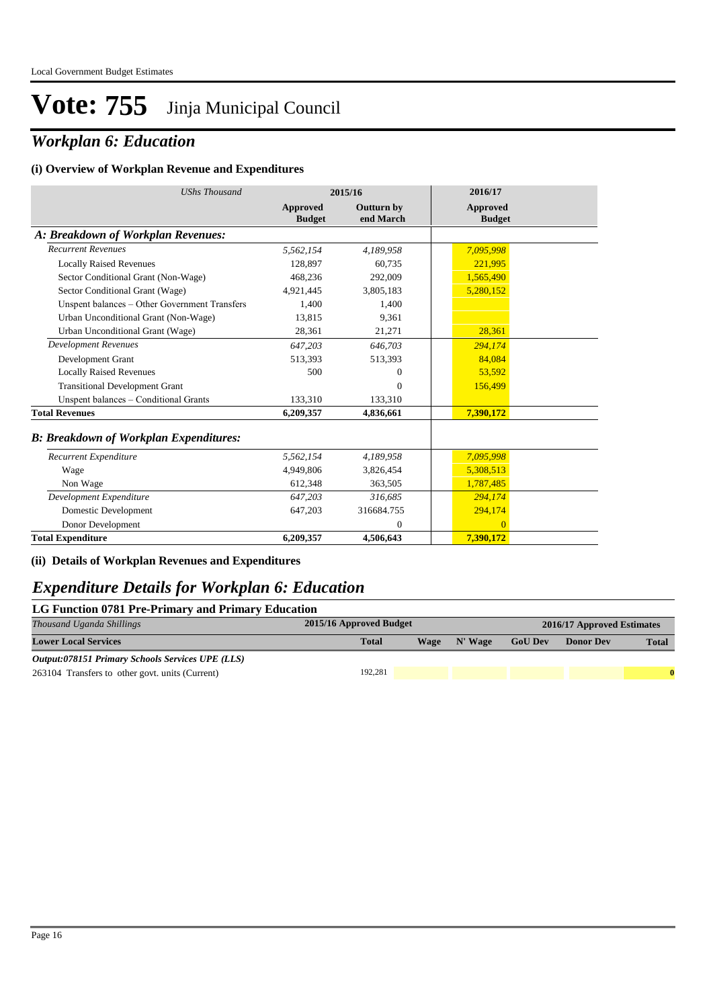### *Workplan 6: Education*

#### **(i) Overview of Workplan Revenue and Expenditures**

| <b>UShs Thousand</b>                          | 2015/16                   |                         | 2016/17                   |
|-----------------------------------------------|---------------------------|-------------------------|---------------------------|
|                                               | Approved<br><b>Budget</b> | Outturn by<br>end March | Approved<br><b>Budget</b> |
| A: Breakdown of Workplan Revenues:            |                           |                         |                           |
| <b>Recurrent Revenues</b>                     | 5,562,154                 | 4,189,958               | 7,095,998                 |
| <b>Locally Raised Revenues</b>                | 128,897                   | 60.735                  | 221,995                   |
| Sector Conditional Grant (Non-Wage)           | 468,236                   | 292,009                 | 1,565,490                 |
| Sector Conditional Grant (Wage)               | 4,921,445                 | 3,805,183               | 5,280,152                 |
| Unspent balances - Other Government Transfers | 1,400                     | 1,400                   |                           |
| Urban Unconditional Grant (Non-Wage)          | 13,815                    | 9.361                   |                           |
| Urban Unconditional Grant (Wage)              | 28,361                    | 21,271                  | 28,361                    |
| <b>Development Revenues</b>                   | 647,203                   | 646,703                 | 294,174                   |
| Development Grant                             | 513,393                   | 513,393                 | 84.084                    |
| <b>Locally Raised Revenues</b>                | 500                       | 0                       | 53,592                    |
| <b>Transitional Development Grant</b>         |                           | $\Omega$                | 156,499                   |
| Unspent balances - Conditional Grants         | 133,310                   | 133,310                 |                           |
| <b>Total Revenues</b>                         | 6,209,357                 | 4,836,661               | 7,390,172                 |
| <b>B: Breakdown of Workplan Expenditures:</b> |                           |                         |                           |
| Recurrent Expenditure                         | 5,562,154                 | 4,189,958               | 7,095,998                 |
| Wage                                          | 4,949,806                 | 3,826,454               | 5,308,513                 |
| Non Wage                                      | 612,348                   | 363,505                 | 1,787,485                 |
| Development Expenditure                       | 647,203                   | 316,685                 | 294,174                   |
| Domestic Development                          | 647,203                   | 316684.755              | 294,174                   |
| Donor Development                             |                           | $\Omega$                | $\overline{0}$            |
| <b>Total Expenditure</b>                      | 6,209,357                 | 4,506,643               | 7,390,172                 |

#### **(ii) Details of Workplan Revenues and Expenditures**

### *Expenditure Details for Workplan 6: Education*

| LG Function 0781 Pre-Primary and Primary Education      |                         |      |         |                |                            |              |  |  |
|---------------------------------------------------------|-------------------------|------|---------|----------------|----------------------------|--------------|--|--|
| Thousand Uganda Shillings                               | 2015/16 Approved Budget |      |         |                | 2016/17 Approved Estimates |              |  |  |
| <b>Lower Local Services</b>                             | <b>Total</b>            | Wage | N' Wage | <b>GoU Dev</b> | <b>Donor Dev</b>           | <b>Total</b> |  |  |
| <b>Output:078151 Primary Schools Services UPE (LLS)</b> |                         |      |         |                |                            |              |  |  |
| 263104 Transfers to other govt. units (Current)         | 192.281                 |      |         |                |                            | $\mathbf{0}$ |  |  |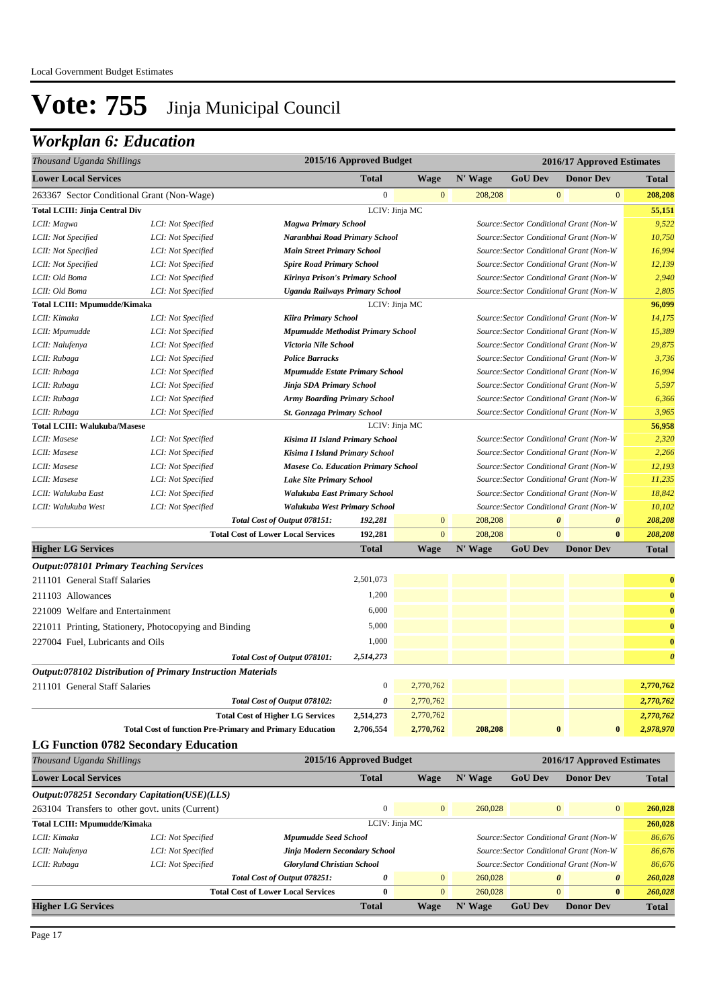### *Workplan 6: Education*

| Thousand Uganda Shillings                             |                    |                                            | 2015/16 Approved Budget                                                |                | 2016/17 Approved Estimates |                                         |                                         |                       |              |  |
|-------------------------------------------------------|--------------------|--------------------------------------------|------------------------------------------------------------------------|----------------|----------------------------|-----------------------------------------|-----------------------------------------|-----------------------|--------------|--|
| <b>Lower Local Services</b>                           |                    |                                            | <b>Total</b>                                                           | <b>Wage</b>    | N' Wage                    | <b>GoU Dev</b>                          |                                         | <b>Donor Dev</b>      | <b>Total</b> |  |
| 263367 Sector Conditional Grant (Non-Wage)            |                    |                                            | $\mathbf{0}$                                                           | $\overline{0}$ | 208,208                    |                                         | $\mathbf{0}$                            | $\overline{0}$        | 208,208      |  |
| <b>Total LCIII: Jinja Central Div</b>                 |                    |                                            |                                                                        | LCIV: Jinja MC |                            |                                         |                                         |                       | 55,151       |  |
| LCII: Magwa                                           | LCI: Not Specified | <b>Magwa Primary School</b>                |                                                                        |                |                            | Source: Sector Conditional Grant (Non-W |                                         |                       | 9,522        |  |
| LCII: Not Specified                                   | LCI: Not Specified | Naranbhai Road Primary School              |                                                                        |                |                            | Source: Sector Conditional Grant (Non-W |                                         |                       | 10,750       |  |
| LCII: Not Specified                                   | LCI: Not Specified | <b>Main Street Primary School</b>          |                                                                        |                |                            | Source: Sector Conditional Grant (Non-W |                                         |                       | 16,994       |  |
| LCII: Not Specified                                   | LCI: Not Specified | <b>Spire Road Primary School</b>           |                                                                        |                |                            | Source: Sector Conditional Grant (Non-W |                                         |                       | 12,139       |  |
| LCII: Old Boma                                        | LCI: Not Specified | Kirinya Prison's Primary School            |                                                                        |                |                            | Source: Sector Conditional Grant (Non-W |                                         |                       | 2,940        |  |
| LCII: Old Boma                                        | LCI: Not Specified | <b>Uganda Railways Primary School</b>      |                                                                        |                |                            | Source: Sector Conditional Grant (Non-W |                                         |                       | 2,805        |  |
| <b>Total LCIII: Mpumudde/Kimaka</b>                   |                    |                                            | LCIV: Jinja MC                                                         |                |                            |                                         |                                         | 96,099                |              |  |
| LCII: Kimaka                                          | LCI: Not Specified |                                            | <b>Kiira Primary School</b><br>Source: Sector Conditional Grant (Non-W |                |                            |                                         |                                         |                       | 14,175       |  |
| LCII: Mpumudde                                        | LCI: Not Specified | Mpumudde Methodist Primary School          |                                                                        |                |                            | Source: Sector Conditional Grant (Non-W |                                         |                       | 15,389       |  |
| LCII: Nalufenya                                       | LCI: Not Specified |                                            | Victoria Nile School                                                   |                |                            |                                         | Source: Sector Conditional Grant (Non-W |                       |              |  |
| LCII: Rubaga                                          | LCI: Not Specified | <b>Police Barracks</b>                     |                                                                        |                |                            | Source: Sector Conditional Grant (Non-W |                                         |                       | 3,736        |  |
| LCII: Rubaga                                          | LCI: Not Specified | <b>Mpumudde Estate Primary School</b>      |                                                                        |                |                            | Source: Sector Conditional Grant (Non-W |                                         |                       | 16,994       |  |
| LCII: Rubaga                                          | LCI: Not Specified | Jinja SDA Primary School                   |                                                                        |                |                            | Source: Sector Conditional Grant (Non-W |                                         |                       | 5,597        |  |
| LCII: Rubaga                                          | LCI: Not Specified | <b>Army Boarding Primary School</b>        |                                                                        |                |                            | Source: Sector Conditional Grant (Non-W |                                         |                       | 6,366        |  |
| LCII: Rubaga                                          | LCI: Not Specified | <b>St. Gonzaga Primary School</b>          |                                                                        |                |                            | Source: Sector Conditional Grant (Non-W |                                         |                       | 3,965        |  |
| <b>Total LCIII: Walukuba/Masese</b>                   |                    |                                            | LCIV: Jinja MC                                                         |                |                            |                                         |                                         |                       | 56,958       |  |
| LCII: Masese                                          | LCI: Not Specified | Kisima II Island Primary School            |                                                                        |                |                            | Source: Sector Conditional Grant (Non-W |                                         |                       | 2,320        |  |
| LCII: Masese                                          | LCI: Not Specified | Kisima I Island Primary School             |                                                                        |                |                            | Source: Sector Conditional Grant (Non-W |                                         |                       | 2,266        |  |
| LCII: Masese                                          | LCI: Not Specified | <b>Masese Co. Education Primary School</b> |                                                                        |                |                            | Source: Sector Conditional Grant (Non-W |                                         |                       | 12,193       |  |
| LCII: Masese                                          | LCI: Not Specified | <b>Lake Site Primary School</b>            |                                                                        |                |                            | Source: Sector Conditional Grant (Non-W |                                         |                       | 11,235       |  |
| LCII: Walukuba East                                   | LCI: Not Specified | Walukuba East Primary School               |                                                                        |                |                            | Source: Sector Conditional Grant (Non-W |                                         |                       | 18,842       |  |
| LCII: Walukuba West                                   | LCI: Not Specified | Walukuba West Primary School               |                                                                        |                |                            | Source: Sector Conditional Grant (Non-W |                                         |                       | 10,102       |  |
|                                                       |                    | Total Cost of Output 078151:               | 192,281                                                                | $\mathbf{0}$   | 208,208                    |                                         | $\boldsymbol{\theta}$                   | $\boldsymbol{\theta}$ | 208,208      |  |
|                                                       |                    | <b>Total Cost of Lower Local Services</b>  | 192,281                                                                | $\overline{0}$ | 208,208                    |                                         | $\mathbf{0}$                            | $\bf{0}$              | 208,208      |  |
| <b>Higher LG Services</b>                             |                    |                                            | <b>Total</b>                                                           | <b>Wage</b>    | N' Wage                    | <b>GoU Dev</b>                          |                                         | <b>Donor Dev</b>      | <b>Total</b> |  |
| <i><b>Output:078101 Primary Teaching Services</b></i> |                    |                                            |                                                                        |                |                            |                                         |                                         |                       |              |  |

| <b>Total Cost of function Pre-Primary and Primary Education</b>    | 2,706,554    | 2,770,762 | 208,208 | $\bf{0}$ | $\mathbf{0}$ | 2,978,970             |
|--------------------------------------------------------------------|--------------|-----------|---------|----------|--------------|-----------------------|
| <b>Total Cost of Higher LG Services</b>                            | 2,514,273    | 2,770,762 |         |          |              | 2,770,762             |
| Total Cost of Output 078102:                                       | 0            | 2,770,762 |         |          |              | 2,770,762             |
| 211101 General Staff Salaries                                      | $\mathbf{0}$ | 2,770,762 |         |          |              | 2,770,762             |
| <b>Output:078102 Distribution of Primary Instruction Materials</b> |              |           |         |          |              |                       |
| Total Cost of Output 078101:                                       | 2,514,273    |           |         |          |              | $\boldsymbol{\theta}$ |
| 227004 Fuel, Lubricants and Oils                                   | 1,000        |           |         |          |              | $\bf{0}$              |
| 221011 Printing, Stationery, Photocopying and Binding              | 5,000        |           |         |          |              | $\bf{0}$              |
| 221009 Welfare and Entertainment                                   | 6,000        |           |         |          |              | $\bf{0}$              |
| 211103 Allowances                                                  | 1,200        |           |         |          |              | $\bf{0}$              |
| 211101 General Staff Salaries                                      | 2,501,073    |           |         |          |              | $\bf{0}$              |
|                                                                    |              |           |         |          |              |                       |

#### **LG Function 0782 Secondary Education**

| Thousand Uganda Shillings                             |                                                 |                                           | 2015/16 Approved Budget |                | 2016/17 Approved Estimates                                                         |                                                     |                       |              |
|-------------------------------------------------------|-------------------------------------------------|-------------------------------------------|-------------------------|----------------|------------------------------------------------------------------------------------|-----------------------------------------------------|-----------------------|--------------|
| <b>Lower Local Services</b>                           |                                                 |                                           | <b>Total</b>            | Wage           | N' Wage                                                                            | <b>GoU Dev</b>                                      | <b>Donor Dev</b>      | <b>Total</b> |
|                                                       | Output:078251 Secondary Capitation(USE)(LLS)    |                                           |                         |                |                                                                                    |                                                     |                       |              |
|                                                       | 263104 Transfers to other govt. units (Current) |                                           | $\mathbf{0}$            | $\mathbf{0}$   | 260,028                                                                            | $\overline{0}$                                      | $\overline{0}$        | 260,028      |
| <b>Total LCIII: Mpumudde/Kimaka</b><br>LCIV: Jinja MC |                                                 |                                           |                         | 260,028        |                                                                                    |                                                     |                       |              |
| LCII: Kimaka                                          | LCI: Not Specified                              | <b>Mpumudde Seed School</b>               |                         |                | Source: Sector Conditional Grant (Non-W<br>Source: Sector Conditional Grant (Non-W |                                                     |                       | 86,676       |
| LCII: Nalufenya                                       | LCI: Not Specified                              | Jinja Modern Secondary School             |                         |                |                                                                                    |                                                     |                       | 86,676       |
| LCII: Rubaga                                          | LCI: Not Specified                              | <b>Gloryland Christian School</b>         |                         |                |                                                                                    | Source: Sector Conditional Grant (Non-W<br>$\theta$ |                       | 86,676       |
|                                                       |                                                 | Total Cost of Output 078251:              | 0                       | $\overline{0}$ | 260,028                                                                            |                                                     | $\boldsymbol{\theta}$ | 260,028      |
|                                                       |                                                 | <b>Total Cost of Lower Local Services</b> | 0                       | $\overline{0}$ | 260,028                                                                            | $\mathbf{0}$                                        | $\bf{0}$              | 260,028      |
| <b>Higher LG Services</b>                             |                                                 |                                           | <b>Total</b>            | Wage           | N' Wage                                                                            | <b>GoU Dev</b>                                      | <b>Donor Dev</b>      | <b>Total</b> |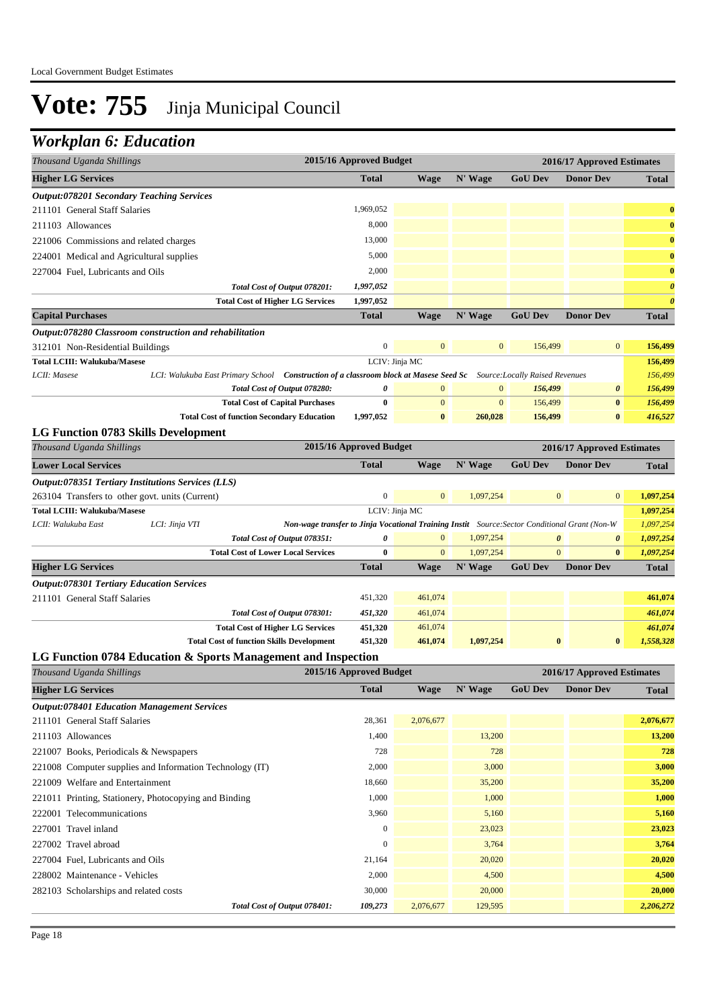### *Workplan 6: Education*

| Thousand Uganda Shillings                                                                             |                                                                                               | 2015/16 Approved Budget |                |                |                                | 2016/17 Approved Estimates |                       |
|-------------------------------------------------------------------------------------------------------|-----------------------------------------------------------------------------------------------|-------------------------|----------------|----------------|--------------------------------|----------------------------|-----------------------|
| <b>Higher LG Services</b>                                                                             |                                                                                               | <b>Total</b>            | <b>Wage</b>    | N' Wage        | <b>GoU</b> Dev                 | <b>Donor Dev</b>           | <b>Total</b>          |
| <b>Output:078201 Secondary Teaching Services</b>                                                      |                                                                                               |                         |                |                |                                |                            |                       |
| 211101 General Staff Salaries                                                                         |                                                                                               | 1,969,052               |                |                |                                |                            | $\bf{0}$              |
| 211103 Allowances                                                                                     |                                                                                               | 8,000                   |                |                |                                |                            | $\bf{0}$              |
| 221006 Commissions and related charges                                                                |                                                                                               | 13,000                  |                |                |                                |                            | $\bf{0}$              |
| 224001 Medical and Agricultural supplies                                                              |                                                                                               | 5,000                   |                |                |                                |                            | $\bf{0}$              |
| 227004 Fuel, Lubricants and Oils                                                                      |                                                                                               | 2,000                   |                |                |                                |                            | $\bf{0}$              |
|                                                                                                       | Total Cost of Output 078201:                                                                  | 1,997,052               |                |                |                                |                            | $\boldsymbol{\theta}$ |
| <b>Total Cost of Higher LG Services</b>                                                               |                                                                                               | 1,997,052               |                |                |                                |                            | $\boldsymbol{\theta}$ |
| <b>Capital Purchases</b>                                                                              |                                                                                               | <b>Total</b>            | <b>Wage</b>    | N' Wage        | <b>GoU Dev</b>                 | <b>Donor Dev</b>           | <b>Total</b>          |
| Output:078280 Classroom construction and rehabilitation                                               |                                                                                               |                         |                |                |                                |                            |                       |
| 312101 Non-Residential Buildings                                                                      |                                                                                               | $\boldsymbol{0}$        | $\mathbf{0}$   | $\mathbf{0}$   | 156,499                        | $\mathbf{0}$               | 156,499               |
| <b>Total LCIII: Walukuba/Masese</b>                                                                   |                                                                                               |                         | LCIV: Jinja MC |                |                                |                            | 156,499               |
| LCI: Walukuba East Primary School Construction of a classroom block at Masese Seed Sc<br>LCII: Masese |                                                                                               |                         |                |                | Source:Locally Raised Revenues |                            | 156,499               |
|                                                                                                       | Total Cost of Output 078280:                                                                  | 0                       | $\mathbf{0}$   | $\mathbf{0}$   | 156,499                        | 0                          | 156,499               |
|                                                                                                       | <b>Total Cost of Capital Purchases</b>                                                        | $\bf{0}$                | $\overline{0}$ | $\overline{0}$ | 156,499                        | $\bf{0}$                   | 156,499               |
| <b>Total Cost of function Secondary Education</b>                                                     |                                                                                               | 1,997,052               | $\bf{0}$       | 260,028        | 156,499                        | $\bf{0}$                   | 416,527               |
| <b>LG Function 0783 Skills Development</b>                                                            |                                                                                               |                         |                |                |                                |                            |                       |
| Thousand Uganda Shillings                                                                             |                                                                                               | 2015/16 Approved Budget |                |                |                                | 2016/17 Approved Estimates |                       |
| <b>Lower Local Services</b>                                                                           |                                                                                               | <b>Total</b>            | <b>Wage</b>    | N' Wage        | <b>GoU Dev</b>                 | <b>Donor Dev</b>           | <b>Total</b>          |
| Output:078351 Tertiary Institutions Services (LLS)                                                    |                                                                                               |                         |                |                |                                |                            |                       |
| 263104 Transfers to other govt. units (Current)                                                       |                                                                                               | $\boldsymbol{0}$        | $\mathbf{0}$   | 1,097,254      | $\mathbf{0}$                   | $\mathbf{0}$               | 1,097,254             |
| <b>Total LCIII: Walukuba/Masese</b>                                                                   |                                                                                               |                         | LCIV: Jinja MC |                |                                |                            | 1,097,254             |
| LCII: Walukuba East<br>LCI: Jinja VTI                                                                 | Non-wage transfer to Jinja Vocational Training Instit Source: Sector Conditional Grant (Non-W |                         |                |                |                                |                            | 1,097,254             |
|                                                                                                       | Total Cost of Output 078351:                                                                  | 0                       | $\mathbf{0}$   | 1,097,254      | $\boldsymbol{\theta}$          | $\boldsymbol{\theta}$      | 1,097,254             |
| <b>Total Cost of Lower Local Services</b>                                                             |                                                                                               | $\bf{0}$                | $\mathbf{0}$   | 1,097,254      | $\mathbf{0}$                   | $\bf{0}$                   | 1,097,254             |
| <b>Higher LG Services</b>                                                                             |                                                                                               | <b>Total</b>            | Wage           | N' Wage        | <b>GoU Dev</b>                 | <b>Donor Dev</b>           | <b>Total</b>          |
| <b>Output:078301 Tertiary Education Services</b>                                                      |                                                                                               |                         |                |                |                                |                            |                       |
| 211101 General Staff Salaries                                                                         |                                                                                               | 451,320                 | 461,074        |                |                                |                            | 461,074               |
|                                                                                                       | Total Cost of Output 078301:                                                                  | 451,320                 | 461,074        |                |                                |                            | 461,074               |
| <b>Total Cost of Higher LG Services</b>                                                               |                                                                                               | 451,320                 | 461,074        |                |                                |                            | 461,074               |
| <b>Total Cost of function Skills Development</b>                                                      |                                                                                               | 451,320                 | 461,074        | 1,097,254      | $\bf{0}$                       | $\bf{0}$                   | 1,558,328             |
| LG Function 0784 Education & Sports Management and Inspection                                         |                                                                                               |                         |                |                |                                |                            |                       |
| Thousand Uganda Shillings                                                                             |                                                                                               | 2015/16 Approved Budget |                |                |                                | 2016/17 Approved Estimates |                       |
| <b>Higher LG Services</b>                                                                             |                                                                                               | <b>Total</b>            | <b>Wage</b>    | N' Wage        | <b>GoU</b> Dev                 | <b>Donor Dev</b>           | <b>Total</b>          |
| <b>Output:078401 Education Management Services</b>                                                    |                                                                                               |                         |                |                |                                |                            |                       |
| 211101 General Staff Salaries                                                                         |                                                                                               | 28,361                  | 2,076,677      |                |                                |                            | 2,076,677             |
| 211103 Allowances                                                                                     |                                                                                               | 1,400                   |                | 13,200         |                                |                            | 13,200                |
| 221007 Books, Periodicals & Newspapers                                                                |                                                                                               | 728                     |                | 728            |                                |                            | 728                   |
| 221008 Computer supplies and Information Technology (IT)                                              |                                                                                               | 2,000                   |                | 3,000          |                                |                            | 3,000                 |
| 221009 Welfare and Entertainment                                                                      |                                                                                               | 18,660                  |                | 35,200         |                                |                            | 35,200                |
| 221011 Printing, Stationery, Photocopying and Binding                                                 |                                                                                               | 1,000                   |                | 1,000          |                                |                            | 1,000                 |
| 222001 Telecommunications                                                                             |                                                                                               | 3,960                   |                | 5,160          |                                |                            | 5,160                 |
| 227001 Travel inland                                                                                  |                                                                                               | $\boldsymbol{0}$        |                | 23,023         |                                |                            | 23,023                |
| 227002 Travel abroad                                                                                  |                                                                                               | $\boldsymbol{0}$        |                | 3,764          |                                |                            | 3,764                 |
| 227004 Fuel, Lubricants and Oils                                                                      |                                                                                               | 21,164                  |                | 20,020         |                                |                            | 20,020                |
| 228002 Maintenance - Vehicles                                                                         |                                                                                               | 2,000                   |                | 4,500          |                                |                            | 4,500                 |
| 282103 Scholarships and related costs                                                                 |                                                                                               | 30,000                  |                | 20,000         |                                |                            | 20,000                |
|                                                                                                       | Total Cost of Output 078401:                                                                  | 109,273                 | 2,076,677      | 129,595        |                                |                            | 2,206,272             |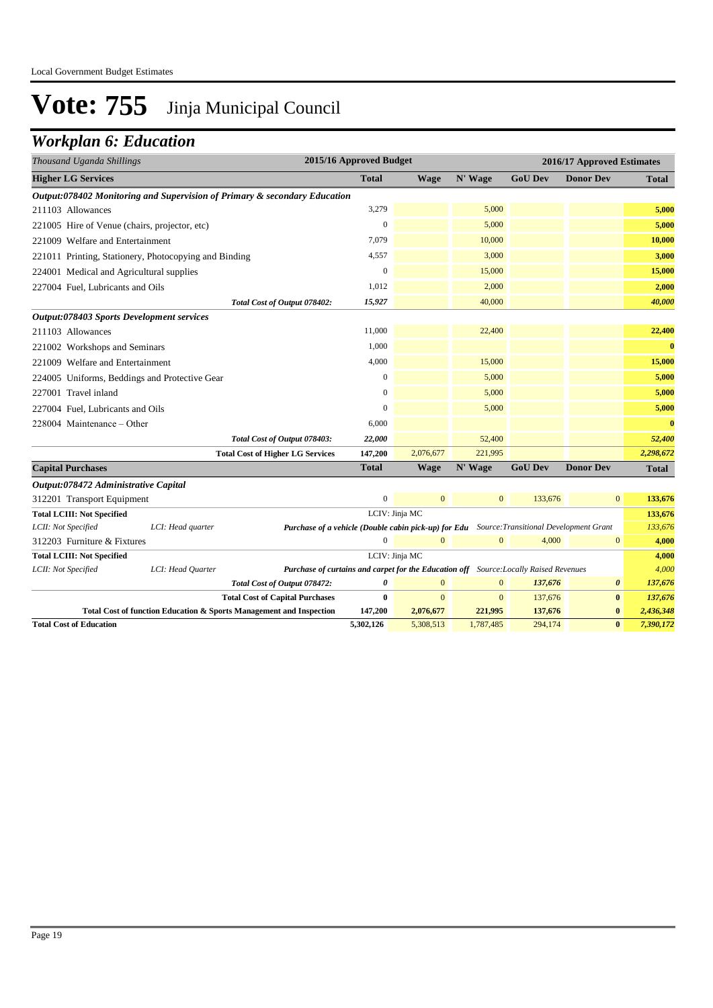### *Workplan 6: Education*

| Thousand Uganda Shillings                                                                                                                      | 2015/16 Approved Budget |                        |                      |                    | 2016/17 Approved Estimates |                      |
|------------------------------------------------------------------------------------------------------------------------------------------------|-------------------------|------------------------|----------------------|--------------------|----------------------------|----------------------|
| <b>Higher LG Services</b>                                                                                                                      | <b>Total</b>            | <b>Wage</b>            | N' Wage              | <b>GoU Dev</b>     | <b>Donor Dev</b>           | Total                |
| Output:078402 Monitoring and Supervision of Primary & secondary Education                                                                      |                         |                        |                      |                    |                            |                      |
| 211103 Allowances                                                                                                                              | 3,279                   |                        | 5,000                |                    |                            | 5,000                |
| 221005 Hire of Venue (chairs, projector, etc)                                                                                                  | $\mathbf{0}$            |                        | 5,000                |                    |                            | 5,000                |
| 221009 Welfare and Entertainment                                                                                                               | 7,079                   |                        | 10,000               |                    |                            | 10,000               |
| 221011 Printing, Stationery, Photocopying and Binding                                                                                          | 4,557                   |                        | 3,000                |                    |                            | 3,000                |
| 224001 Medical and Agricultural supplies                                                                                                       | $\boldsymbol{0}$        |                        | 15,000               |                    |                            | 15,000               |
| 227004 Fuel, Lubricants and Oils                                                                                                               | 1,012                   |                        | 2,000                |                    |                            | 2,000                |
| Total Cost of Output 078402:                                                                                                                   | 15,927                  |                        | 40,000               |                    |                            | 40,000               |
| <b>Output:078403 Sports Development services</b>                                                                                               |                         |                        |                      |                    |                            |                      |
| 211103 Allowances                                                                                                                              | 11,000                  |                        | 22,400               |                    |                            | 22,400               |
| 221002 Workshops and Seminars                                                                                                                  | 1,000                   |                        |                      |                    |                            | $\mathbf{0}$         |
| 221009 Welfare and Entertainment                                                                                                               | 4,000                   |                        | 15,000               |                    |                            | 15,000               |
| 224005 Uniforms, Beddings and Protective Gear                                                                                                  | $\mathbf{0}$            |                        | 5,000                |                    |                            | 5,000                |
| 227001 Travel inland                                                                                                                           | $\boldsymbol{0}$        |                        | 5,000                |                    |                            | 5,000                |
| 227004 Fuel, Lubricants and Oils                                                                                                               | $\mathbf{0}$            |                        | 5,000                |                    |                            | 5,000                |
| 228004 Maintenance - Other                                                                                                                     | 6,000                   |                        |                      |                    |                            | $\bf{0}$             |
| Total Cost of Output 078403:                                                                                                                   | 22,000                  |                        | 52,400               |                    |                            | 52,400               |
| <b>Total Cost of Higher LG Services</b>                                                                                                        | 147,200                 | 2,076,677              | 221,995              |                    |                            | 2,298,672            |
| <b>Capital Purchases</b>                                                                                                                       | <b>Total</b>            | <b>Wage</b>            | N' Wage              | <b>GoU Dev</b>     | <b>Donor Dev</b>           | <b>Total</b>         |
| Output:078472 Administrative Capital                                                                                                           |                         |                        |                      |                    |                            |                      |
| 312201 Transport Equipment                                                                                                                     | $\boldsymbol{0}$        | $\mathbf{0}$           | $\mathbf{0}$         | 133,676            | $\mathbf{0}$               | 133,676              |
| <b>Total LCIII: Not Specified</b>                                                                                                              |                         | LCIV: Jinja MC         |                      |                    |                            | 133,676              |
| LCII: Not Specified<br>LCI: Head quarter<br><b>Purchase of a vehicle (Double cabin pick-up) for Edu</b> Source: Transitional Development Grant |                         |                        |                      |                    |                            | 133,676              |
| 312203 Furniture & Fixtures                                                                                                                    | $\Omega$                | $\Omega$               | $\mathbf{0}$         | 4,000              | $\bf{0}$                   | 4,000                |
| <b>Total LCIII: Not Specified</b>                                                                                                              |                         | LCIV: Jinja MC         |                      |                    |                            | 4,000                |
| LCII: Not Specified<br>LCI: Head Quarter<br>Purchase of curtains and carpet for the Education off Source: Locally Raised Revenues              |                         |                        |                      |                    |                            | 4,000                |
| Total Cost of Output 078472:                                                                                                                   | 0                       | $\mathbf{0}$           | $\mathbf{0}$         | 137,676            | $\boldsymbol{\theta}$      | 137,676              |
| <b>Total Cost of Capital Purchases</b>                                                                                                         | $\bf{0}$                | $\mathbf{0}$           | $\mathbf{0}$         | 137,676            | $\bf{0}$                   | 137,676<br>2,436,348 |
| Total Cost of function Education & Sports Management and Inspection<br><b>Total Cost of Education</b>                                          | 147,200<br>5,302,126    | 2,076,677<br>5,308,513 | 221,995<br>1,787,485 | 137,676<br>294,174 | $\bf{0}$<br>$\bf{0}$       | 7,390,172            |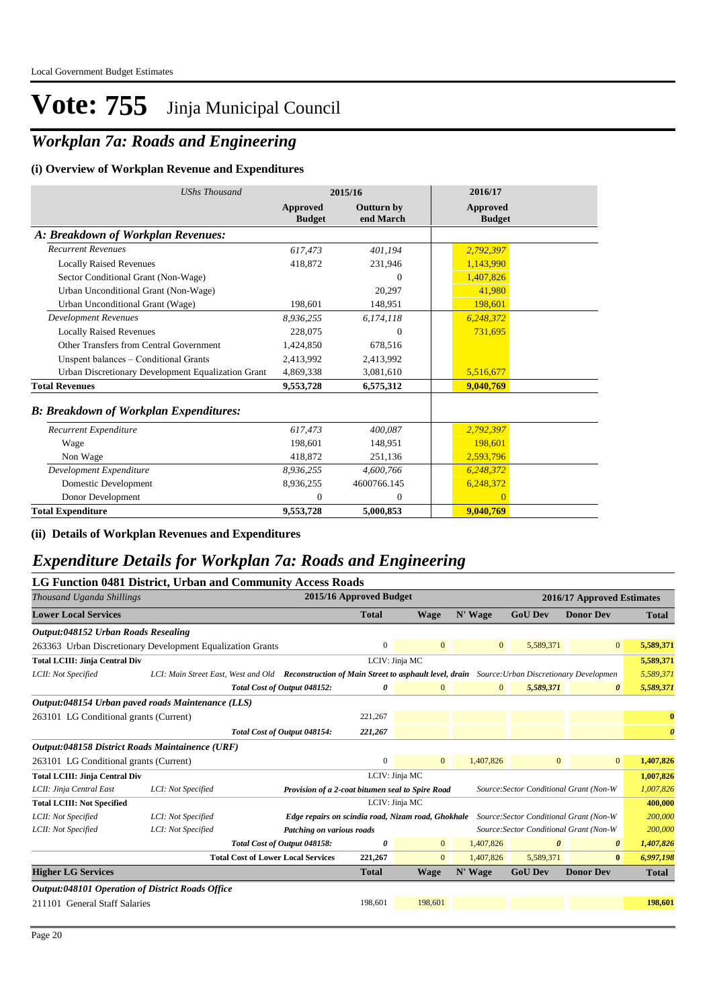## *Workplan 7a: Roads and Engineering*

#### **(i) Overview of Workplan Revenue and Expenditures**

| <b>UShs Thousand</b>                               |                           | 2015/16                 | 2016/17                   |
|----------------------------------------------------|---------------------------|-------------------------|---------------------------|
|                                                    | Approved<br><b>Budget</b> | Outturn by<br>end March | Approved<br><b>Budget</b> |
| A: Breakdown of Workplan Revenues:                 |                           |                         |                           |
| <b>Recurrent Revenues</b>                          | 617.473                   | 401,194                 | 2,792,397                 |
| <b>Locally Raised Revenues</b>                     | 418.872                   | 231,946                 | 1,143,990                 |
| Sector Conditional Grant (Non-Wage)                |                           | $\Omega$                | 1,407,826                 |
| Urban Unconditional Grant (Non-Wage)               |                           | 20,297                  | 41,980                    |
| Urban Unconditional Grant (Wage)                   | 198,601                   | 148,951                 | 198,601                   |
| <b>Development Revenues</b>                        | 8,936,255                 | 6,174,118               | 6,248,372                 |
| <b>Locally Raised Revenues</b>                     | 228,075                   | $\Omega$                | 731,695                   |
| Other Transfers from Central Government            | 1,424,850                 | 678,516                 |                           |
| Unspent balances - Conditional Grants              | 2,413,992                 | 2,413,992               |                           |
| Urban Discretionary Development Equalization Grant | 4,869,338                 | 3,081,610               | 5,516,677                 |
| <b>Total Revenues</b>                              | 9,553,728                 | 6,575,312               | 9,040,769                 |
| <b>B: Breakdown of Workplan Expenditures:</b>      |                           |                         |                           |
| Recurrent Expenditure                              | 617,473                   | 400,087                 | 2,792,397                 |
| Wage                                               | 198.601                   | 148,951                 | 198,601                   |
| Non Wage                                           | 418,872                   | 251,136                 | 2,593,796                 |
| Development Expenditure                            | 8,936,255                 | 4.600.766               | 6,248,372                 |
| Domestic Development                               | 8,936,255                 | 4600766.145             | 6,248,372                 |
| Donor Development                                  | $\Omega$                  | $\overline{0}$          | $\overline{0}$            |
| <b>Total Expenditure</b>                           | 9,553,728                 | 5,000,853               | 9,040,769                 |

**(ii) Details of Workplan Revenues and Expenditures**

### *Expenditure Details for Workplan 7a: Roads and Engineering*

|                                                            |                    | LG Function 0481 District, Urban and Community Access Roads                                                                       |                         |                |              |                                         |                                         |                       |
|------------------------------------------------------------|--------------------|-----------------------------------------------------------------------------------------------------------------------------------|-------------------------|----------------|--------------|-----------------------------------------|-----------------------------------------|-----------------------|
| Thousand Uganda Shillings                                  |                    |                                                                                                                                   | 2015/16 Approved Budget |                |              |                                         | 2016/17 Approved Estimates              |                       |
| <b>Lower Local Services</b>                                |                    |                                                                                                                                   | <b>Total</b>            | <b>Wage</b>    | N' Wage      | <b>GoU Dev</b>                          | <b>Donor Dev</b>                        | <b>Total</b>          |
| Output:048152 Urban Roads Resealing                        |                    |                                                                                                                                   |                         |                |              |                                         |                                         |                       |
| 263363 Urban Discretionary Development Equalization Grants |                    |                                                                                                                                   | $\mathbf{0}$            | $\mathbf{0}$   | $\mathbf{0}$ | 5,589,371                               | $\overline{0}$                          | 5,589,371             |
| <b>Total LCIII: Jinja Central Div</b>                      |                    |                                                                                                                                   | LCIV: Jinja MC          |                |              |                                         |                                         | 5,589,371             |
| LCII: Not Specified                                        |                    | LCI: Main Street East, West and Old Reconstruction of Main Street to asphault level, drain Source: Urban Discretionary Developmen |                         |                |              |                                         |                                         | 5,589,371             |
|                                                            |                    | Total Cost of Output 048152:                                                                                                      | 0                       | $\mathbf{0}$   | $\mathbf{0}$ | 5,589,371                               | $\theta$                                | 5,589,371             |
| Output:048154 Urban paved roads Maintenance (LLS)          |                    |                                                                                                                                   |                         |                |              |                                         |                                         |                       |
| 263101 LG Conditional grants (Current)                     |                    |                                                                                                                                   | 221,267                 |                |              |                                         |                                         | $\bf{0}$              |
|                                                            |                    | Total Cost of Output 048154:                                                                                                      | 221,267                 |                |              |                                         |                                         | $\boldsymbol{\theta}$ |
| Output:048158 District Roads Maintainence (URF)            |                    |                                                                                                                                   |                         |                |              |                                         |                                         |                       |
| 263101 LG Conditional grants (Current)                     |                    |                                                                                                                                   | $\mathbf{0}$            | $\mathbf{0}$   | 1,407,826    | $\mathbf{0}$                            | $\mathbf{0}$                            | 1,407,826             |
| <b>Total LCIII: Jinja Central Div</b>                      |                    |                                                                                                                                   | LCIV: Jinja MC          |                |              |                                         |                                         | 1,007,826             |
| LCII: Jinja Central East                                   | LCI: Not Specified | Provision of a 2-coat bitumen seal to Spire Road                                                                                  |                         |                |              | Source: Sector Conditional Grant (Non-W |                                         | 1,007,826             |
| <b>Total LCIII: Not Specified</b>                          |                    |                                                                                                                                   | LCIV: Jinja MC          |                |              |                                         |                                         | 400,000               |
| LCII: Not Specified                                        | LCI: Not Specified | Edge repairs on scindia road, Nizam road, Ghokhale                                                                                |                         |                |              |                                         | Source: Sector Conditional Grant (Non-W | 200,000               |
| LCII: Not Specified                                        | LCI: Not Specified | Patching on various roads                                                                                                         |                         |                |              |                                         | Source: Sector Conditional Grant (Non-W | 200,000               |
|                                                            |                    | Total Cost of Output 048158:                                                                                                      | 0                       | $\overline{0}$ | 1,407,826    | 0                                       | 0                                       | 1,407,826             |
|                                                            |                    | <b>Total Cost of Lower Local Services</b>                                                                                         | 221,267                 | $\mathbf{0}$   | 1,407,826    | 5,589,371                               | $\bf{0}$                                | 6,997,198             |
| <b>Higher LG Services</b>                                  |                    |                                                                                                                                   | <b>Total</b>            | <b>Wage</b>    | N' Wage      | <b>GoU Dev</b>                          | <b>Donor Dev</b>                        | <b>Total</b>          |
| <b>Output:048101 Operation of District Roads Office</b>    |                    |                                                                                                                                   |                         |                |              |                                         |                                         |                       |
| 211101 General Staff Salaries                              |                    |                                                                                                                                   | 198,601                 | 198,601        |              |                                         |                                         | 198,601               |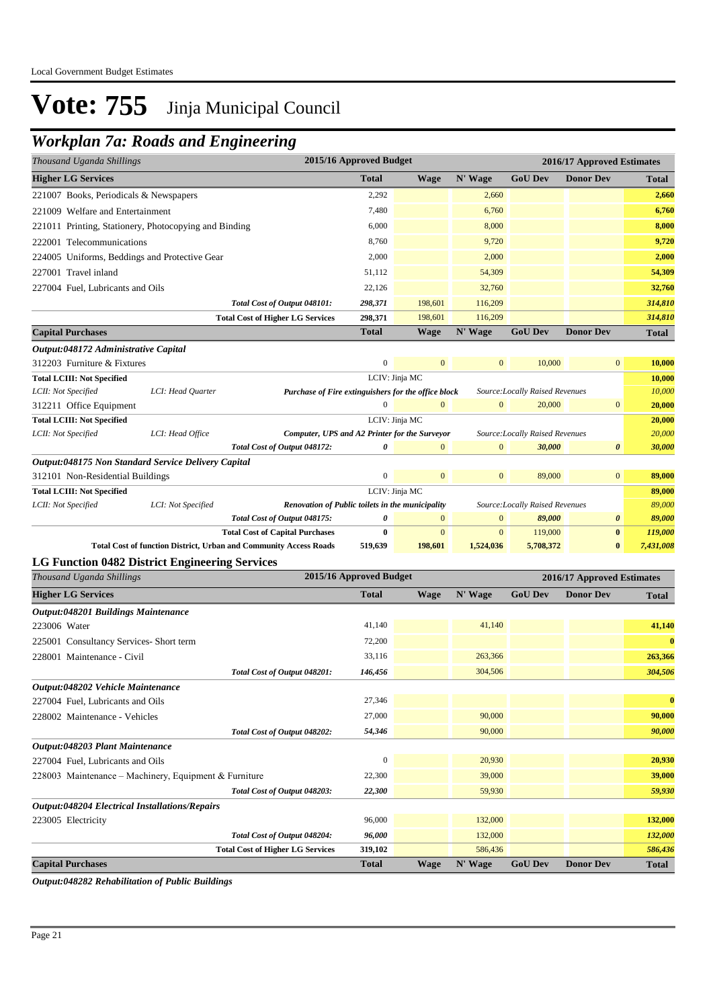### *Workplan 7a: Roads and Engineering*

| <b>Higher LG Services</b><br><b>Total</b><br>N' Wage<br><b>GoU Dev</b><br><b>Donor Dev</b><br><b>Wage</b><br><b>Total</b><br>2,292<br>2,660<br>2,660<br>221007 Books, Periodicals & Newspapers<br>7,480<br>6,760<br>6,760<br>221009 Welfare and Entertainment<br>6,000<br>8,000<br>221011 Printing, Stationery, Photocopying and Binding<br>8,000<br>8,760<br>9,720<br>9,720<br>222001 Telecommunications<br>2,000<br>2,000<br>224005 Uniforms, Beddings and Protective Gear<br>54,309<br>227001 Travel inland<br>51,112<br>54,309<br>32,760<br>22,126<br>32,760<br>227004 Fuel, Lubricants and Oils<br>198,601<br>314,810<br>Total Cost of Output 048101:<br>298,371<br>116,209<br><b>Total Cost of Higher LG Services</b><br>298,371<br>198,601<br>116,209<br>314,810<br><b>Capital Purchases</b><br><b>Total</b><br>N' Wage<br><b>GoU Dev</b><br><b>Donor Dev</b><br><b>Wage</b><br><b>Total</b><br>Output:048172 Administrative Capital<br>$\boldsymbol{0}$<br>$\mathbf{0}$<br>$\mathbf{0}$<br>10,000<br>$\boldsymbol{0}$<br>10,000<br>312203 Furniture & Fixtures<br><b>Total LCIII: Not Specified</b><br>LCIV: Jinja MC<br>10,000<br>Purchase of Fire extinguishers for the office block<br>10,000<br>LCII: Not Specified<br>LCI: Head Quarter<br>Source:Locally Raised Revenues<br>$\mathbf{0}$<br>20,000<br>$\mathbf{0}$<br>$\mathbf{0}$<br>20,000<br>$\boldsymbol{0}$<br>312211 Office Equipment<br>LCIV: Jinja MC<br><b>Total LCIII: Not Specified</b><br>20,000<br>20,000<br>LCII: Not Specified<br>LCI: Head Office<br>Computer, UPS and A2 Printer for the Surveyor<br>Source: Locally Raised Revenues<br>Total Cost of Output 048172:<br>$\mathbf{0}$<br>30,000<br>0<br>0<br>$\overline{0}$<br>30,000<br>Output:048175 Non Standard Service Delivery Capital |
|----------------------------------------------------------------------------------------------------------------------------------------------------------------------------------------------------------------------------------------------------------------------------------------------------------------------------------------------------------------------------------------------------------------------------------------------------------------------------------------------------------------------------------------------------------------------------------------------------------------------------------------------------------------------------------------------------------------------------------------------------------------------------------------------------------------------------------------------------------------------------------------------------------------------------------------------------------------------------------------------------------------------------------------------------------------------------------------------------------------------------------------------------------------------------------------------------------------------------------------------------------------------------------------------------------------------------------------------------------------------------------------------------------------------------------------------------------------------------------------------------------------------------------------------------------------------------------------------------------------------------------------------------------------------------------------------------------------------------------------------------------------------------|
|                                                                                                                                                                                                                                                                                                                                                                                                                                                                                                                                                                                                                                                                                                                                                                                                                                                                                                                                                                                                                                                                                                                                                                                                                                                                                                                                                                                                                                                                                                                                                                                                                                                                                                                                                                            |
| 2,000                                                                                                                                                                                                                                                                                                                                                                                                                                                                                                                                                                                                                                                                                                                                                                                                                                                                                                                                                                                                                                                                                                                                                                                                                                                                                                                                                                                                                                                                                                                                                                                                                                                                                                                                                                      |
|                                                                                                                                                                                                                                                                                                                                                                                                                                                                                                                                                                                                                                                                                                                                                                                                                                                                                                                                                                                                                                                                                                                                                                                                                                                                                                                                                                                                                                                                                                                                                                                                                                                                                                                                                                            |
|                                                                                                                                                                                                                                                                                                                                                                                                                                                                                                                                                                                                                                                                                                                                                                                                                                                                                                                                                                                                                                                                                                                                                                                                                                                                                                                                                                                                                                                                                                                                                                                                                                                                                                                                                                            |
|                                                                                                                                                                                                                                                                                                                                                                                                                                                                                                                                                                                                                                                                                                                                                                                                                                                                                                                                                                                                                                                                                                                                                                                                                                                                                                                                                                                                                                                                                                                                                                                                                                                                                                                                                                            |
|                                                                                                                                                                                                                                                                                                                                                                                                                                                                                                                                                                                                                                                                                                                                                                                                                                                                                                                                                                                                                                                                                                                                                                                                                                                                                                                                                                                                                                                                                                                                                                                                                                                                                                                                                                            |
|                                                                                                                                                                                                                                                                                                                                                                                                                                                                                                                                                                                                                                                                                                                                                                                                                                                                                                                                                                                                                                                                                                                                                                                                                                                                                                                                                                                                                                                                                                                                                                                                                                                                                                                                                                            |
|                                                                                                                                                                                                                                                                                                                                                                                                                                                                                                                                                                                                                                                                                                                                                                                                                                                                                                                                                                                                                                                                                                                                                                                                                                                                                                                                                                                                                                                                                                                                                                                                                                                                                                                                                                            |
|                                                                                                                                                                                                                                                                                                                                                                                                                                                                                                                                                                                                                                                                                                                                                                                                                                                                                                                                                                                                                                                                                                                                                                                                                                                                                                                                                                                                                                                                                                                                                                                                                                                                                                                                                                            |
|                                                                                                                                                                                                                                                                                                                                                                                                                                                                                                                                                                                                                                                                                                                                                                                                                                                                                                                                                                                                                                                                                                                                                                                                                                                                                                                                                                                                                                                                                                                                                                                                                                                                                                                                                                            |
|                                                                                                                                                                                                                                                                                                                                                                                                                                                                                                                                                                                                                                                                                                                                                                                                                                                                                                                                                                                                                                                                                                                                                                                                                                                                                                                                                                                                                                                                                                                                                                                                                                                                                                                                                                            |
|                                                                                                                                                                                                                                                                                                                                                                                                                                                                                                                                                                                                                                                                                                                                                                                                                                                                                                                                                                                                                                                                                                                                                                                                                                                                                                                                                                                                                                                                                                                                                                                                                                                                                                                                                                            |
|                                                                                                                                                                                                                                                                                                                                                                                                                                                                                                                                                                                                                                                                                                                                                                                                                                                                                                                                                                                                                                                                                                                                                                                                                                                                                                                                                                                                                                                                                                                                                                                                                                                                                                                                                                            |
|                                                                                                                                                                                                                                                                                                                                                                                                                                                                                                                                                                                                                                                                                                                                                                                                                                                                                                                                                                                                                                                                                                                                                                                                                                                                                                                                                                                                                                                                                                                                                                                                                                                                                                                                                                            |
|                                                                                                                                                                                                                                                                                                                                                                                                                                                                                                                                                                                                                                                                                                                                                                                                                                                                                                                                                                                                                                                                                                                                                                                                                                                                                                                                                                                                                                                                                                                                                                                                                                                                                                                                                                            |
|                                                                                                                                                                                                                                                                                                                                                                                                                                                                                                                                                                                                                                                                                                                                                                                                                                                                                                                                                                                                                                                                                                                                                                                                                                                                                                                                                                                                                                                                                                                                                                                                                                                                                                                                                                            |
|                                                                                                                                                                                                                                                                                                                                                                                                                                                                                                                                                                                                                                                                                                                                                                                                                                                                                                                                                                                                                                                                                                                                                                                                                                                                                                                                                                                                                                                                                                                                                                                                                                                                                                                                                                            |
|                                                                                                                                                                                                                                                                                                                                                                                                                                                                                                                                                                                                                                                                                                                                                                                                                                                                                                                                                                                                                                                                                                                                                                                                                                                                                                                                                                                                                                                                                                                                                                                                                                                                                                                                                                            |
|                                                                                                                                                                                                                                                                                                                                                                                                                                                                                                                                                                                                                                                                                                                                                                                                                                                                                                                                                                                                                                                                                                                                                                                                                                                                                                                                                                                                                                                                                                                                                                                                                                                                                                                                                                            |
|                                                                                                                                                                                                                                                                                                                                                                                                                                                                                                                                                                                                                                                                                                                                                                                                                                                                                                                                                                                                                                                                                                                                                                                                                                                                                                                                                                                                                                                                                                                                                                                                                                                                                                                                                                            |
| $\boldsymbol{0}$<br>$\mathbf{0}$<br>$\mathbf{0}$<br>89,000<br>$\bf{0}$<br>89,000<br>312101 Non-Residential Buildings                                                                                                                                                                                                                                                                                                                                                                                                                                                                                                                                                                                                                                                                                                                                                                                                                                                                                                                                                                                                                                                                                                                                                                                                                                                                                                                                                                                                                                                                                                                                                                                                                                                       |
| LCIV: Jinja MC<br><b>Total LCIII: Not Specified</b><br>89,000                                                                                                                                                                                                                                                                                                                                                                                                                                                                                                                                                                                                                                                                                                                                                                                                                                                                                                                                                                                                                                                                                                                                                                                                                                                                                                                                                                                                                                                                                                                                                                                                                                                                                                              |
| Renovation of Public toilets in the municipality<br>89,000<br>LCII: Not Specified<br>LCI: Not Specified<br>Source:Locally Raised Revenues                                                                                                                                                                                                                                                                                                                                                                                                                                                                                                                                                                                                                                                                                                                                                                                                                                                                                                                                                                                                                                                                                                                                                                                                                                                                                                                                                                                                                                                                                                                                                                                                                                  |
| Total Cost of Output 048175:<br>0<br>$\mathbf{0}$<br>89,000<br>89,000<br>$\bf{0}$<br>0                                                                                                                                                                                                                                                                                                                                                                                                                                                                                                                                                                                                                                                                                                                                                                                                                                                                                                                                                                                                                                                                                                                                                                                                                                                                                                                                                                                                                                                                                                                                                                                                                                                                                     |
| $\bf{0}$<br><b>Total Cost of Capital Purchases</b><br>$\bf{0}$<br>$\boldsymbol{0}$<br>$\mathbf{0}$<br>119,000<br>119,000<br>Total Cost of function District, Urban and Community Access Roads<br>$\bf{0}$<br>519,639<br>198,601<br>1,524,036<br>5,708,372<br>7,431,008                                                                                                                                                                                                                                                                                                                                                                                                                                                                                                                                                                                                                                                                                                                                                                                                                                                                                                                                                                                                                                                                                                                                                                                                                                                                                                                                                                                                                                                                                                     |
| <b>LG Function 0482 District Engineering Services</b>                                                                                                                                                                                                                                                                                                                                                                                                                                                                                                                                                                                                                                                                                                                                                                                                                                                                                                                                                                                                                                                                                                                                                                                                                                                                                                                                                                                                                                                                                                                                                                                                                                                                                                                      |
| 2015/16 Approved Budget<br>Thousand Uganda Shillings<br>2016/17 Approved Estimates                                                                                                                                                                                                                                                                                                                                                                                                                                                                                                                                                                                                                                                                                                                                                                                                                                                                                                                                                                                                                                                                                                                                                                                                                                                                                                                                                                                                                                                                                                                                                                                                                                                                                         |
| <b>Higher LG Services</b><br><b>Total</b><br>N' Wage<br><b>GoU Dev</b><br><b>Donor Dev</b><br><b>Wage</b><br><b>Total</b>                                                                                                                                                                                                                                                                                                                                                                                                                                                                                                                                                                                                                                                                                                                                                                                                                                                                                                                                                                                                                                                                                                                                                                                                                                                                                                                                                                                                                                                                                                                                                                                                                                                  |
|                                                                                                                                                                                                                                                                                                                                                                                                                                                                                                                                                                                                                                                                                                                                                                                                                                                                                                                                                                                                                                                                                                                                                                                                                                                                                                                                                                                                                                                                                                                                                                                                                                                                                                                                                                            |
| <b>Output:048201 Buildings Maintenance</b><br>223006 Water<br>41,140<br>41,140<br>41,140                                                                                                                                                                                                                                                                                                                                                                                                                                                                                                                                                                                                                                                                                                                                                                                                                                                                                                                                                                                                                                                                                                                                                                                                                                                                                                                                                                                                                                                                                                                                                                                                                                                                                   |
| 72,200<br>$\bf{0}$                                                                                                                                                                                                                                                                                                                                                                                                                                                                                                                                                                                                                                                                                                                                                                                                                                                                                                                                                                                                                                                                                                                                                                                                                                                                                                                                                                                                                                                                                                                                                                                                                                                                                                                                                         |
| 225001 Consultancy Services-Short term<br>228001 Maintenance - Civil<br>263,366<br>33,116<br>263,366                                                                                                                                                                                                                                                                                                                                                                                                                                                                                                                                                                                                                                                                                                                                                                                                                                                                                                                                                                                                                                                                                                                                                                                                                                                                                                                                                                                                                                                                                                                                                                                                                                                                       |
| 304,506                                                                                                                                                                                                                                                                                                                                                                                                                                                                                                                                                                                                                                                                                                                                                                                                                                                                                                                                                                                                                                                                                                                                                                                                                                                                                                                                                                                                                                                                                                                                                                                                                                                                                                                                                                    |
| 304,506<br>Total Cost of Output 048201:<br>146,456<br>Output:048202 Vehicle Maintenance                                                                                                                                                                                                                                                                                                                                                                                                                                                                                                                                                                                                                                                                                                                                                                                                                                                                                                                                                                                                                                                                                                                                                                                                                                                                                                                                                                                                                                                                                                                                                                                                                                                                                    |
| 27,346<br>$\bf{0}$                                                                                                                                                                                                                                                                                                                                                                                                                                                                                                                                                                                                                                                                                                                                                                                                                                                                                                                                                                                                                                                                                                                                                                                                                                                                                                                                                                                                                                                                                                                                                                                                                                                                                                                                                         |
| 227004 Fuel, Lubricants and Oils<br>27,000<br>90,000<br>90,000<br>228002 Maintenance - Vehicles                                                                                                                                                                                                                                                                                                                                                                                                                                                                                                                                                                                                                                                                                                                                                                                                                                                                                                                                                                                                                                                                                                                                                                                                                                                                                                                                                                                                                                                                                                                                                                                                                                                                            |
| 54,346<br>90,000<br>90,000                                                                                                                                                                                                                                                                                                                                                                                                                                                                                                                                                                                                                                                                                                                                                                                                                                                                                                                                                                                                                                                                                                                                                                                                                                                                                                                                                                                                                                                                                                                                                                                                                                                                                                                                                 |
| Total Cost of Output 048202:<br>Output:048203 Plant Maintenance                                                                                                                                                                                                                                                                                                                                                                                                                                                                                                                                                                                                                                                                                                                                                                                                                                                                                                                                                                                                                                                                                                                                                                                                                                                                                                                                                                                                                                                                                                                                                                                                                                                                                                            |
| $\boldsymbol{0}$<br>20,930<br>20,930<br>227004 Fuel, Lubricants and Oils                                                                                                                                                                                                                                                                                                                                                                                                                                                                                                                                                                                                                                                                                                                                                                                                                                                                                                                                                                                                                                                                                                                                                                                                                                                                                                                                                                                                                                                                                                                                                                                                                                                                                                   |
| 22,300<br>39,000<br>39,000<br>228003 Maintenance - Machinery, Equipment & Furniture                                                                                                                                                                                                                                                                                                                                                                                                                                                                                                                                                                                                                                                                                                                                                                                                                                                                                                                                                                                                                                                                                                                                                                                                                                                                                                                                                                                                                                                                                                                                                                                                                                                                                        |
| 59,930<br>Total Cost of Output 048203:                                                                                                                                                                                                                                                                                                                                                                                                                                                                                                                                                                                                                                                                                                                                                                                                                                                                                                                                                                                                                                                                                                                                                                                                                                                                                                                                                                                                                                                                                                                                                                                                                                                                                                                                     |
| 22,300<br>59,930                                                                                                                                                                                                                                                                                                                                                                                                                                                                                                                                                                                                                                                                                                                                                                                                                                                                                                                                                                                                                                                                                                                                                                                                                                                                                                                                                                                                                                                                                                                                                                                                                                                                                                                                                           |
| Output:048204 Electrical Installations/Repairs<br>96,000<br>223005 Electricity<br>132,000<br>132,000                                                                                                                                                                                                                                                                                                                                                                                                                                                                                                                                                                                                                                                                                                                                                                                                                                                                                                                                                                                                                                                                                                                                                                                                                                                                                                                                                                                                                                                                                                                                                                                                                                                                       |
| 132,000<br>Total Cost of Output 048204:<br>96,000<br>132,000                                                                                                                                                                                                                                                                                                                                                                                                                                                                                                                                                                                                                                                                                                                                                                                                                                                                                                                                                                                                                                                                                                                                                                                                                                                                                                                                                                                                                                                                                                                                                                                                                                                                                                               |
| 586,436<br><b>Total Cost of Higher LG Services</b><br>319,102<br>586,436                                                                                                                                                                                                                                                                                                                                                                                                                                                                                                                                                                                                                                                                                                                                                                                                                                                                                                                                                                                                                                                                                                                                                                                                                                                                                                                                                                                                                                                                                                                                                                                                                                                                                                   |
| <b>GoU Dev</b><br><b>Capital Purchases</b><br><b>Total</b><br><b>Wage</b><br>N' Wage<br><b>Donor Dev</b><br><b>Total</b>                                                                                                                                                                                                                                                                                                                                                                                                                                                                                                                                                                                                                                                                                                                                                                                                                                                                                                                                                                                                                                                                                                                                                                                                                                                                                                                                                                                                                                                                                                                                                                                                                                                   |

*Output:048282 Rehabilitation of Public Buildings*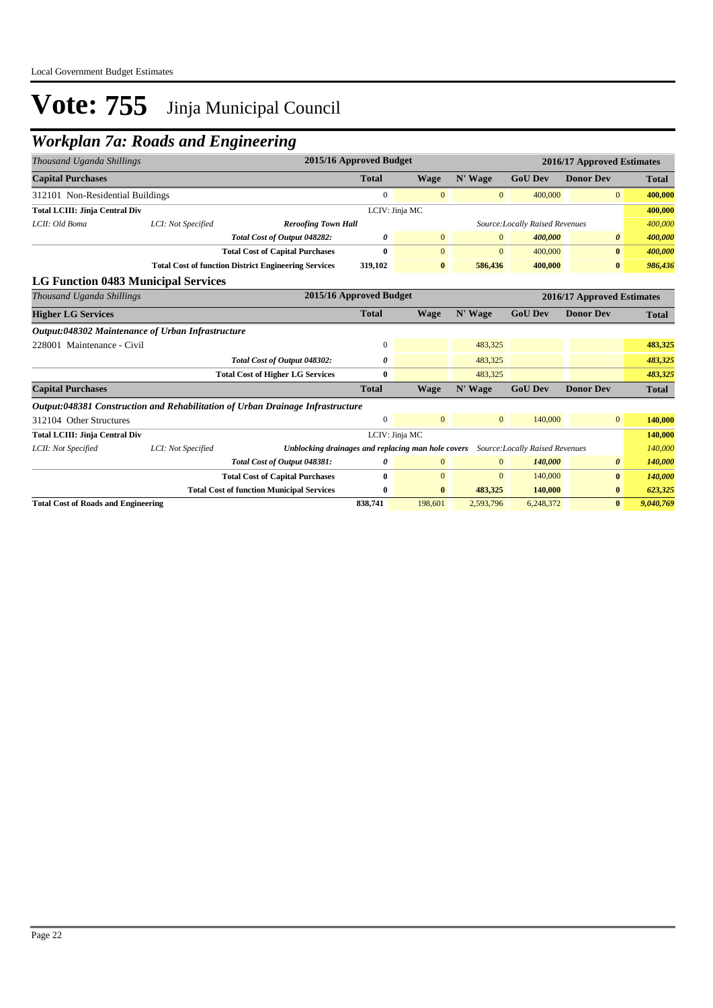## *Workplan 7a: Roads and Engineering*

| Thousand Uganda Shillings                                                      |                                                             |                                                       | 2015/16 Approved Budget |                |                |                                 | 2016/17 Approved Estimates |              |
|--------------------------------------------------------------------------------|-------------------------------------------------------------|-------------------------------------------------------|-------------------------|----------------|----------------|---------------------------------|----------------------------|--------------|
| <b>Capital Purchases</b>                                                       |                                                             |                                                       | <b>Total</b>            | <b>Wage</b>    | N' Wage        | <b>GoU Dev</b>                  | <b>Donor Dev</b>           | <b>Total</b> |
| 312101 Non-Residential Buildings                                               |                                                             |                                                       | $\mathbf{0}$            | $\mathbf{0}$   | $\overline{0}$ | 400,000                         | $\overline{0}$             | 400,000      |
| <b>Total LCIII: Jinja Central Div</b>                                          |                                                             |                                                       |                         | LCIV: Jinja MC |                |                                 |                            | 400,000      |
| LCII: Old Boma                                                                 | LCI: Not Specified                                          | <b>Reroofing Town Hall</b>                            |                         |                |                | Source: Locally Raised Revenues |                            | 400,000      |
|                                                                                |                                                             | Total Cost of Output 048282:                          | 0                       | $\mathbf{0}$   | $\mathbf{0}$   | 400,000                         | $\theta$                   | 400,000      |
|                                                                                |                                                             | <b>Total Cost of Capital Purchases</b>                | $\mathbf{0}$            | $\overline{0}$ | $\Omega$       | 400,000                         | $\bf{0}$                   | 400,000      |
|                                                                                | <b>Total Cost of function District Engineering Services</b> |                                                       | 319,102                 | $\bf{0}$       | 586,436        | 400,000                         | $\bf{0}$                   | 986,436      |
| <b>LG Function 0483 Municipal Services</b>                                     |                                                             |                                                       |                         |                |                |                                 |                            |              |
| Thousand Uganda Shillings                                                      |                                                             | 2015/16 Approved Budget<br>2016/17 Approved Estimates |                         |                |                |                                 |                            |              |
| <b>Higher LG Services</b>                                                      |                                                             |                                                       | <b>Total</b>            | <b>Wage</b>    | N' Wage        | <b>GoU Dev</b>                  | <b>Donor Dev</b>           | <b>Total</b> |
| Output:048302 Maintenance of Urban Infrastructure                              |                                                             |                                                       |                         |                |                |                                 |                            |              |
| 228001 Maintenance - Civil                                                     |                                                             |                                                       | $\mathbf{0}$            |                | 483,325        |                                 |                            | 483,325      |
|                                                                                |                                                             | Total Cost of Output 048302:                          | 0                       |                | 483,325        |                                 |                            | 483,325      |
|                                                                                |                                                             | <b>Total Cost of Higher LG Services</b>               | $\bf{0}$                |                | 483,325        |                                 |                            | 483,325      |
| <b>Capital Purchases</b>                                                       |                                                             |                                                       | <b>Total</b>            | Wage           | N' Wage        | <b>GoU Dev</b>                  | <b>Donor Dev</b>           | <b>Total</b> |
| Output:048381 Construction and Rehabilitation of Urban Drainage Infrastructure |                                                             |                                                       |                         |                |                |                                 |                            |              |
| 312104 Other Structures                                                        |                                                             |                                                       | $\mathbf{0}$            | $\overline{0}$ | $\mathbf{0}$   | 140,000                         | $\overline{0}$             | 140,000      |
| <b>Total LCIII: Jinja Central Div</b>                                          |                                                             |                                                       |                         | LCIV: Jinja MC |                |                                 |                            | 140,000      |
| LCII: Not Specified                                                            | LCI: Not Specified                                          | Unblocking drainages and replacing man hole covers    |                         |                |                | Source: Locally Raised Revenues |                            | 140,000      |
|                                                                                |                                                             | Total Cost of Output 048381:                          | 0                       | $\overline{0}$ | $\mathbf{0}$   | 140,000                         | $\theta$                   | 140,000      |
|                                                                                |                                                             | <b>Total Cost of Capital Purchases</b>                | $\bf{0}$                | $\overline{0}$ | $\mathbf{0}$   | 140,000                         | $\bf{0}$                   | 140,000      |
|                                                                                |                                                             | <b>Total Cost of function Municipal Services</b>      | $\bf{0}$                | $\bf{0}$       | 483,325        | 140,000                         | $\bf{0}$                   | 623,325      |
| <b>Total Cost of Roads and Engineering</b>                                     |                                                             |                                                       | 838,741                 | 198,601        | 2,593,796      | 6,248,372                       | $\bf{0}$                   | 9,040,769    |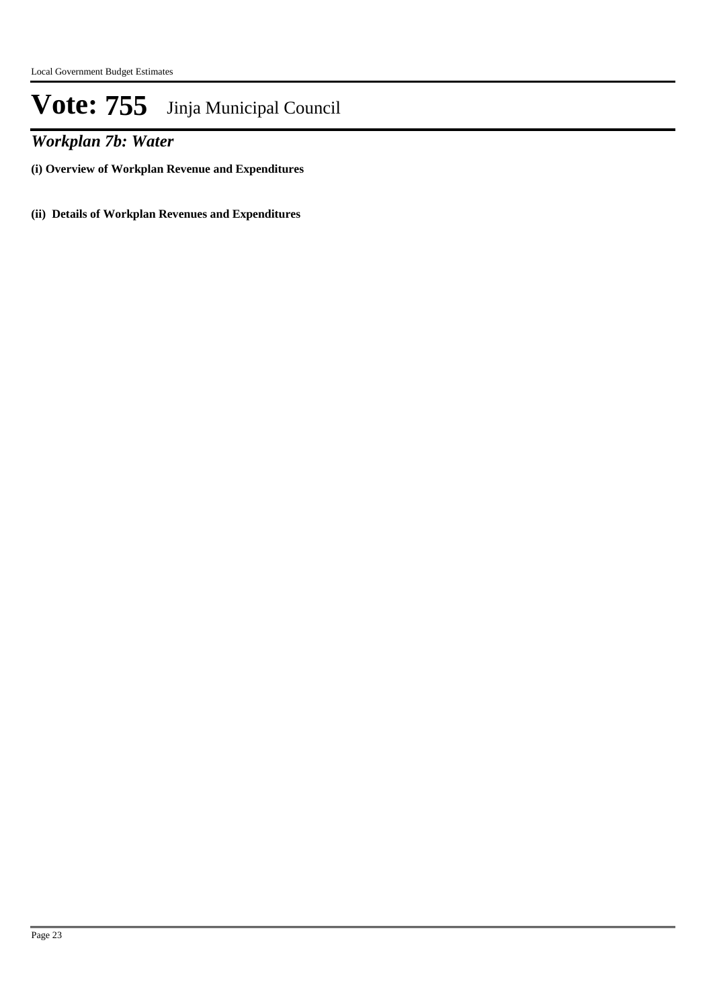*Workplan 7b: Water*

**(i) Overview of Workplan Revenue and Expenditures**

**(ii) Details of Workplan Revenues and Expenditures**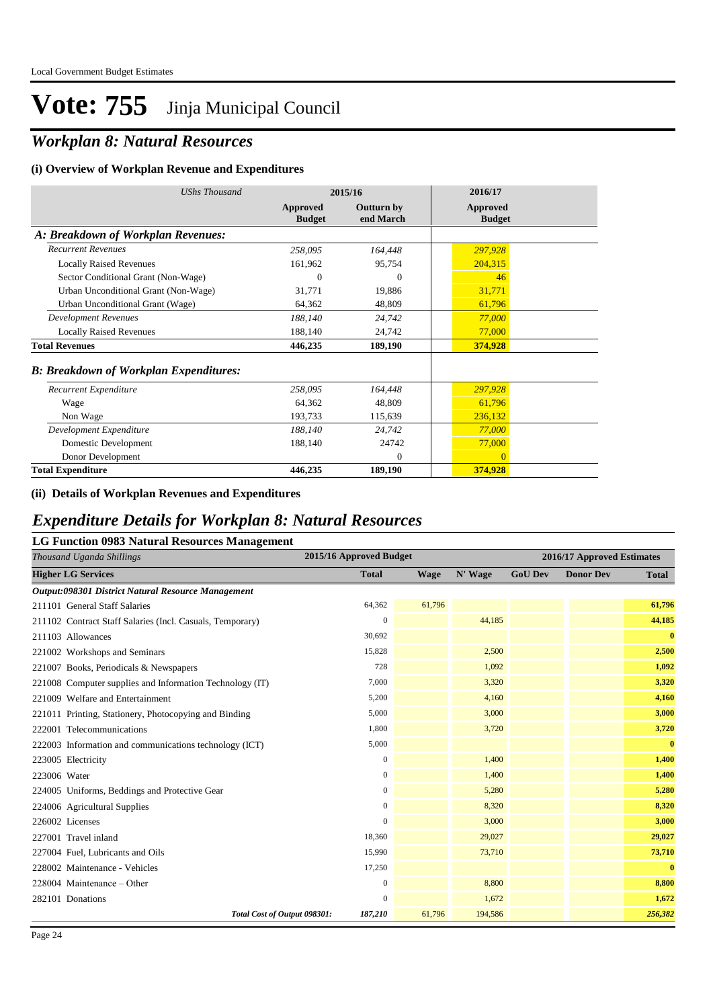## *Workplan 8: Natural Resources*

#### **(i) Overview of Workplan Revenue and Expenditures**

| <b>UShs Thousand</b>                          |                           | 2015/16                        | 2016/17                          |
|-----------------------------------------------|---------------------------|--------------------------------|----------------------------------|
|                                               | Approved<br><b>Budget</b> | <b>Outturn by</b><br>end March | <b>Approved</b><br><b>Budget</b> |
| A: Breakdown of Workplan Revenues:            |                           |                                |                                  |
| <b>Recurrent Revenues</b>                     | 258,095                   | 164,448                        | 297,928                          |
| <b>Locally Raised Revenues</b>                | 161,962                   | 95,754                         | 204,315                          |
| Sector Conditional Grant (Non-Wage)           | 0                         | $\theta$                       | 46                               |
| Urban Unconditional Grant (Non-Wage)          | 31,771                    | 19,886                         | 31,771                           |
| Urban Unconditional Grant (Wage)              | 64,362                    | 48,809                         | 61,796                           |
| <b>Development Revenues</b>                   | 188,140                   | 24,742                         | 77,000                           |
| <b>Locally Raised Revenues</b>                | 188,140                   | 24,742                         | 77,000                           |
| <b>Total Revenues</b>                         | 446,235                   | 189,190                        | 374,928                          |
| <b>B: Breakdown of Workplan Expenditures:</b> |                           |                                |                                  |
| Recurrent Expenditure                         | 258,095                   | 164,448                        | 297,928                          |
| Wage                                          | 64,362                    | 48,809                         | 61,796                           |
| Non Wage                                      | 193,733                   | 115,639                        | 236,132                          |
| Development Expenditure                       | 188,140                   | 24,742                         | 77,000                           |
| Domestic Development                          | 188,140                   | 24742                          | 77,000                           |
| Donor Development                             |                           | $\Omega$                       | $\Omega$                         |
| <b>Total Expenditure</b>                      | 446,235                   | 189,190                        | 374,928                          |

#### **(ii) Details of Workplan Revenues and Expenditures**

# *Expenditure Details for Workplan 8: Natural Resources*

| <b>LG Function 0983 Natural Resources Management</b>      |                         |             |         |                |                            |              |
|-----------------------------------------------------------|-------------------------|-------------|---------|----------------|----------------------------|--------------|
| Thousand Uganda Shillings                                 | 2015/16 Approved Budget |             |         |                | 2016/17 Approved Estimates |              |
| <b>Higher LG Services</b>                                 | <b>Total</b>            | <b>Wage</b> | N' Wage | <b>GoU Dev</b> | <b>Donor Dev</b>           | <b>Total</b> |
| Output:098301 District Natural Resource Management        |                         |             |         |                |                            |              |
| 211101 General Staff Salaries                             | 64,362                  | 61,796      |         |                |                            | 61,796       |
| 211102 Contract Staff Salaries (Incl. Casuals, Temporary) | $\boldsymbol{0}$        |             | 44,185  |                |                            | 44,185       |
| 211103 Allowances                                         | 30,692                  |             |         |                |                            | $\bf{0}$     |
| 221002 Workshops and Seminars                             | 15,828                  |             | 2,500   |                |                            | 2,500        |
| 221007 Books, Periodicals & Newspapers                    | 728                     |             | 1,092   |                |                            | 1,092        |
| 221008 Computer supplies and Information Technology (IT)  | 7,000                   |             | 3,320   |                |                            | 3,320        |
| 221009 Welfare and Entertainment                          | 5,200                   |             | 4,160   |                |                            | 4,160        |
| 221011 Printing, Stationery, Photocopying and Binding     | 5,000                   |             | 3,000   |                |                            | 3,000        |
| 222001 Telecommunications                                 | 1,800                   |             | 3,720   |                |                            | 3,720        |
| 222003 Information and communications technology (ICT)    | 5,000                   |             |         |                |                            | $\bf{0}$     |
| 223005 Electricity                                        | $\mathbf{0}$            |             | 1,400   |                |                            | 1,400        |
| 223006 Water                                              | $\mathbf{0}$            |             | 1,400   |                |                            | 1,400        |
| 224005 Uniforms, Beddings and Protective Gear             | $\boldsymbol{0}$        |             | 5,280   |                |                            | 5,280        |
| 224006 Agricultural Supplies                              | $\mathbf{0}$            |             | 8,320   |                |                            | 8,320        |
| 226002 Licenses                                           | 0                       |             | 3,000   |                |                            | 3,000        |
| 227001 Travel inland                                      | 18,360                  |             | 29,027  |                |                            | 29,027       |
| 227004 Fuel, Lubricants and Oils                          | 15,990                  |             | 73,710  |                |                            | 73,710       |
| 228002 Maintenance - Vehicles                             | 17,250                  |             |         |                |                            | $\bf{0}$     |
| 228004 Maintenance – Other                                | $\mathbf{0}$            |             | 8,800   |                |                            | 8,800        |
| 282101 Donations                                          | $\overline{0}$          |             | 1,672   |                |                            | 1,672        |
| Total Cost of Output 098301:                              | 187,210                 | 61,796      | 194,586 |                |                            | 256,382      |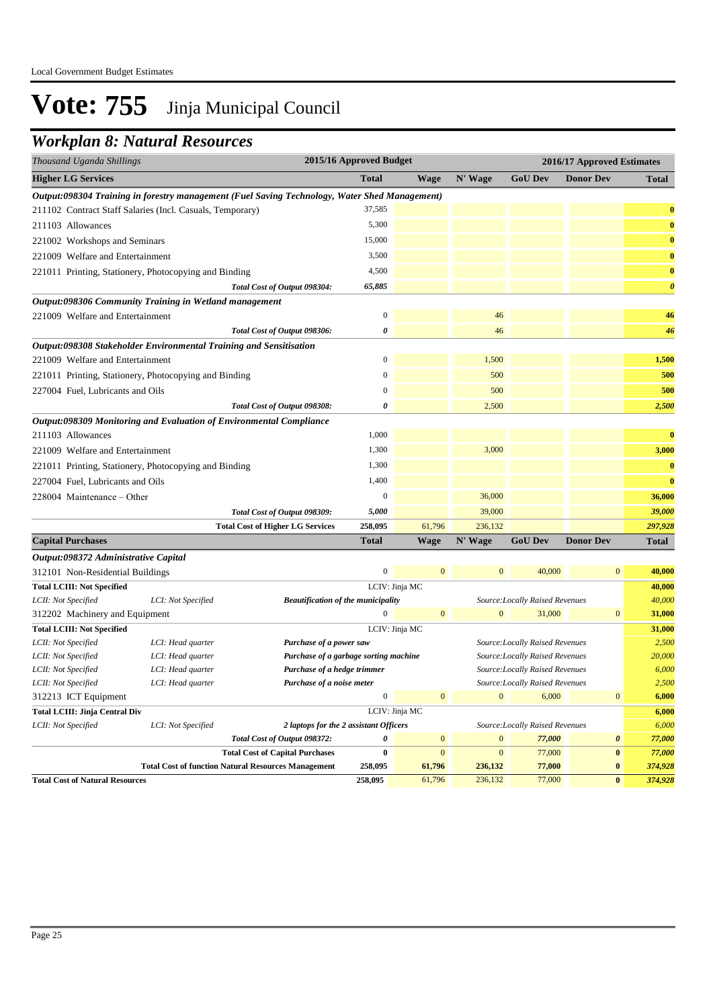### *Workplan 8: Natural Resources*

| Thousand Uganda Shillings            |                                                                                               |                                           | 2015/16 Approved Budget |                |                |                                 | 2016/17 Approved Estimates |                       |
|--------------------------------------|-----------------------------------------------------------------------------------------------|-------------------------------------------|-------------------------|----------------|----------------|---------------------------------|----------------------------|-----------------------|
| <b>Higher LG Services</b>            |                                                                                               |                                           | <b>Total</b>            | <b>Wage</b>    | N' Wage        | <b>GoU Dev</b>                  | <b>Donor Dev</b>           | <b>Total</b>          |
|                                      | Output:098304 Training in forestry management (Fuel Saving Technology, Water Shed Management) |                                           |                         |                |                |                                 |                            |                       |
|                                      | 211102 Contract Staff Salaries (Incl. Casuals, Temporary)                                     |                                           | 37,585                  |                |                |                                 |                            | $\bf{0}$              |
| 211103 Allowances                    |                                                                                               |                                           | 5,300                   |                |                |                                 |                            | $\bf{0}$              |
| 221002 Workshops and Seminars        |                                                                                               |                                           | 15,000                  |                |                |                                 |                            | $\bf{0}$              |
| 221009 Welfare and Entertainment     |                                                                                               |                                           | 3,500                   |                |                |                                 |                            | $\bf{0}$              |
|                                      | 221011 Printing, Stationery, Photocopying and Binding                                         |                                           | 4,500                   |                |                |                                 |                            | $\bf{0}$              |
|                                      |                                                                                               | Total Cost of Output 098304:              | 65,885                  |                |                |                                 |                            | $\boldsymbol{\theta}$ |
|                                      | Output:098306 Community Training in Wetland management                                        |                                           |                         |                |                |                                 |                            |                       |
| 221009 Welfare and Entertainment     |                                                                                               |                                           | $\boldsymbol{0}$        |                | 46             |                                 |                            | 46                    |
|                                      |                                                                                               | Total Cost of Output 098306:              | 0                       |                | 46             |                                 |                            | 46                    |
|                                      | Output:098308 Stakeholder Environmental Training and Sensitisation                            |                                           |                         |                |                |                                 |                            |                       |
| 221009 Welfare and Entertainment     |                                                                                               |                                           | $\boldsymbol{0}$        |                | 1,500          |                                 |                            | 1,500                 |
|                                      | 221011 Printing, Stationery, Photocopying and Binding                                         |                                           | $\overline{0}$          |                | 500            |                                 |                            | 500                   |
| 227004 Fuel, Lubricants and Oils     |                                                                                               |                                           | $\overline{0}$          |                | 500            |                                 |                            | 500                   |
|                                      |                                                                                               | Total Cost of Output 098308:              | 0                       |                | 2,500          |                                 |                            | 2,500                 |
|                                      | Output:098309 Monitoring and Evaluation of Environmental Compliance                           |                                           |                         |                |                |                                 |                            |                       |
| 211103 Allowances                    |                                                                                               |                                           | 1,000                   |                |                |                                 |                            | $\bf{0}$              |
| 221009 Welfare and Entertainment     |                                                                                               |                                           | 1,300                   |                | 3,000          |                                 |                            | 3,000                 |
|                                      | 221011 Printing, Stationery, Photocopying and Binding                                         |                                           | 1,300                   |                |                |                                 |                            | $\bf{0}$              |
| 227004 Fuel, Lubricants and Oils     |                                                                                               |                                           | 1,400                   |                |                |                                 |                            | $\bf{0}$              |
| 228004 Maintenance – Other           |                                                                                               |                                           | $\boldsymbol{0}$        |                | 36,000         |                                 |                            | 36,000                |
|                                      |                                                                                               | Total Cost of Output 098309:              | 5,000                   |                | 39,000         |                                 |                            | 39,000                |
|                                      |                                                                                               | <b>Total Cost of Higher LG Services</b>   | 258,095                 | 61,796         | 236,132        |                                 |                            | 297,928               |
| <b>Capital Purchases</b>             |                                                                                               |                                           | <b>Total</b>            | <b>Wage</b>    | N' Wage        | <b>GoU Dev</b>                  | <b>Donor Dev</b>           | Total                 |
| Output:098372 Administrative Capital |                                                                                               |                                           |                         |                |                |                                 |                            |                       |
| 312101 Non-Residential Buildings     |                                                                                               |                                           | $\overline{0}$          | $\overline{0}$ | $\mathbf{0}$   | 40,000                          | $\mathbf{0}$               | 40,000                |
| <b>Total LCIII: Not Specified</b>    |                                                                                               |                                           |                         | LCIV: Jinja MC |                |                                 |                            | 40,000                |
| LCII: Not Specified                  | LCI: Not Specified                                                                            | <b>Beautification of the municipality</b> |                         |                |                | Source: Locally Raised Revenues |                            | 40,000                |
| 312202 Machinery and Equipment       |                                                                                               |                                           | $\mathbf{0}$            | $\mathbf{0}$   | $\overline{0}$ | 31,000                          | $\mathbf{0}$               | 31,000                |
| <b>Total LCIII: Not Specified</b>    |                                                                                               |                                           |                         | LCIV: Jinja MC |                |                                 |                            | 31,000                |
| LCII: Not Specified                  | LCI: Head quarter                                                                             | Purchase of a power saw                   |                         |                |                | Source:Locally Raised Revenues  |                            | 2,500                 |
| LCII: Not Specified                  | LCI: Head quarter                                                                             | Purchase of a garbage sorting machine     |                         |                |                | Source: Locally Raised Revenues |                            | 20,000                |

*LCII: Not Specified LCI: Head quarter Purchase of a hedge trimmer Source:Locally Raised Revenues 6,000 LCII: Not Specified LCI: Head quarter Purchase of a noise meter Source:Locally Raised Revenues 2,500* 312213 ICT Equipment **6,000** 0 6,000 0 6,000 0 6,000 0 6,000 **Total LCIII: Jinja Central Div** LCIV: Jinja MC **6,000** *LCII: Not Specified LCI: Not Specified 2 laptops for the 2 assistant Officers Source:Locally Raised Revenues 6,000*

**Total Cost of Natural Resources 258,095** 61,796 236,132 77,000 **0** *374,928*

*Total Cost of Output 098372:* 0 0 0 0 77,000 0 77,000 0 77,000 **Total Cost of Capital Purchases 0** 0 0 77,000 **0** *77,000*

**Total Cost of function Natural Resources Management 258,095 61,796 236,132 77,000 0** *374,928*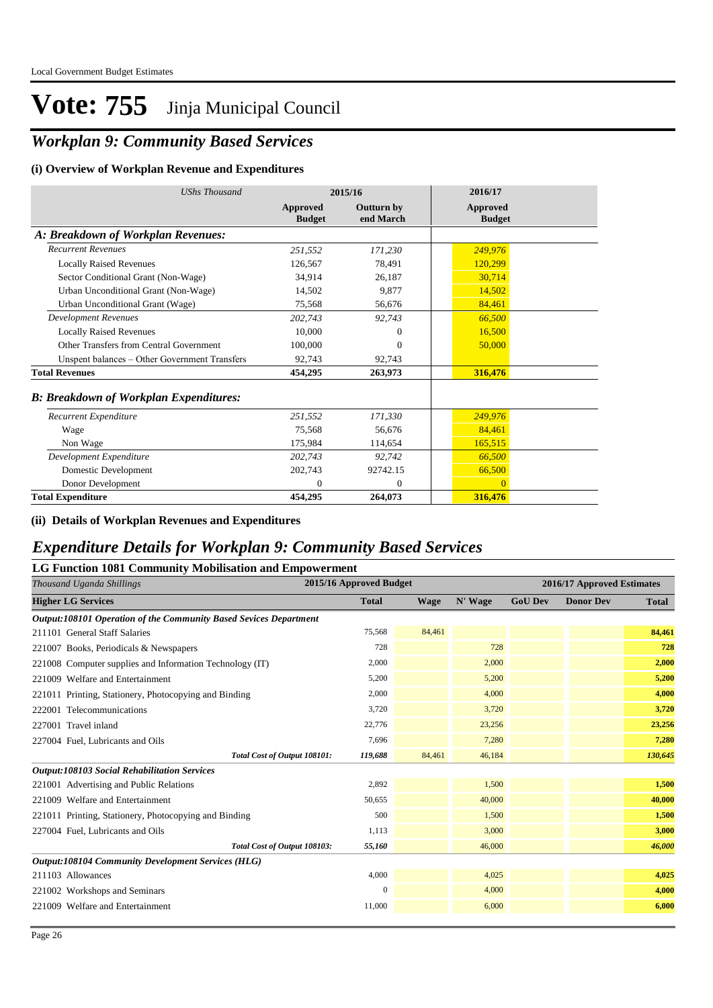## *Workplan 9: Community Based Services*

#### **(i) Overview of Workplan Revenue and Expenditures**

| <b>UShs Thousand</b>                          |                           | 2015/16                        | 2016/17                   |
|-----------------------------------------------|---------------------------|--------------------------------|---------------------------|
|                                               | Approved<br><b>Budget</b> | <b>Outturn by</b><br>end March | Approved<br><b>Budget</b> |
| A: Breakdown of Workplan Revenues:            |                           |                                |                           |
| <b>Recurrent Revenues</b>                     | 251,552                   | 171,230                        | 249,976                   |
| <b>Locally Raised Revenues</b>                | 126,567                   | 78,491                         | 120,299                   |
| Sector Conditional Grant (Non-Wage)           | 34,914                    | 26,187                         | 30,714                    |
| Urban Unconditional Grant (Non-Wage)          | 14,502                    | 9.877                          | 14,502                    |
| Urban Unconditional Grant (Wage)              | 75,568                    | 56,676                         | 84,461                    |
| <b>Development Revenues</b>                   | 202,743                   | 92,743                         | 66,500                    |
| <b>Locally Raised Revenues</b>                | 10,000                    | $\theta$                       | 16,500                    |
| Other Transfers from Central Government       | 100,000                   | $\Omega$                       | 50,000                    |
| Unspent balances - Other Government Transfers | 92.743                    | 92,743                         |                           |
| <b>Total Revenues</b>                         | 454,295                   | 263,973                        | 316,476                   |
| <b>B: Breakdown of Workplan Expenditures:</b> |                           |                                |                           |
| Recurrent Expenditure                         | 251,552                   | 171,330                        | 249,976                   |
| Wage                                          | 75.568                    | 56.676                         | 84,461                    |
| Non Wage                                      | 175,984                   | 114,654                        | 165,515                   |
| Development Expenditure                       | 202,743                   | 92,742                         | 66,500                    |
| Domestic Development                          | 202,743                   | 92742.15                       | 66,500                    |
| Donor Development                             | $\mathbf{0}$              | $\theta$                       | $\Omega$                  |
| <b>Total Expenditure</b>                      | 454,295                   | 264,073                        | 316,476                   |

**(ii) Details of Workplan Revenues and Expenditures**

### *Expenditure Details for Workplan 9: Community Based Services*

#### **LG Function 1081 Community Mobilisation and Empowerment**

| Thousand Uganda Shillings                                         | 2015/16 Approved Budget |             |         |                | 2016/17 Approved Estimates |              |
|-------------------------------------------------------------------|-------------------------|-------------|---------|----------------|----------------------------|--------------|
| <b>Higher LG Services</b>                                         | <b>Total</b>            | <b>Wage</b> | N' Wage | <b>GoU Dev</b> | <b>Donor Dev</b>           | <b>Total</b> |
| Output:108101 Operation of the Community Based Sevices Department |                         |             |         |                |                            |              |
| 211101 General Staff Salaries                                     | 75,568                  | 84,461      |         |                |                            | 84,461       |
| 221007 Books, Periodicals & Newspapers                            | 728                     |             | 728     |                |                            | 728          |
| 221008 Computer supplies and Information Technology (IT)          | 2,000                   |             | 2,000   |                |                            | 2,000        |
| 221009 Welfare and Entertainment                                  | 5,200                   |             | 5,200   |                |                            | 5,200        |
| 221011 Printing, Stationery, Photocopying and Binding             | 2,000                   |             | 4,000   |                |                            | 4,000        |
| 222001 Telecommunications                                         | 3,720                   |             | 3,720   |                |                            | 3,720        |
| 227001 Travel inland                                              | 22,776                  |             | 23,256  |                |                            | 23,256       |
| 227004 Fuel, Lubricants and Oils                                  | 7,696                   |             | 7,280   |                |                            | 7,280        |
| Total Cost of Output 108101:                                      | 119,688                 | 84,461      | 46,184  |                |                            | 130,645      |
| <b>Output:108103 Social Rehabilitation Services</b>               |                         |             |         |                |                            |              |
| 221001 Advertising and Public Relations                           | 2,892                   |             | 1,500   |                |                            | 1,500        |
| 221009 Welfare and Entertainment                                  | 50,655                  |             | 40,000  |                |                            | 40,000       |
| 221011 Printing, Stationery, Photocopying and Binding             | 500                     |             | 1,500   |                |                            | 1,500        |
| 227004 Fuel, Lubricants and Oils                                  | 1,113                   |             | 3,000   |                |                            | 3,000        |
| Total Cost of Output 108103:                                      | 55,160                  |             | 46,000  |                |                            | 46,000       |
| <b>Output:108104 Community Development Services (HLG)</b>         |                         |             |         |                |                            |              |
| 211103 Allowances                                                 | 4,000                   |             | 4,025   |                |                            | 4,025        |
| 221002 Workshops and Seminars                                     | $\Omega$                |             | 4,000   |                |                            | 4,000        |
| 221009 Welfare and Entertainment                                  | 11,000                  |             | 6,000   |                |                            | 6,000        |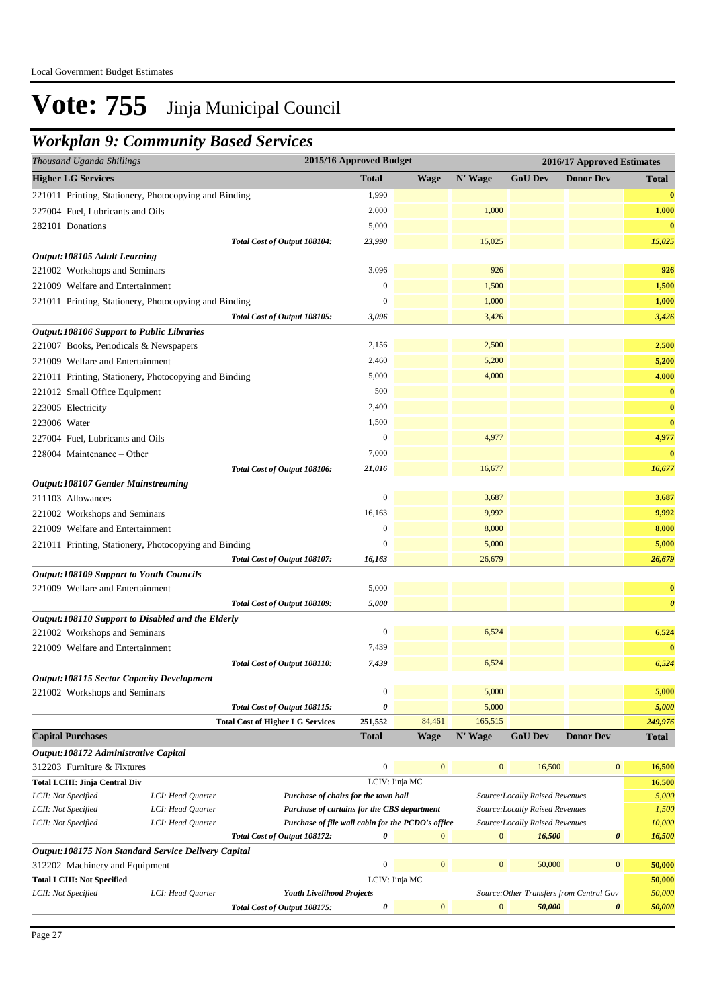### *Workplan 9: Community Based Services*

| Thousand Uganda Shillings                                            |                   |                                                   | 2015/16 Approved Budget |                |                  |                                 | 2016/17 Approved Estimates               |                       |
|----------------------------------------------------------------------|-------------------|---------------------------------------------------|-------------------------|----------------|------------------|---------------------------------|------------------------------------------|-----------------------|
| <b>Higher LG Services</b>                                            |                   |                                                   | <b>Total</b>            | <b>Wage</b>    | N' Wage          | <b>GoU</b> Dev                  | <b>Donor Dev</b>                         | Total                 |
| 221011 Printing, Stationery, Photocopying and Binding                |                   |                                                   | 1,990                   |                |                  |                                 |                                          | $\bf{0}$              |
| 227004 Fuel, Lubricants and Oils                                     |                   |                                                   | 2,000                   |                | 1,000            |                                 |                                          | 1,000                 |
| 282101 Donations                                                     |                   |                                                   | 5,000                   |                |                  |                                 |                                          | $\bf{0}$              |
|                                                                      |                   | Total Cost of Output 108104:                      | 23,990                  |                | 15,025           |                                 |                                          | 15,025                |
| Output:108105 Adult Learning                                         |                   |                                                   |                         |                |                  |                                 |                                          |                       |
| 221002 Workshops and Seminars                                        |                   |                                                   | 3,096                   |                | 926              |                                 |                                          | 926                   |
| 221009 Welfare and Entertainment                                     |                   |                                                   | $\boldsymbol{0}$        |                | 1,500            |                                 |                                          | 1,500                 |
| 221011 Printing, Stationery, Photocopying and Binding                |                   |                                                   | $\mathbf{0}$            |                | 1,000            |                                 |                                          | 1,000                 |
|                                                                      |                   | Total Cost of Output 108105:                      | 3,096                   |                | 3,426            |                                 |                                          | 3,426                 |
| <b>Output:108106 Support to Public Libraries</b>                     |                   |                                                   |                         |                |                  |                                 |                                          |                       |
| 221007 Books, Periodicals & Newspapers                               |                   |                                                   | 2,156                   |                | 2,500            |                                 |                                          | 2,500                 |
| 221009 Welfare and Entertainment                                     |                   |                                                   | 2,460                   |                | 5,200            |                                 |                                          | 5,200                 |
| 221011 Printing, Stationery, Photocopying and Binding                |                   |                                                   | 5,000                   |                | 4,000            |                                 |                                          | 4,000                 |
| 221012 Small Office Equipment                                        |                   |                                                   | 500                     |                |                  |                                 |                                          | $\bf{0}$              |
| 223005 Electricity                                                   |                   |                                                   | 2,400                   |                |                  |                                 |                                          | $\bf{0}$              |
| 223006 Water                                                         |                   |                                                   | 1,500                   |                |                  |                                 |                                          | $\bf{0}$              |
| 227004 Fuel, Lubricants and Oils                                     |                   |                                                   | $\boldsymbol{0}$        |                | 4,977            |                                 |                                          | 4,977                 |
| 228004 Maintenance – Other                                           |                   |                                                   | 7,000                   |                |                  |                                 |                                          | $\bf{0}$              |
|                                                                      |                   | Total Cost of Output 108106:                      | 21,016                  |                | 16,677           |                                 |                                          | 16,677                |
| <b>Output:108107 Gender Mainstreaming</b>                            |                   |                                                   |                         |                |                  |                                 |                                          |                       |
| 211103 Allowances                                                    |                   |                                                   | $\boldsymbol{0}$        |                | 3,687            |                                 |                                          | 3,687                 |
| 221002 Workshops and Seminars                                        |                   |                                                   | 16,163                  |                | 9,992            |                                 |                                          | 9,992                 |
| 221009 Welfare and Entertainment                                     |                   |                                                   | $\boldsymbol{0}$        |                | 8,000            |                                 |                                          | 8,000                 |
| 221011 Printing, Stationery, Photocopying and Binding                |                   |                                                   | $\mathbf{0}$            |                | 5,000            |                                 |                                          | 5,000                 |
|                                                                      |                   | Total Cost of Output 108107:                      | 16,163                  |                | 26,679           |                                 |                                          | 26,679                |
| <b>Output:108109 Support to Youth Councils</b>                       |                   |                                                   |                         |                |                  |                                 |                                          |                       |
| 221009 Welfare and Entertainment                                     |                   |                                                   | 5,000                   |                |                  |                                 |                                          | $\bf{0}$              |
|                                                                      |                   | Total Cost of Output 108109:                      | 5,000                   |                |                  |                                 |                                          | $\boldsymbol{\theta}$ |
| Output:108110 Support to Disabled and the Elderly                    |                   |                                                   |                         |                |                  |                                 |                                          |                       |
| 221002 Workshops and Seminars                                        |                   |                                                   | $\boldsymbol{0}$        |                | 6,524            |                                 |                                          | 6,524                 |
| 221009 Welfare and Entertainment                                     |                   |                                                   | 7,439                   |                |                  |                                 |                                          | $\bf{0}$              |
|                                                                      |                   | Total Cost of Output 108110:                      | 7,439                   |                | 6,524            |                                 |                                          | 6,524                 |
| <b>Output:108115 Sector Capacity Development</b>                     |                   |                                                   |                         |                |                  |                                 |                                          |                       |
| 221002 Workshops and Seminars                                        |                   |                                                   | $\boldsymbol{0}$        |                | 5,000            |                                 |                                          | 5,000                 |
|                                                                      |                   | Total Cost of Output 108115:                      | 0                       |                | 5,000            |                                 |                                          | 5,000                 |
|                                                                      |                   | <b>Total Cost of Higher LG Services</b>           | 251,552                 | 84,461         | 165,515          |                                 |                                          | 249,976               |
| <b>Capital Purchases</b>                                             |                   |                                                   | <b>Total</b>            | <b>Wage</b>    | N' Wage          | <b>GoU Dev</b>                  | <b>Donor Dev</b>                         | Total                 |
| Output:108172 Administrative Capital                                 |                   |                                                   | $\boldsymbol{0}$        | $\mathbf{0}$   | $\mathbf{0}$     |                                 | $\boldsymbol{0}$                         |                       |
| 312203 Furniture & Fixtures<br><b>Total LCIII: Jinja Central Div</b> |                   |                                                   |                         | LCIV: Jinja MC |                  | 16,500                          |                                          | 16,500                |
| LCII: Not Specified                                                  | LCI: Head Quarter | Purchase of chairs for the town hall              |                         |                |                  | Source: Locally Raised Revenues |                                          | 16,500<br>5,000       |
| LCII: Not Specified                                                  | LCI: Head Quarter | Purchase of curtains for the CBS department       |                         |                |                  | Source:Locally Raised Revenues  |                                          | 1,500                 |
| LCII: Not Specified                                                  | LCI: Head Quarter | Purchase of file wall cabin for the PCDO's office |                         |                |                  | Source:Locally Raised Revenues  |                                          | 10,000                |
|                                                                      |                   | Total Cost of Output 108172:                      | 0                       | $\mathbf{0}$   | $\mathbf{0}$     | 16,500                          | 0                                        | 16,500                |
| Output:108175 Non Standard Service Delivery Capital                  |                   |                                                   |                         |                |                  |                                 |                                          |                       |
| 312202 Machinery and Equipment                                       |                   |                                                   | $\boldsymbol{0}$        | $\mathbf{0}$   | $\boldsymbol{0}$ | 50,000                          | $\boldsymbol{0}$                         | 50,000                |
| <b>Total LCIII: Not Specified</b>                                    |                   |                                                   |                         | LCIV: Jinja MC |                  |                                 |                                          | 50,000                |
| LCII: Not Specified                                                  | LCI: Head Quarter | <b>Youth Livelihood Projects</b>                  |                         |                |                  |                                 | Source: Other Transfers from Central Gov | 50,000                |
|                                                                      |                   | Total Cost of Output 108175:                      | 0                       | $\bf{0}$       | $\boldsymbol{0}$ | 50,000                          | 0                                        | 50,000                |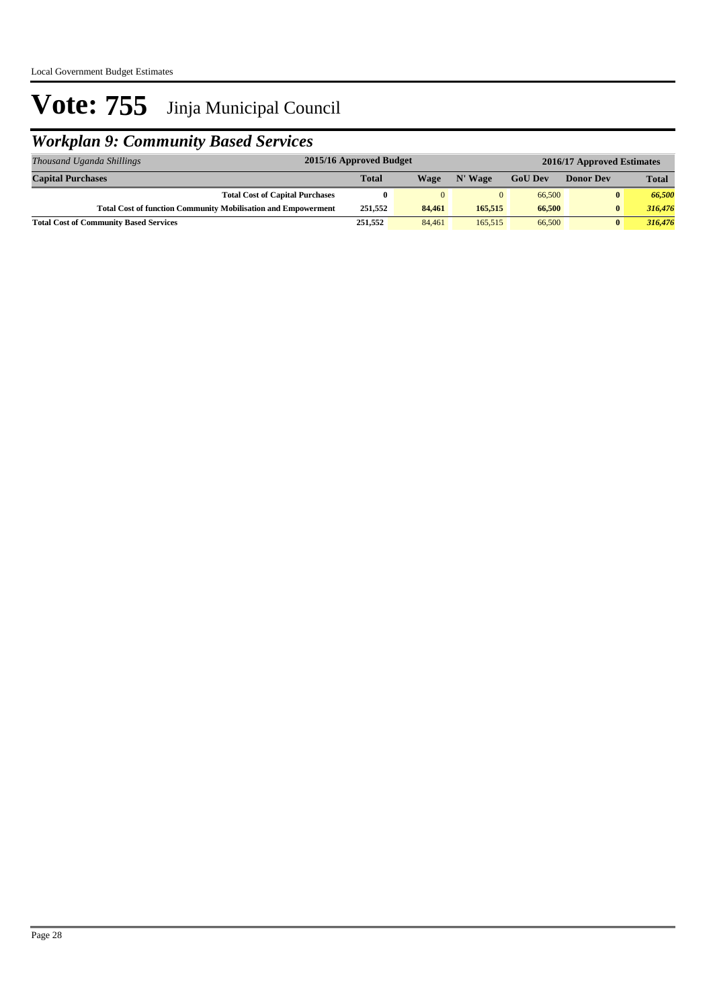## *Workplan 9: Community Based Services*

| Thousand Uganda Shillings                                            | 2015/16 Approved Budget<br>2016/17 Approved Estimates |        |          |                |                  |              |
|----------------------------------------------------------------------|-------------------------------------------------------|--------|----------|----------------|------------------|--------------|
| <b>Capital Purchases</b>                                             | <b>Total</b>                                          | Wage   | N' Wage  | <b>GoU</b> Dev | <b>Donor Dev</b> | <b>Total</b> |
| <b>Total Cost of Capital Purchases</b>                               |                                                       | 0      | $\Omega$ | 66,500         | $\bf{0}$         | 66,500       |
| <b>Total Cost of function Community Mobilisation and Empowerment</b> | 251.552                                               | 84,461 | 165,515  | 66,500         | $\bf{0}$         | 316,476      |
| <b>Total Cost of Community Based Services</b>                        | 251,552                                               | 84,461 | 165,515  | 66,500         | $\bf{0}$         | 316,476      |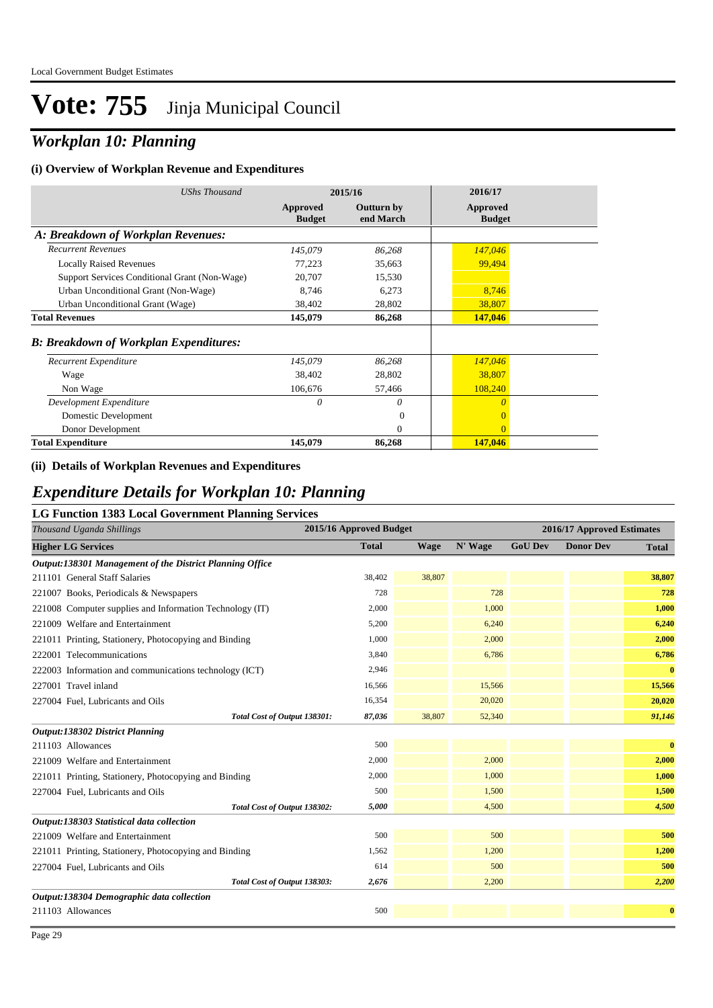## *Workplan 10: Planning*

#### **(i) Overview of Workplan Revenue and Expenditures**

| UShs Thousand                                 |                           | 2015/16                        | 2016/17                   |
|-----------------------------------------------|---------------------------|--------------------------------|---------------------------|
|                                               | Approved<br><b>Budget</b> | <b>Outturn by</b><br>end March | Approved<br><b>Budget</b> |
| A: Breakdown of Workplan Revenues:            |                           |                                |                           |
| <b>Recurrent Revenues</b>                     | 145,079                   | 86,268                         | 147,046                   |
| <b>Locally Raised Revenues</b>                | 77,223                    | 35,663                         | 99,494                    |
| Support Services Conditional Grant (Non-Wage) | 20,707                    | 15,530                         |                           |
| Urban Unconditional Grant (Non-Wage)          | 8,746                     | 6,273                          | 8,746                     |
| Urban Unconditional Grant (Wage)              | 38,402                    | 28,802                         | 38,807                    |
| <b>Total Revenues</b>                         | 145,079                   | 86,268                         | 147,046                   |
| <b>B: Breakdown of Workplan Expenditures:</b> |                           |                                |                           |
| Recurrent Expenditure                         | 145,079                   | 86,268                         | 147,046                   |
| Wage                                          | 38,402                    | 28,802                         | 38,807                    |
| Non Wage                                      | 106,676                   | 57,466                         | 108,240                   |
| Development Expenditure                       | 0                         | 0                              | $\theta$                  |
| Domestic Development                          |                           | $\overline{0}$                 | $\mathbf{0}$              |
| Donor Development                             |                           | $\overline{0}$                 | $\overline{0}$            |
| <b>Total Expenditure</b>                      | 145,079                   | 86,268                         | 147,046                   |

#### **(ii) Details of Workplan Revenues and Expenditures**

### *Expenditure Details for Workplan 10: Planning*

#### **LG Function 1383 Local Government Planning Services**

| Thousand Uganda Shillings                                | 2015/16 Approved Budget |        |         |                | 2016/17 Approved Estimates |              |
|----------------------------------------------------------|-------------------------|--------|---------|----------------|----------------------------|--------------|
| <b>Higher LG Services</b>                                | <b>Total</b>            | Wage   | N' Wage | <b>GoU Dev</b> | <b>Donor Dev</b>           | <b>Total</b> |
| Output:138301 Management of the District Planning Office |                         |        |         |                |                            |              |
| 211101 General Staff Salaries                            | 38,402                  | 38,807 |         |                |                            | 38,807       |
| 221007 Books, Periodicals & Newspapers                   | 728                     |        | 728     |                |                            | 728          |
| 221008 Computer supplies and Information Technology (IT) | 2,000                   |        | 1,000   |                |                            | 1,000        |
| 221009 Welfare and Entertainment                         | 5,200                   |        | 6,240   |                |                            | 6,240        |
| 221011 Printing, Stationery, Photocopying and Binding    | 1,000                   |        | 2,000   |                |                            | 2,000        |
| 222001 Telecommunications                                | 3,840                   |        | 6,786   |                |                            | 6,786        |
| 222003 Information and communications technology (ICT)   | 2,946                   |        |         |                |                            | $\bf{0}$     |
| 227001 Travel inland                                     | 16,566                  |        | 15,566  |                |                            | 15,566       |
| 227004 Fuel, Lubricants and Oils                         | 16,354                  |        | 20,020  |                |                            | 20,020       |
| Total Cost of Output 138301:                             | 87,036                  | 38,807 | 52,340  |                |                            | 91,146       |
| Output:138302 District Planning                          |                         |        |         |                |                            |              |
| 211103 Allowances                                        | 500                     |        |         |                |                            | $\bf{0}$     |
| 221009 Welfare and Entertainment                         | 2,000                   |        | 2,000   |                |                            | 2,000        |
| 221011 Printing, Stationery, Photocopying and Binding    | 2,000                   |        | 1,000   |                |                            | 1,000        |
| 227004 Fuel, Lubricants and Oils                         | 500                     |        | 1,500   |                |                            | 1,500        |
| Total Cost of Output 138302:                             | 5,000                   |        | 4,500   |                |                            | 4,500        |
| Output:138303 Statistical data collection                |                         |        |         |                |                            |              |
| 221009 Welfare and Entertainment                         | 500                     |        | 500     |                |                            | 500          |
| 221011 Printing, Stationery, Photocopying and Binding    | 1,562                   |        | 1,200   |                |                            | 1,200        |
| 227004 Fuel, Lubricants and Oils                         | 614                     |        | 500     |                |                            | 500          |
| Total Cost of Output 138303:                             | 2,676                   |        | 2,200   |                |                            | 2,200        |
| Output:138304 Demographic data collection                |                         |        |         |                |                            |              |
| 211103 Allowances                                        | 500                     |        |         |                |                            | $\bf{0}$     |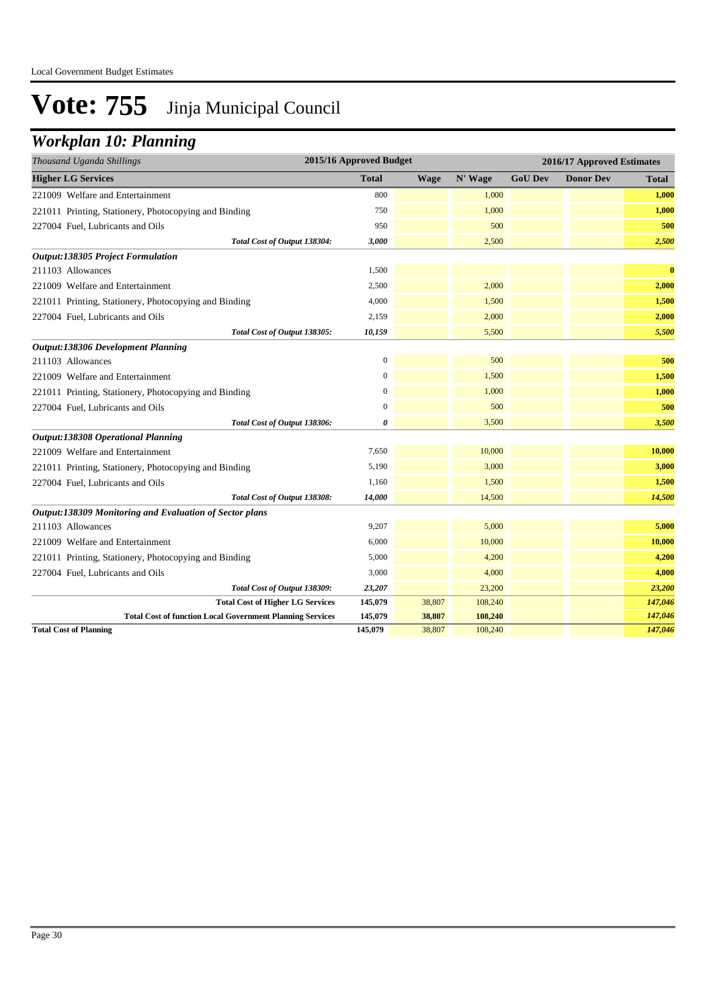### *Workplan 10: Planning*

| Thousand Uganda Shillings                                        | 2015/16 Approved Budget |             |         |                | 2016/17 Approved Estimates |          |
|------------------------------------------------------------------|-------------------------|-------------|---------|----------------|----------------------------|----------|
| <b>Higher LG Services</b>                                        | <b>Total</b>            | <b>Wage</b> | N' Wage | <b>GoU Dev</b> | <b>Donor Dev</b>           | Total    |
| 221009 Welfare and Entertainment                                 | 800                     |             | 1,000   |                |                            | 1,000    |
| 221011 Printing, Stationery, Photocopying and Binding            | 750                     |             | 1,000   |                |                            | 1,000    |
| 227004 Fuel, Lubricants and Oils                                 | 950                     |             | 500     |                |                            | 500      |
| Total Cost of Output 138304:                                     | 3,000                   |             | 2,500   |                |                            | 2,500    |
| <b>Output:138305 Project Formulation</b>                         |                         |             |         |                |                            |          |
| 211103 Allowances                                                | 1,500                   |             |         |                |                            | $\bf{0}$ |
| 221009 Welfare and Entertainment                                 | 2,500                   |             | 2,000   |                |                            | 2,000    |
| 221011 Printing, Stationery, Photocopying and Binding            | 4,000                   |             | 1,500   |                |                            | 1,500    |
| 227004 Fuel, Lubricants and Oils                                 | 2,159                   |             | 2,000   |                |                            | 2,000    |
| Total Cost of Output 138305:                                     | 10,159                  |             | 5,500   |                |                            | 5,500    |
| Output:138306 Development Planning                               |                         |             |         |                |                            |          |
| 211103 Allowances                                                | $\boldsymbol{0}$        |             | 500     |                |                            | 500      |
| 221009 Welfare and Entertainment                                 | $\overline{0}$          |             | 1,500   |                |                            | 1,500    |
| 221011 Printing, Stationery, Photocopying and Binding            | 0                       |             | 1,000   |                |                            | 1,000    |
| 227004 Fuel, Lubricants and Oils                                 | $\overline{0}$          |             | 500     |                |                            | 500      |
| Total Cost of Output 138306:                                     | 0                       |             | 3,500   |                |                            | 3,500    |
| <b>Output:138308 Operational Planning</b>                        |                         |             |         |                |                            |          |
| 221009 Welfare and Entertainment                                 | 7,650                   |             | 10,000  |                |                            | 10,000   |
| 221011 Printing, Stationery, Photocopying and Binding            | 5,190                   |             | 3,000   |                |                            | 3,000    |
| 227004 Fuel, Lubricants and Oils                                 | 1,160                   |             | 1,500   |                |                            | 1,500    |
| Total Cost of Output 138308:                                     | 14,000                  |             | 14,500  |                |                            | 14,500   |
| Output:138309 Monitoring and Evaluation of Sector plans          |                         |             |         |                |                            |          |
| 211103 Allowances                                                | 9,207                   |             | 5,000   |                |                            | 5,000    |
| 221009 Welfare and Entertainment                                 | 6,000                   |             | 10,000  |                |                            | 10,000   |
| 221011 Printing, Stationery, Photocopying and Binding            | 5,000                   |             | 4,200   |                |                            | 4,200    |
| 227004 Fuel, Lubricants and Oils                                 | 3,000                   |             | 4,000   |                |                            | 4,000    |
| Total Cost of Output 138309:                                     | 23,207                  |             | 23,200  |                |                            | 23,200   |
| <b>Total Cost of Higher LG Services</b>                          | 145,079                 | 38,807      | 108,240 |                |                            | 147,046  |
| <b>Total Cost of function Local Government Planning Services</b> | 145,079                 | 38,807      | 108,240 |                |                            | 147,046  |
| <b>Total Cost of Planning</b>                                    | 145,079                 | 38,807      | 108,240 |                |                            | 147,046  |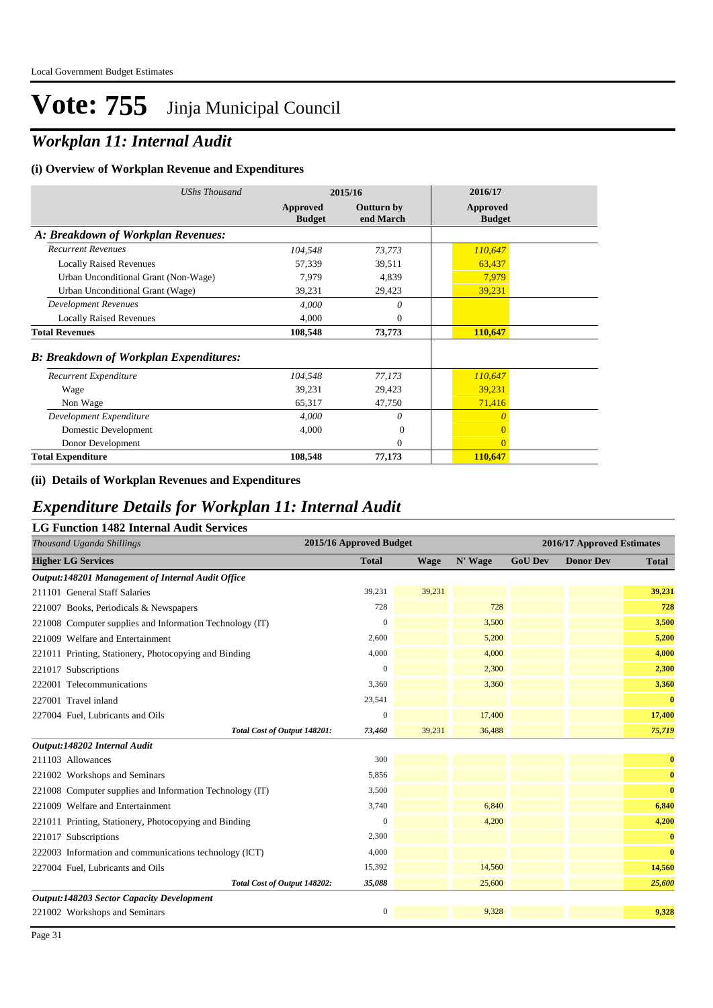## *Workplan 11: Internal Audit*

#### **(i) Overview of Workplan Revenue and Expenditures**

| <b>UShs Thousand</b>                          |                           | 2015/16                        | 2016/17                   |  |
|-----------------------------------------------|---------------------------|--------------------------------|---------------------------|--|
|                                               | Approved<br><b>Budget</b> | <b>Outturn by</b><br>end March | Approved<br><b>Budget</b> |  |
| A: Breakdown of Workplan Revenues:            |                           |                                |                           |  |
| <b>Recurrent Revenues</b>                     | 104,548                   | 73,773                         | 110,647                   |  |
| <b>Locally Raised Revenues</b>                | 57,339                    | 39,511                         | 63,437                    |  |
| Urban Unconditional Grant (Non-Wage)          | 7,979                     | 4,839                          | 7,979                     |  |
| Urban Unconditional Grant (Wage)              | 39,231                    | 29,423                         | 39,231                    |  |
| <b>Development Revenues</b>                   | 4,000                     | $\theta$                       |                           |  |
| <b>Locally Raised Revenues</b>                | 4,000                     | $\theta$                       |                           |  |
| <b>Total Revenues</b>                         | 108,548                   | 73,773                         | 110,647                   |  |
| <b>B: Breakdown of Workplan Expenditures:</b> |                           |                                |                           |  |
| Recurrent Expenditure                         | 104,548                   | 77,173                         | 110,647                   |  |
| Wage                                          | 39,231                    | 29,423                         | 39,231                    |  |
| Non Wage                                      | 65,317                    | 47,750                         | 71,416                    |  |
| Development Expenditure                       | 4,000                     | 0                              | $\theta$                  |  |
| Domestic Development                          | 4,000                     | $\Omega$                       | $\overline{0}$            |  |
| Donor Development                             |                           | $\Omega$                       | $\overline{0}$            |  |
| <b>Total Expenditure</b>                      | 108,548                   | 77,173                         | 110,647                   |  |

#### **(ii) Details of Workplan Revenues and Expenditures**

### *Expenditure Details for Workplan 11: Internal Audit*

#### **LG Function 1482 Internal Audit Services**

| Thousand Uganda Shillings                                | 2015/16 Approved Budget |             |         |                | 2016/17 Approved Estimates |              |
|----------------------------------------------------------|-------------------------|-------------|---------|----------------|----------------------------|--------------|
| <b>Higher LG Services</b>                                | <b>Total</b>            | <b>Wage</b> | N' Wage | <b>GoU Dev</b> | <b>Donor Dev</b>           | <b>Total</b> |
| Output:148201 Management of Internal Audit Office        |                         |             |         |                |                            |              |
| 211101 General Staff Salaries                            | 39,231                  | 39,231      |         |                |                            | 39,231       |
| 221007 Books, Periodicals & Newspapers                   | 728                     |             | 728     |                |                            | 728          |
| 221008 Computer supplies and Information Technology (IT) | $\Omega$                |             | 3,500   |                |                            | 3,500        |
| 221009 Welfare and Entertainment                         | 2,600                   |             | 5,200   |                |                            | 5,200        |
| 221011 Printing, Stationery, Photocopying and Binding    | 4,000                   |             | 4,000   |                |                            | 4,000        |
| 221017 Subscriptions                                     | $\mathbf{0}$            |             | 2,300   |                |                            | 2,300        |
| 222001 Telecommunications                                | 3,360                   |             | 3,360   |                |                            | 3,360        |
| 227001 Travel inland                                     | 23,541                  |             |         |                |                            | $\bf{0}$     |
| 227004 Fuel, Lubricants and Oils                         | $\mathbf{0}$            |             | 17,400  |                |                            | 17,400       |
| Total Cost of Output 148201:                             | 73,460                  | 39,231      | 36,488  |                |                            | 75,719       |
| Output:148202 Internal Audit                             |                         |             |         |                |                            |              |
| 211103 Allowances                                        | 300                     |             |         |                |                            | $\bf{0}$     |
| 221002 Workshops and Seminars                            | 5,856                   |             |         |                |                            | $\bf{0}$     |
| 221008 Computer supplies and Information Technology (IT) | 3,500                   |             |         |                |                            | $\bf{0}$     |
| 221009 Welfare and Entertainment                         | 3,740                   |             | 6,840   |                |                            | 6,840        |
| 221011 Printing, Stationery, Photocopying and Binding    | $\mathbf{0}$            |             | 4,200   |                |                            | 4,200        |
| 221017 Subscriptions                                     | 2,300                   |             |         |                |                            | $\bf{0}$     |
| 222003 Information and communications technology (ICT)   | 4,000                   |             |         |                |                            | $\bf{0}$     |
| 227004 Fuel, Lubricants and Oils                         | 15,392                  |             | 14,560  |                |                            | 14,560       |
| Total Cost of Output 148202:                             | 35,088                  |             | 25,600  |                |                            | 25,600       |
| <b>Output:148203 Sector Capacity Development</b>         |                         |             |         |                |                            |              |
| 221002 Workshops and Seminars                            | $\mathbf{0}$            |             | 9,328   |                |                            | 9,328        |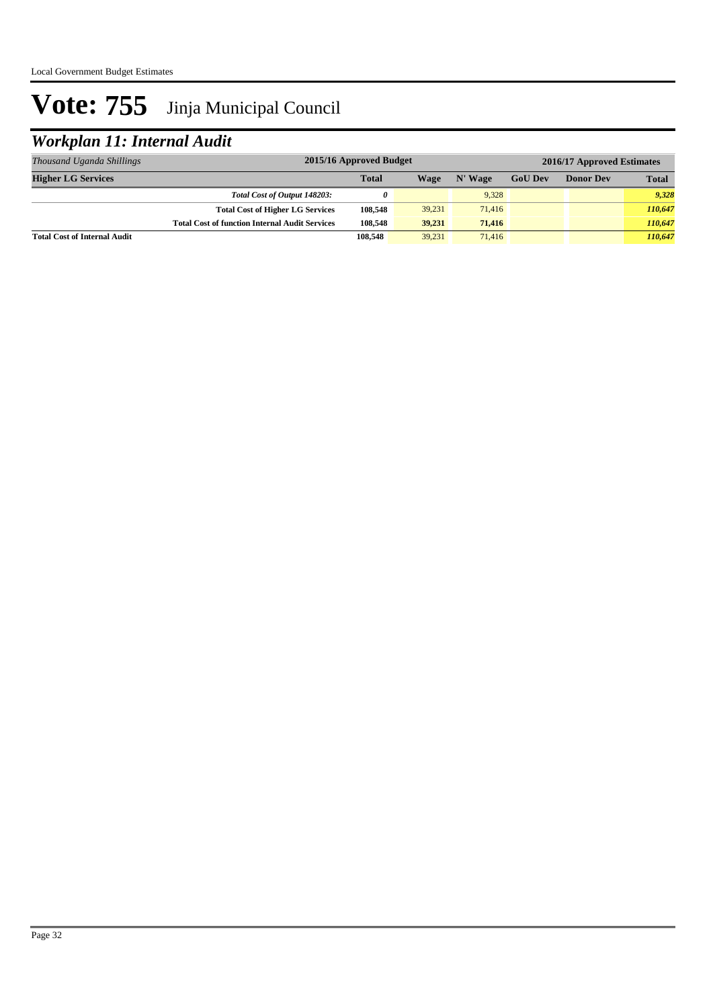## *Workplan 11: Internal Audit*

| Thousand Uganda Shillings           | 2015/16 Approved Budget<br>2016/17 Approved Estimates |              |        |         |                |                  |              |
|-------------------------------------|-------------------------------------------------------|--------------|--------|---------|----------------|------------------|--------------|
| <b>Higher LG Services</b>           |                                                       | <b>Total</b> | Wage   | N' Wage | <b>GoU Dev</b> | <b>Donor Dev</b> | <b>Total</b> |
|                                     | Total Cost of Output 148203:                          | 0            |        | 9.328   |                |                  | 9.328        |
|                                     | <b>Total Cost of Higher LG Services</b>               | 108,548      | 39,231 | 71,416  |                |                  | 110,647      |
|                                     | <b>Total Cost of function Internal Audit Services</b> | 108.548      | 39.231 | 71.416  |                |                  | 110,647      |
| <b>Total Cost of Internal Audit</b> |                                                       | 108,548      | 39.231 | 71,416  |                |                  | 110,647      |